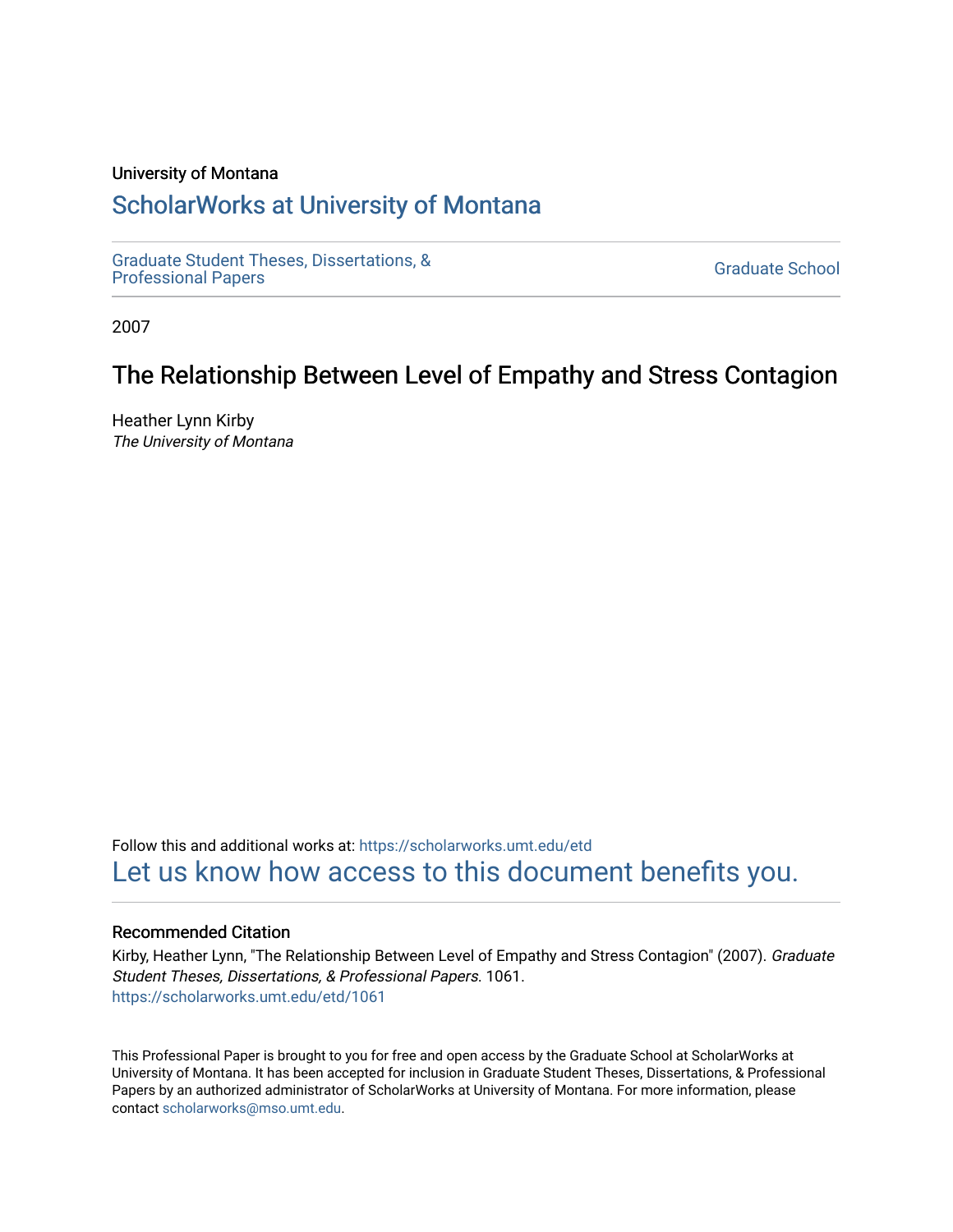#### University of Montana

# [ScholarWorks at University of Montana](https://scholarworks.umt.edu/)

[Graduate Student Theses, Dissertations, &](https://scholarworks.umt.edu/etd) Graduate Student Theses, Dissertations, & Contract Control of the Graduate School [Professional Papers](https://scholarworks.umt.edu/etd) Contract Control of the Professional Papers

2007

# The Relationship Between Level of Empathy and Stress Contagion

Heather Lynn Kirby The University of Montana

Follow this and additional works at: [https://scholarworks.umt.edu/etd](https://scholarworks.umt.edu/etd?utm_source=scholarworks.umt.edu%2Fetd%2F1061&utm_medium=PDF&utm_campaign=PDFCoverPages)  [Let us know how access to this document benefits you.](https://goo.gl/forms/s2rGfXOLzz71qgsB2) 

#### Recommended Citation

Kirby, Heather Lynn, "The Relationship Between Level of Empathy and Stress Contagion" (2007). Graduate Student Theses, Dissertations, & Professional Papers. 1061. [https://scholarworks.umt.edu/etd/1061](https://scholarworks.umt.edu/etd/1061?utm_source=scholarworks.umt.edu%2Fetd%2F1061&utm_medium=PDF&utm_campaign=PDFCoverPages)

This Professional Paper is brought to you for free and open access by the Graduate School at ScholarWorks at University of Montana. It has been accepted for inclusion in Graduate Student Theses, Dissertations, & Professional Papers by an authorized administrator of ScholarWorks at University of Montana. For more information, please contact [scholarworks@mso.umt.edu](mailto:scholarworks@mso.umt.edu).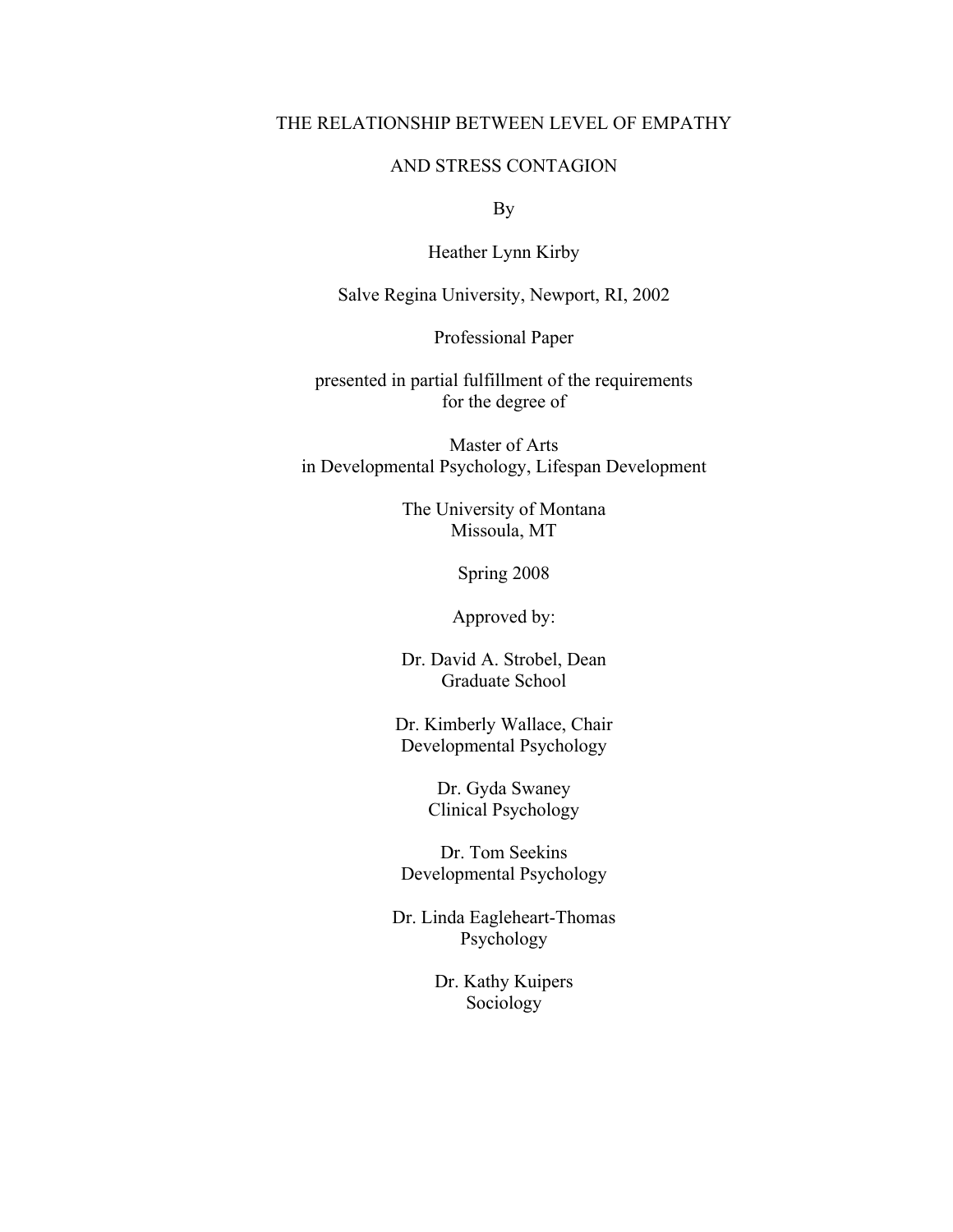### THE RELATIONSHIP BETWEEN LEVEL OF EMPATHY

### AND STRESS CONTAGION

By

Heather Lynn Kirby

Salve Regina University, Newport, RI, 2002

Professional Paper

presented in partial fulfillment of the requirements for the degree of

Master of Arts in Developmental Psychology, Lifespan Development

> The University of Montana Missoula, MT

> > Spring 2008

Approved by:

Dr. David A. Strobel, Dean Graduate School

Dr. Kimberly Wallace, Chair Developmental Psychology

> Dr. Gyda Swaney Clinical Psychology

Dr. Tom Seekins Developmental Psychology

Dr. Linda Eagleheart-Thomas Psychology

> Dr. Kathy Kuipers Sociology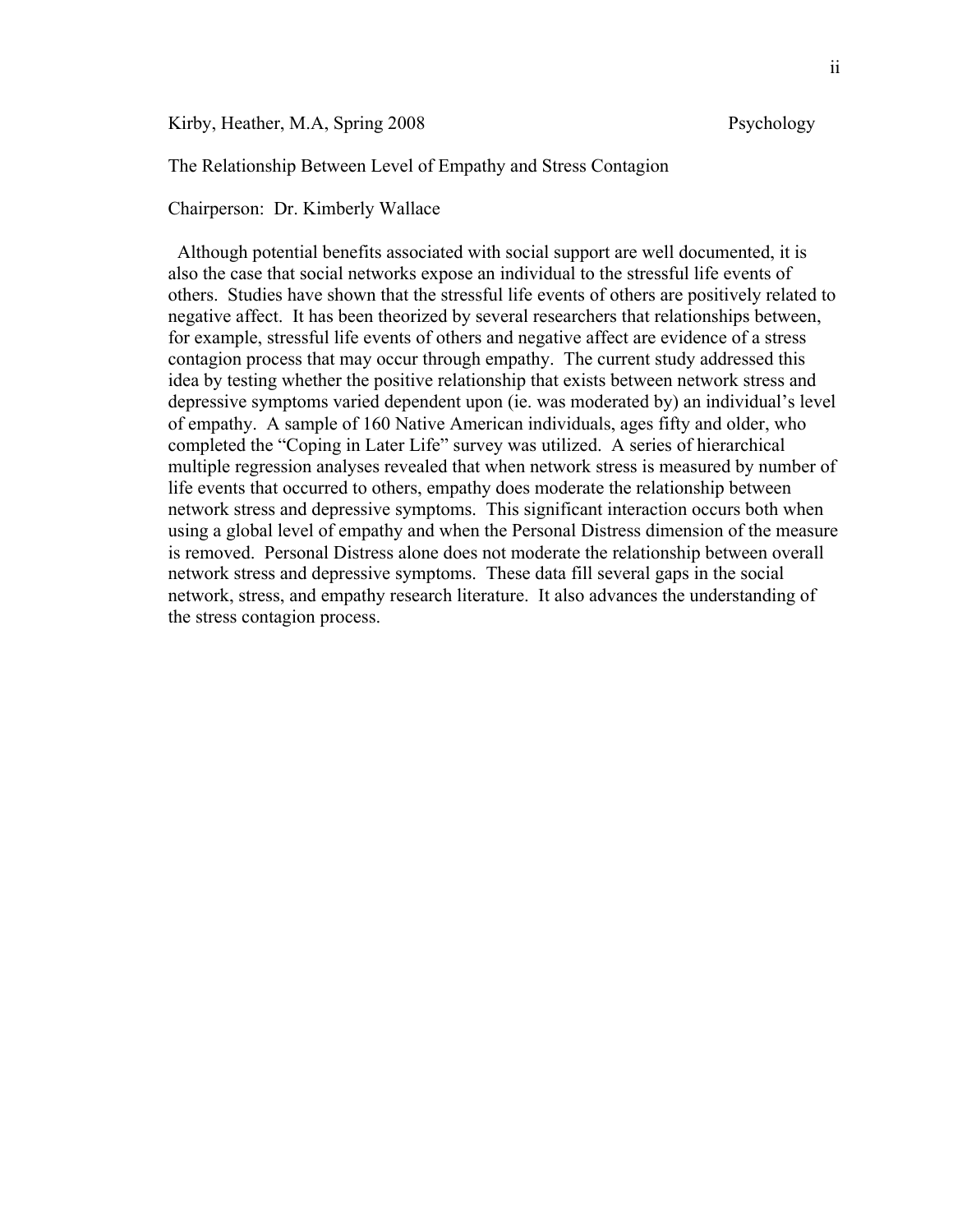Kirby, Heather, M.A, Spring 2008 Psychology

The Relationship Between Level of Empathy and Stress Contagion

Chairperson: Dr. Kimberly Wallace

 Although potential benefits associated with social support are well documented, it is also the case that social networks expose an individual to the stressful life events of others. Studies have shown that the stressful life events of others are positively related to negative affect. It has been theorized by several researchers that relationships between, for example, stressful life events of others and negative affect are evidence of a stress contagion process that may occur through empathy. The current study addressed this idea by testing whether the positive relationship that exists between network stress and depressive symptoms varied dependent upon (ie. was moderated by) an individual's level of empathy. A sample of 160 Native American individuals, ages fifty and older, who completed the "Coping in Later Life" survey was utilized. A series of hierarchical multiple regression analyses revealed that when network stress is measured by number of life events that occurred to others, empathy does moderate the relationship between network stress and depressive symptoms. This significant interaction occurs both when using a global level of empathy and when the Personal Distress dimension of the measure is removed. Personal Distress alone does not moderate the relationship between overall network stress and depressive symptoms. These data fill several gaps in the social network, stress, and empathy research literature. It also advances the understanding of the stress contagion process.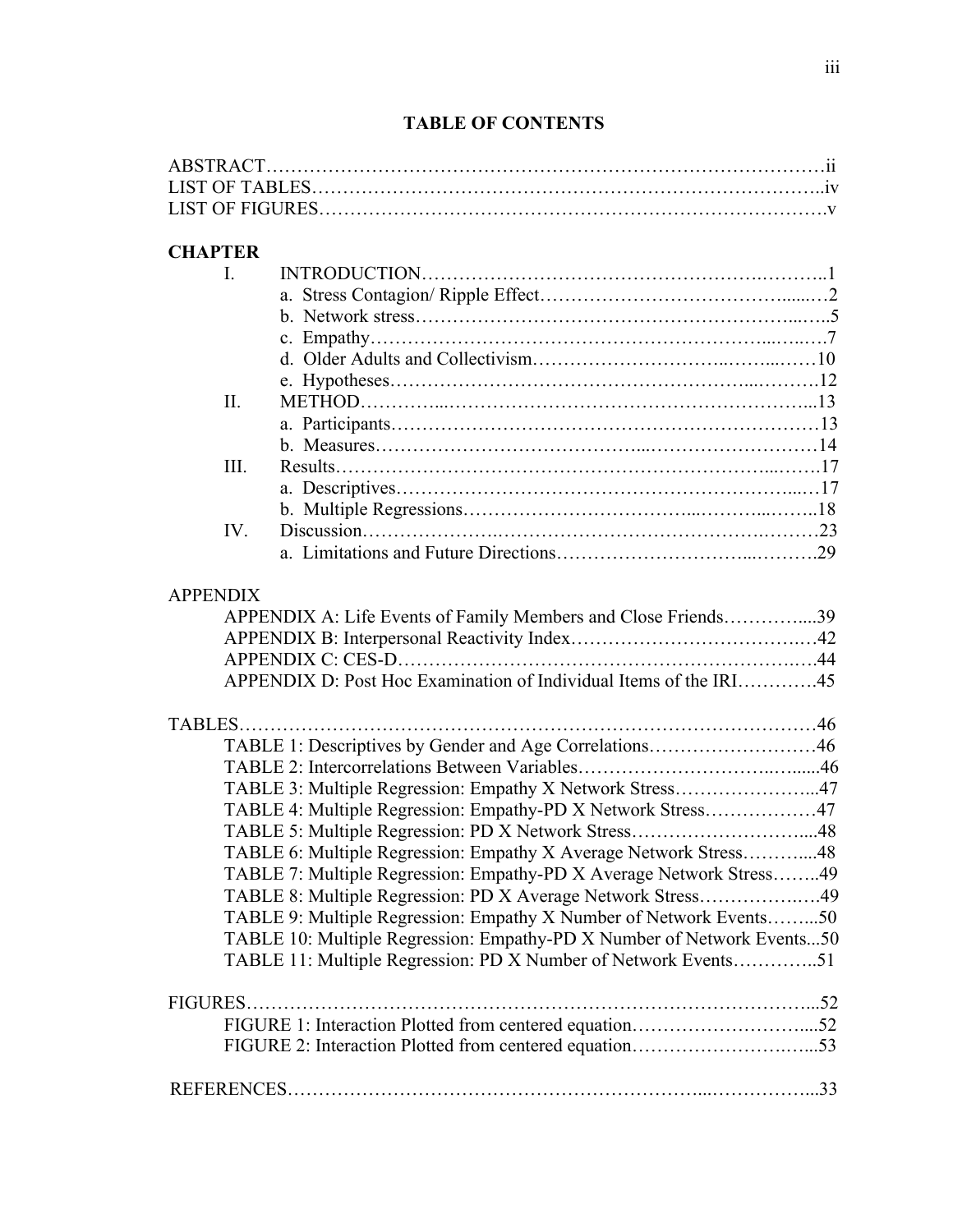# **TABLE OF CONTENTS**

# **CHAPTER**

|                 | $\mathbf{L}$ |                                                                        |  |
|-----------------|--------------|------------------------------------------------------------------------|--|
|                 |              |                                                                        |  |
|                 |              |                                                                        |  |
|                 |              |                                                                        |  |
|                 |              |                                                                        |  |
|                 |              |                                                                        |  |
|                 | II.          |                                                                        |  |
|                 |              |                                                                        |  |
|                 |              |                                                                        |  |
|                 | III.         |                                                                        |  |
|                 |              |                                                                        |  |
|                 |              |                                                                        |  |
|                 | IV.          |                                                                        |  |
|                 |              |                                                                        |  |
| <b>APPENDIX</b> |              |                                                                        |  |
|                 |              | APPENDIX A: Life Events of Family Members and Close Friends39          |  |
|                 |              |                                                                        |  |
|                 |              |                                                                        |  |
|                 |              | APPENDIX D: Post Hoc Examination of Individual Items of the IRI45      |  |
|                 |              |                                                                        |  |
|                 |              | TABLE 1: Descriptives by Gender and Age Correlations46                 |  |
|                 |              |                                                                        |  |
|                 |              | TABLE 3: Multiple Regression: Empathy X Network Stress47               |  |
|                 |              | TABLE 4: Multiple Regression: Empathy-PD X Network Stress47            |  |
|                 |              | TABLE 5: Multiple Regression: PD X Network Stress48                    |  |
|                 |              | TABLE 6: Multiple Regression: Empathy X Average Network Stress48       |  |
|                 |              | TABLE 7: Multiple Regression: Empathy-PD X Average Network Stress49    |  |
|                 |              | TABLE 8: Multiple Regression: PD X Average Network Stress49            |  |
|                 |              | TABLE 9: Multiple Regression: Empathy X Number of Network Events50     |  |
|                 |              | TABLE 10: Multiple Regression: Empathy-PD X Number of Network Events50 |  |
|                 |              | TABLE 11: Multiple Regression: PD X Number of Network Events51         |  |
|                 |              |                                                                        |  |
|                 |              |                                                                        |  |
|                 |              |                                                                        |  |
|                 |              |                                                                        |  |
|                 |              |                                                                        |  |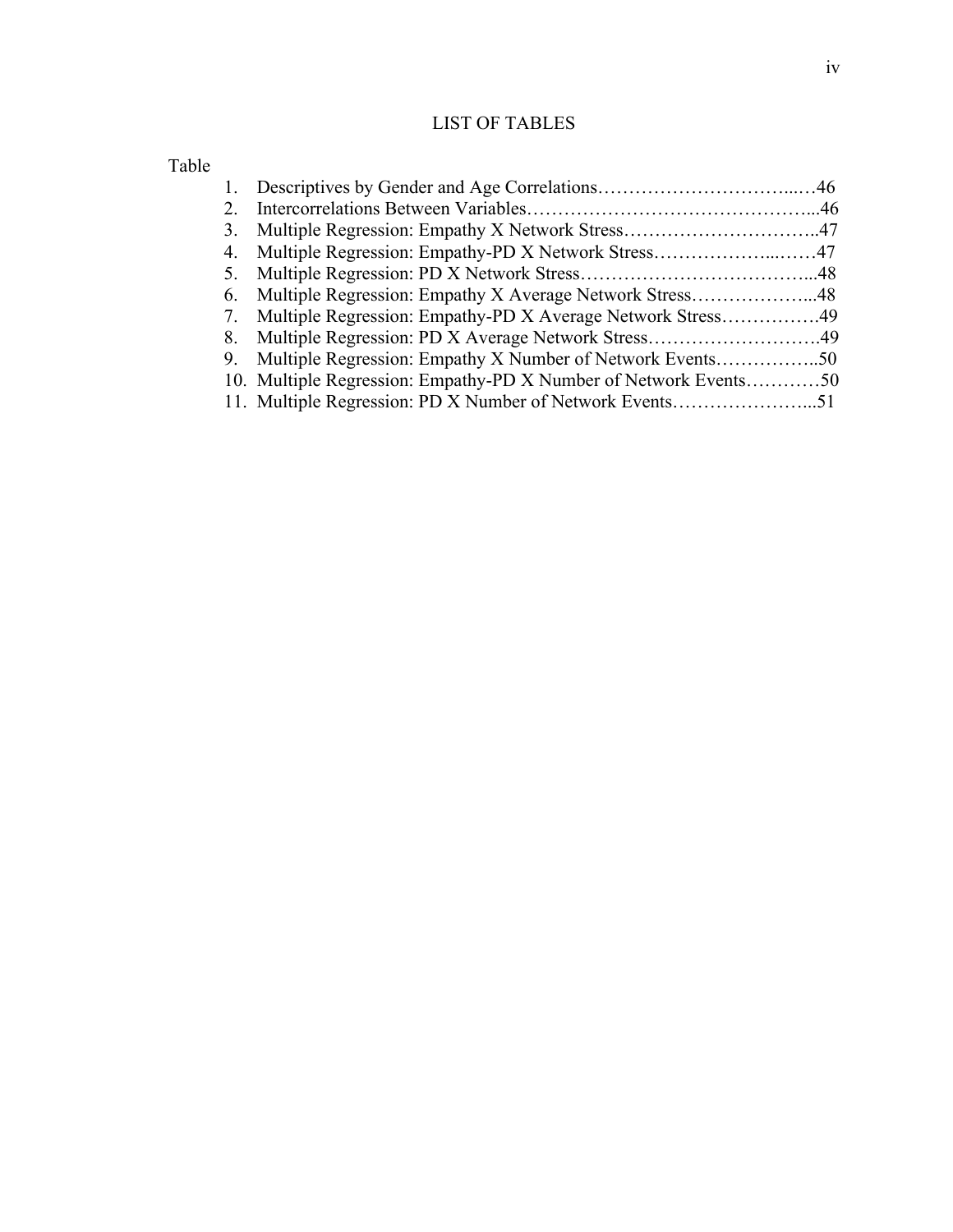## LIST OF TABLES

| $2_{-}$ |                                                                  |  |
|---------|------------------------------------------------------------------|--|
| 3.      |                                                                  |  |
|         |                                                                  |  |
| 5.      |                                                                  |  |
| 6.      | Multiple Regression: Empathy X Average Network Stress48          |  |
|         | 7. Multiple Regression: Empathy-PD X Average Network Stress49    |  |
| 8.      |                                                                  |  |
| 9.      | Multiple Regression: Empathy X Number of Network Events50        |  |
|         | 10. Multiple Regression: Empathy-PD X Number of Network Events50 |  |
|         |                                                                  |  |
|         |                                                                  |  |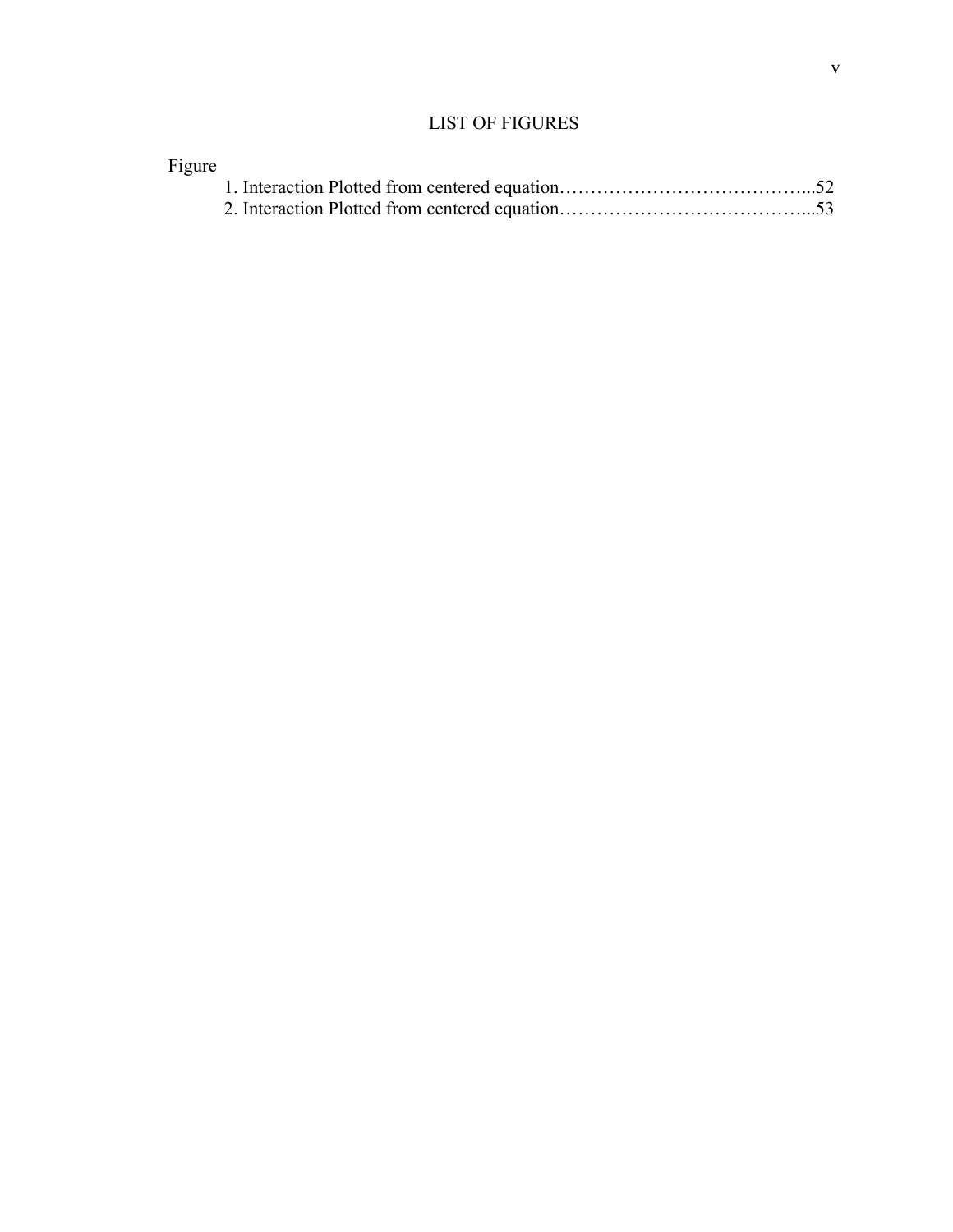## LIST OF FIGURES

| Figure |  |
|--------|--|
|        |  |
|        |  |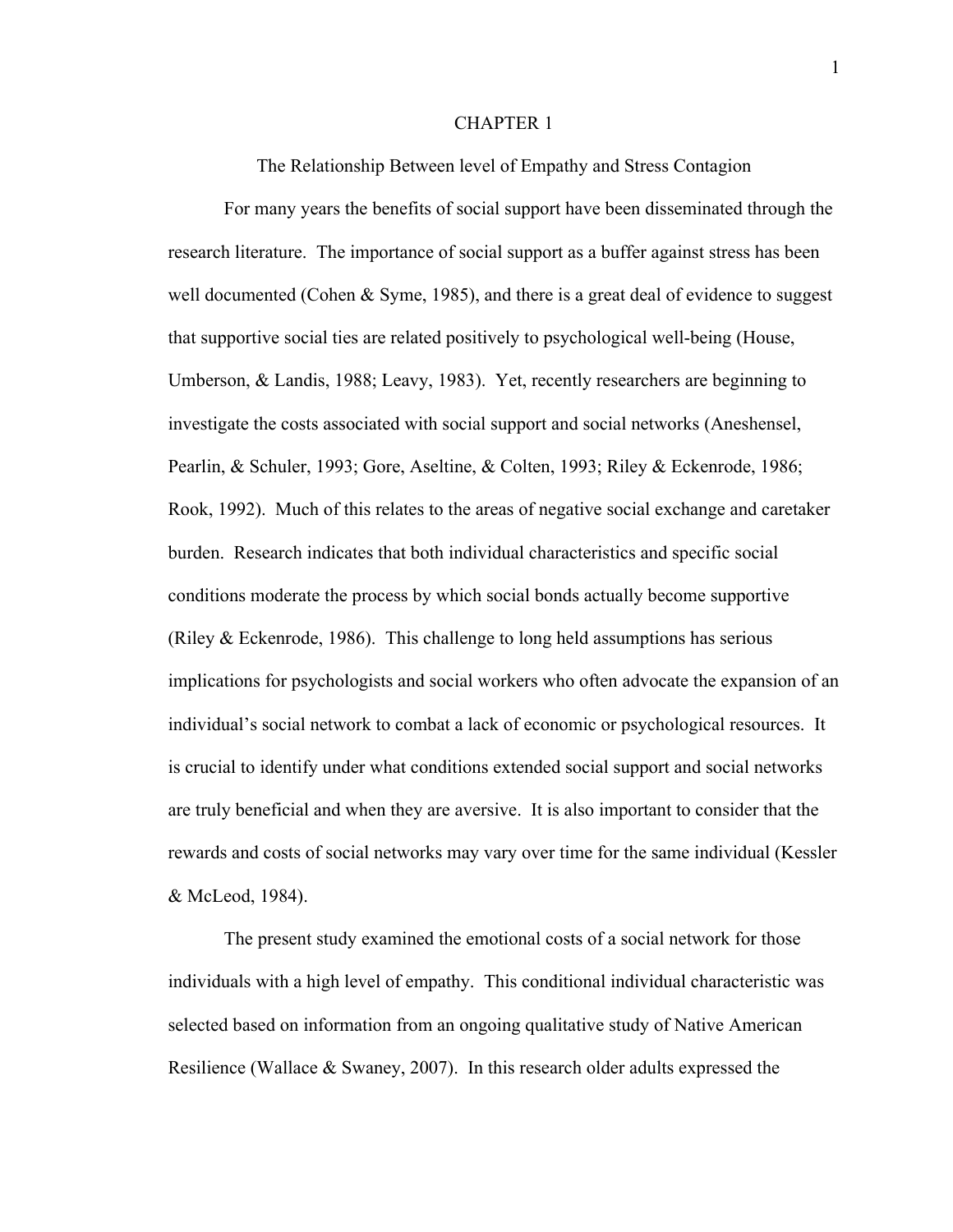#### CHAPTER 1

The Relationship Between level of Empathy and Stress Contagion

For many years the benefits of social support have been disseminated through the research literature. The importance of social support as a buffer against stress has been well documented (Cohen & Syme, 1985), and there is a great deal of evidence to suggest that supportive social ties are related positively to psychological well-being (House, Umberson, & Landis, 1988; Leavy, 1983). Yet, recently researchers are beginning to investigate the costs associated with social support and social networks (Aneshensel, Pearlin, & Schuler, 1993; Gore, Aseltine, & Colten, 1993; Riley & Eckenrode, 1986; Rook, 1992). Much of this relates to the areas of negative social exchange and caretaker burden. Research indicates that both individual characteristics and specific social conditions moderate the process by which social bonds actually become supportive (Riley  $&$  Eckenrode, 1986). This challenge to long held assumptions has serious implications for psychologists and social workers who often advocate the expansion of an individual's social network to combat a lack of economic or psychological resources. It is crucial to identify under what conditions extended social support and social networks are truly beneficial and when they are aversive. It is also important to consider that the rewards and costs of social networks may vary over time for the same individual (Kessler & McLeod, 1984).

The present study examined the emotional costs of a social network for those individuals with a high level of empathy. This conditional individual characteristic was selected based on information from an ongoing qualitative study of Native American Resilience (Wallace & Swaney, 2007). In this research older adults expressed the

1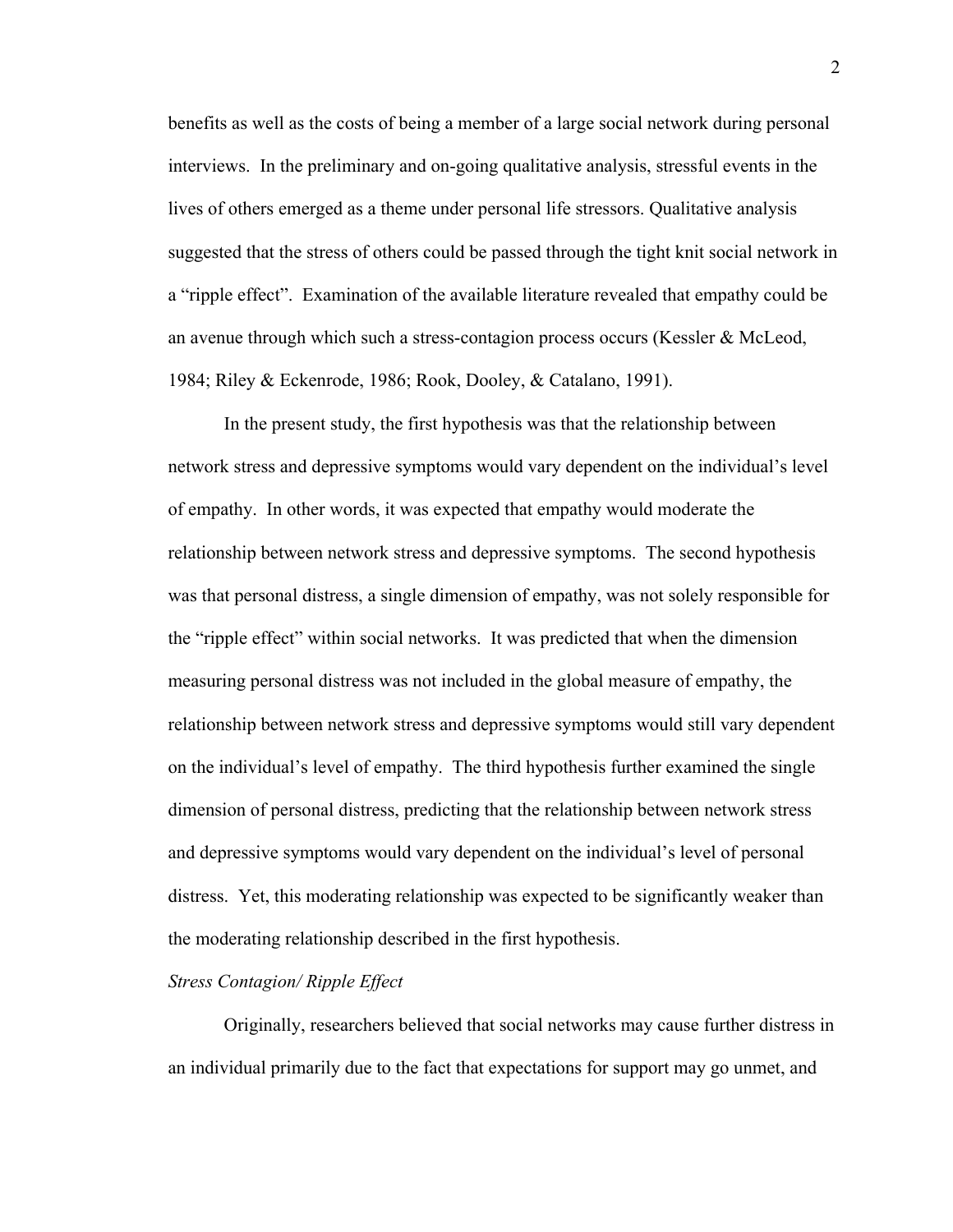benefits as well as the costs of being a member of a large social network during personal interviews. In the preliminary and on-going qualitative analysis, stressful events in the lives of others emerged as a theme under personal life stressors. Qualitative analysis suggested that the stress of others could be passed through the tight knit social network in a "ripple effect". Examination of the available literature revealed that empathy could be an avenue through which such a stress-contagion process occurs (Kessler  $\&$  McLeod, 1984; Riley & Eckenrode, 1986; Rook, Dooley, & Catalano, 1991).

In the present study, the first hypothesis was that the relationship between network stress and depressive symptoms would vary dependent on the individual's level of empathy. In other words, it was expected that empathy would moderate the relationship between network stress and depressive symptoms. The second hypothesis was that personal distress, a single dimension of empathy, was not solely responsible for the "ripple effect" within social networks. It was predicted that when the dimension measuring personal distress was not included in the global measure of empathy, the relationship between network stress and depressive symptoms would still vary dependent on the individual's level of empathy. The third hypothesis further examined the single dimension of personal distress, predicting that the relationship between network stress and depressive symptoms would vary dependent on the individual's level of personal distress. Yet, this moderating relationship was expected to be significantly weaker than the moderating relationship described in the first hypothesis.

#### *Stress Contagion/ Ripple Effect*

Originally, researchers believed that social networks may cause further distress in an individual primarily due to the fact that expectations for support may go unmet, and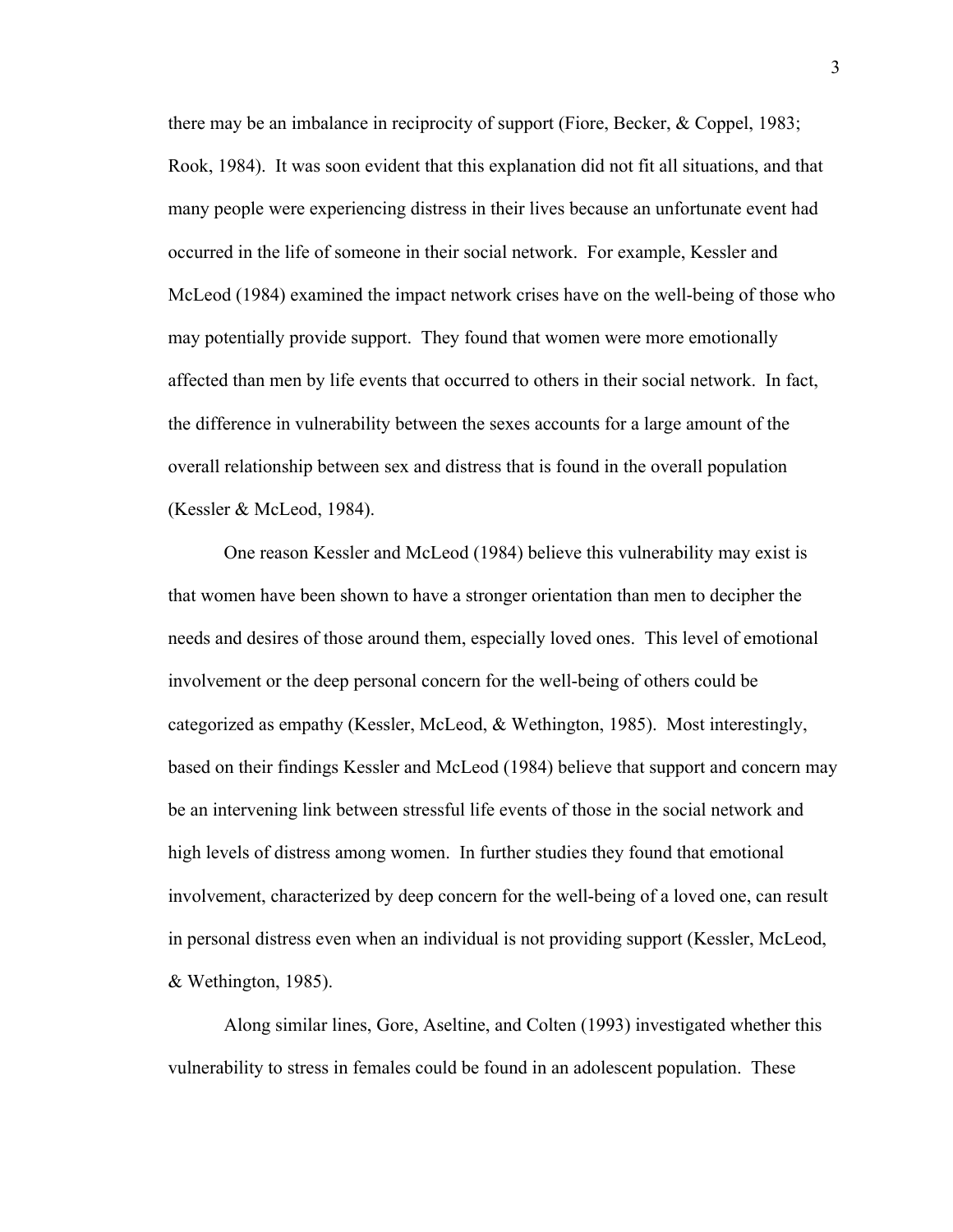there may be an imbalance in reciprocity of support (Fiore, Becker, & Coppel, 1983; Rook, 1984). It was soon evident that this explanation did not fit all situations, and that many people were experiencing distress in their lives because an unfortunate event had occurred in the life of someone in their social network. For example, Kessler and McLeod (1984) examined the impact network crises have on the well-being of those who may potentially provide support. They found that women were more emotionally affected than men by life events that occurred to others in their social network. In fact, the difference in vulnerability between the sexes accounts for a large amount of the overall relationship between sex and distress that is found in the overall population (Kessler & McLeod, 1984).

One reason Kessler and McLeod (1984) believe this vulnerability may exist is that women have been shown to have a stronger orientation than men to decipher the needs and desires of those around them, especially loved ones. This level of emotional involvement or the deep personal concern for the well-being of others could be categorized as empathy (Kessler, McLeod, & Wethington, 1985). Most interestingly, based on their findings Kessler and McLeod (1984) believe that support and concern may be an intervening link between stressful life events of those in the social network and high levels of distress among women. In further studies they found that emotional involvement, characterized by deep concern for the well-being of a loved one, can result in personal distress even when an individual is not providing support (Kessler, McLeod, & Wethington, 1985).

Along similar lines, Gore, Aseltine, and Colten (1993) investigated whether this vulnerability to stress in females could be found in an adolescent population. These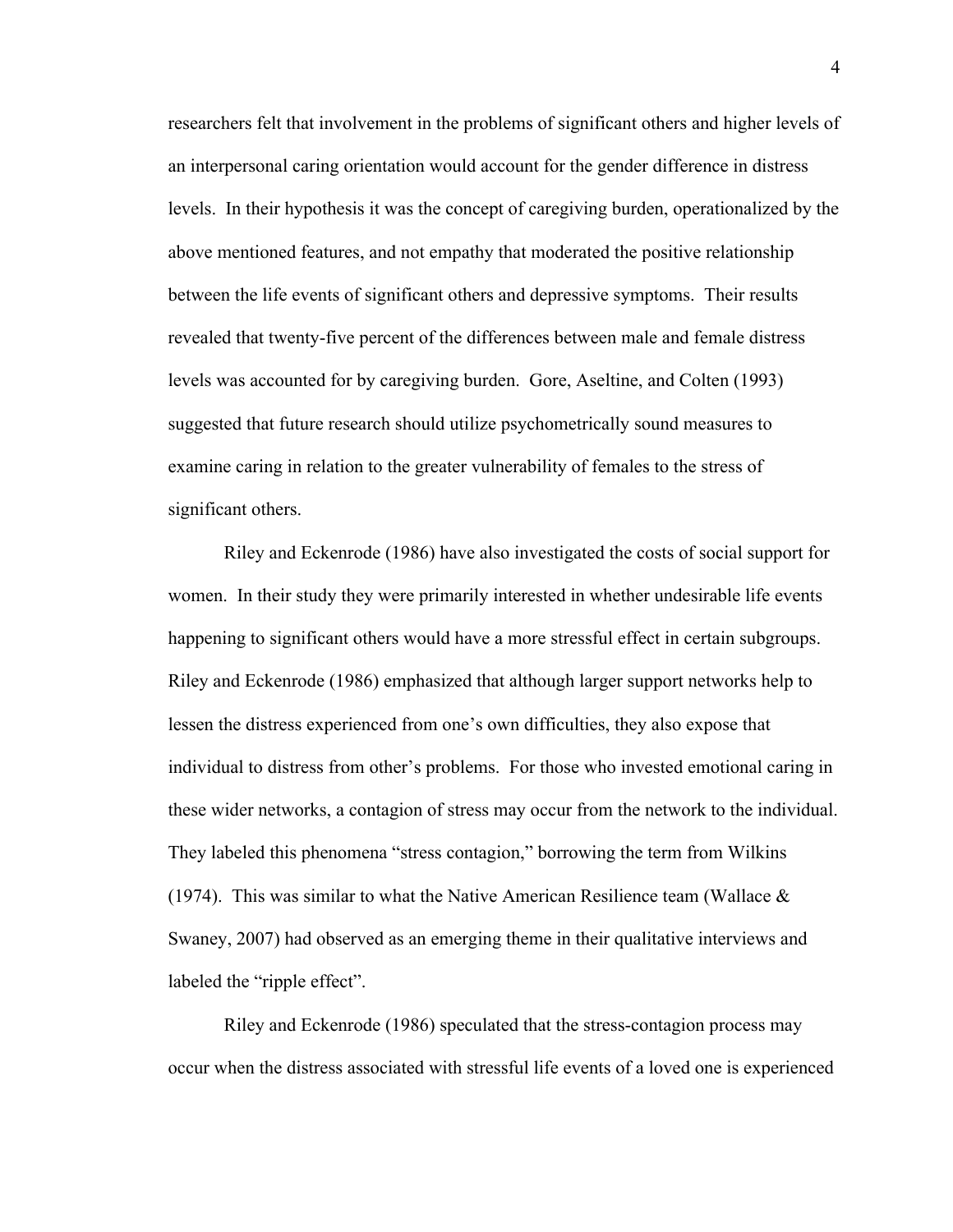researchers felt that involvement in the problems of significant others and higher levels of an interpersonal caring orientation would account for the gender difference in distress levels. In their hypothesis it was the concept of caregiving burden, operationalized by the above mentioned features, and not empathy that moderated the positive relationship between the life events of significant others and depressive symptoms. Their results revealed that twenty-five percent of the differences between male and female distress levels was accounted for by caregiving burden. Gore, Aseltine, and Colten (1993) suggested that future research should utilize psychometrically sound measures to examine caring in relation to the greater vulnerability of females to the stress of significant others.

Riley and Eckenrode (1986) have also investigated the costs of social support for women. In their study they were primarily interested in whether undesirable life events happening to significant others would have a more stressful effect in certain subgroups. Riley and Eckenrode (1986) emphasized that although larger support networks help to lessen the distress experienced from one's own difficulties, they also expose that individual to distress from other's problems. For those who invested emotional caring in these wider networks, a contagion of stress may occur from the network to the individual. They labeled this phenomena "stress contagion," borrowing the term from Wilkins (1974). This was similar to what the Native American Resilience team (Wallace  $\&$ Swaney, 2007) had observed as an emerging theme in their qualitative interviews and labeled the "ripple effect".

Riley and Eckenrode (1986) speculated that the stress-contagion process may occur when the distress associated with stressful life events of a loved one is experienced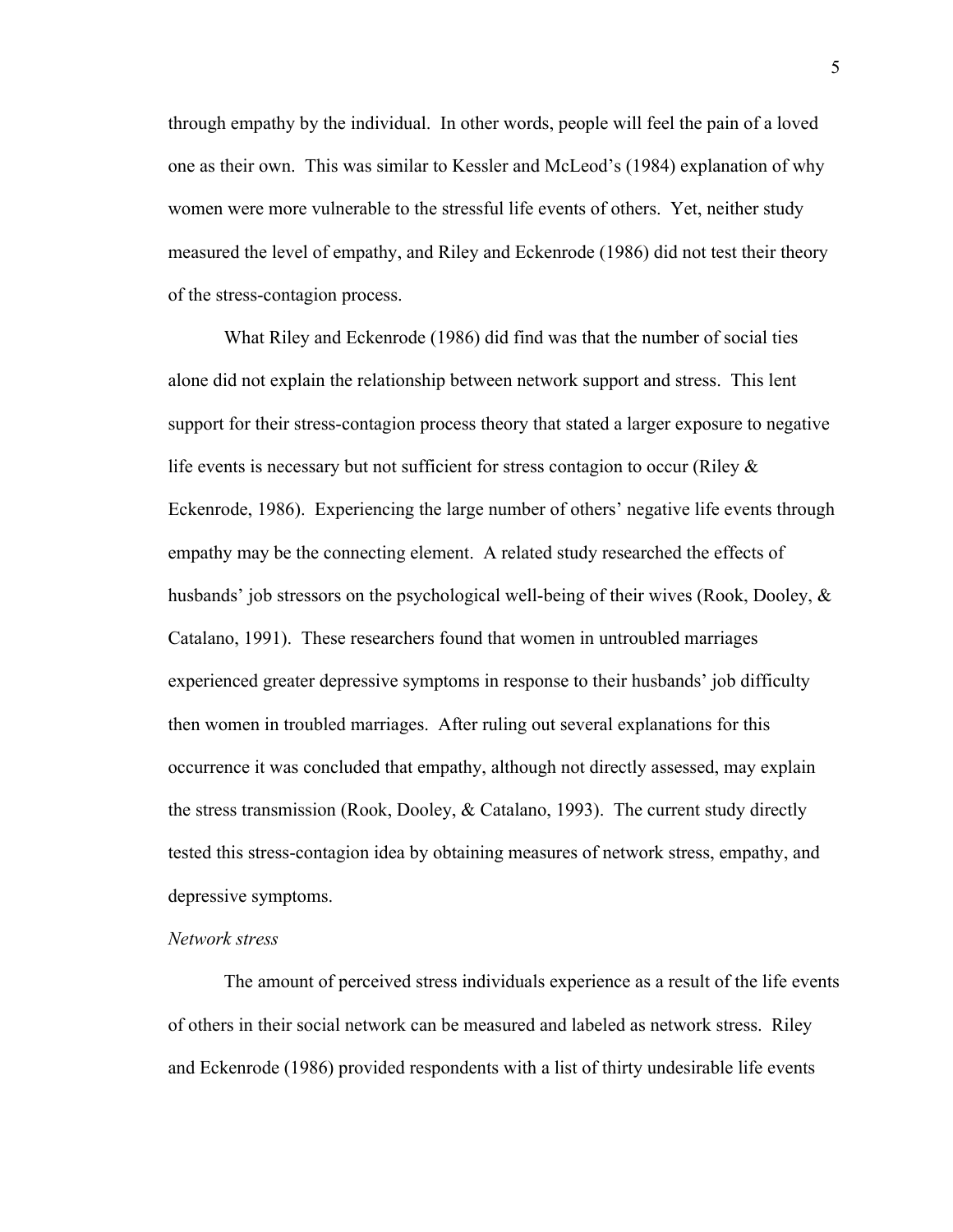through empathy by the individual. In other words, people will feel the pain of a loved one as their own. This was similar to Kessler and McLeod's (1984) explanation of why women were more vulnerable to the stressful life events of others. Yet, neither study measured the level of empathy, and Riley and Eckenrode (1986) did not test their theory of the stress-contagion process.

What Riley and Eckenrode (1986) did find was that the number of social ties alone did not explain the relationship between network support and stress. This lent support for their stress-contagion process theory that stated a larger exposure to negative life events is necessary but not sufficient for stress contagion to occur (Riley  $\&$ Eckenrode, 1986). Experiencing the large number of others' negative life events through empathy may be the connecting element. A related study researched the effects of husbands' job stressors on the psychological well-being of their wives (Rook, Dooley,  $\&$ Catalano, 1991). These researchers found that women in untroubled marriages experienced greater depressive symptoms in response to their husbands' job difficulty then women in troubled marriages. After ruling out several explanations for this occurrence it was concluded that empathy, although not directly assessed, may explain the stress transmission (Rook, Dooley, & Catalano, 1993). The current study directly tested this stress-contagion idea by obtaining measures of network stress, empathy, and depressive symptoms.

#### *Network stress*

The amount of perceived stress individuals experience as a result of the life events of others in their social network can be measured and labeled as network stress. Riley and Eckenrode (1986) provided respondents with a list of thirty undesirable life events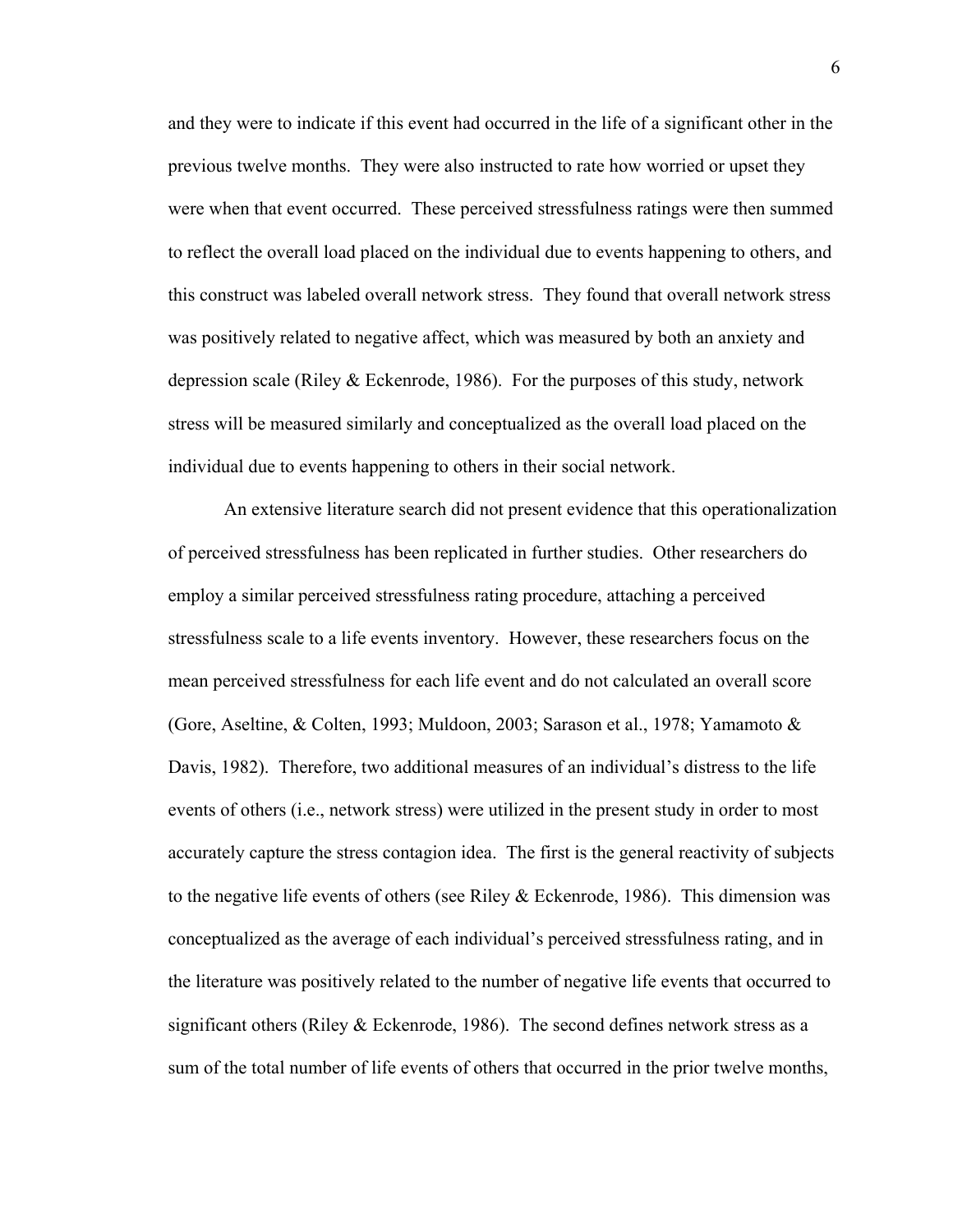and they were to indicate if this event had occurred in the life of a significant other in the previous twelve months. They were also instructed to rate how worried or upset they were when that event occurred. These perceived stressfulness ratings were then summed to reflect the overall load placed on the individual due to events happening to others, and this construct was labeled overall network stress. They found that overall network stress was positively related to negative affect, which was measured by both an anxiety and depression scale (Riley  $& Eckenrode, 1986$ ). For the purposes of this study, network stress will be measured similarly and conceptualized as the overall load placed on the individual due to events happening to others in their social network.

An extensive literature search did not present evidence that this operationalization of perceived stressfulness has been replicated in further studies. Other researchers do employ a similar perceived stressfulness rating procedure, attaching a perceived stressfulness scale to a life events inventory. However, these researchers focus on the mean perceived stressfulness for each life event and do not calculated an overall score (Gore, Aseltine, & Colten, 1993; Muldoon, 2003; Sarason et al., 1978; Yamamoto & Davis, 1982). Therefore, two additional measures of an individual's distress to the life events of others (i.e., network stress) were utilized in the present study in order to most accurately capture the stress contagion idea. The first is the general reactivity of subjects to the negative life events of others (see Riley  $&$  Eckenrode, 1986). This dimension was conceptualized as the average of each individual's perceived stressfulness rating, and in the literature was positively related to the number of negative life events that occurred to significant others (Riley  $&$  Eckenrode, 1986). The second defines network stress as a sum of the total number of life events of others that occurred in the prior twelve months,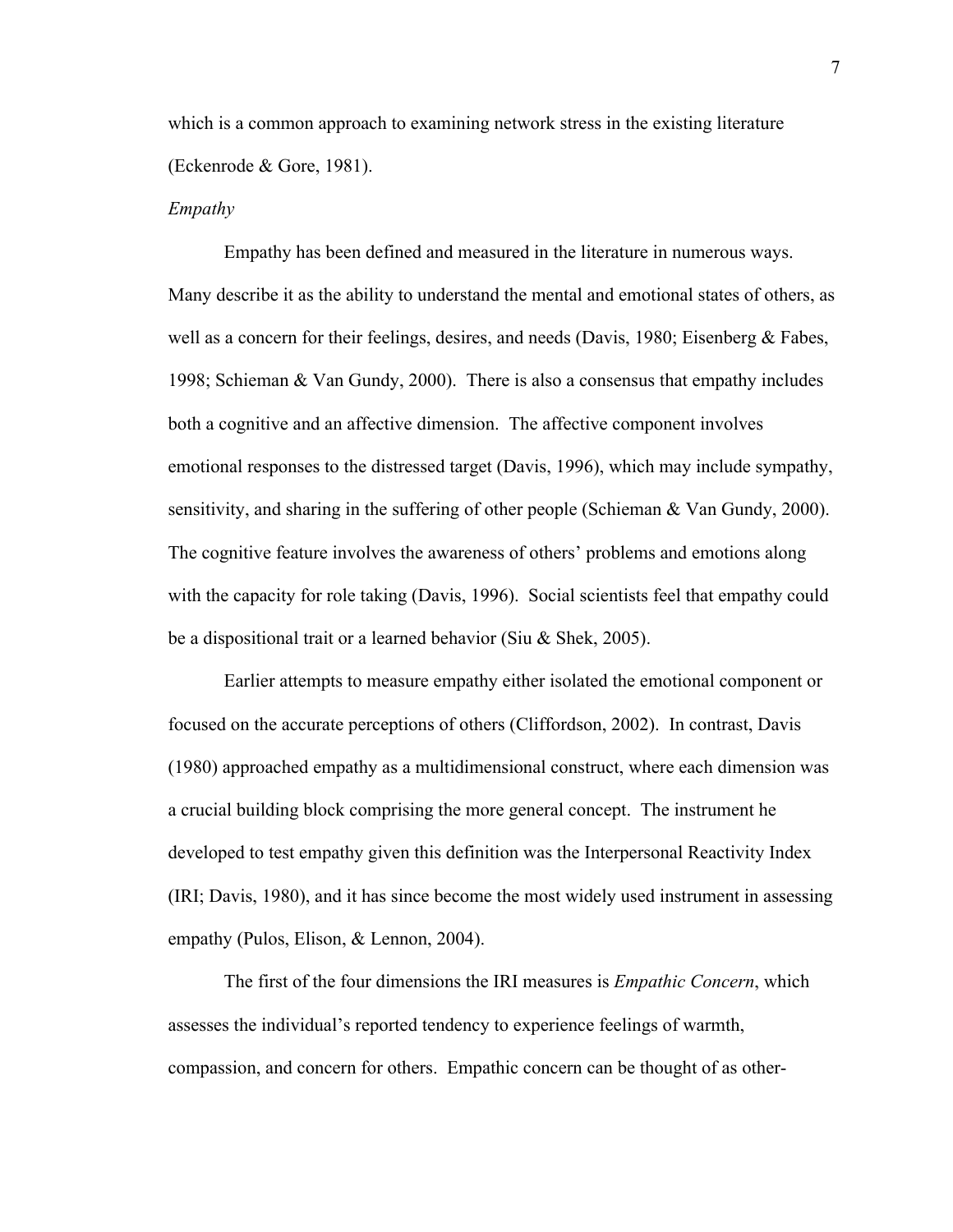which is a common approach to examining network stress in the existing literature (Eckenrode & Gore, 1981).

#### *Empathy*

Empathy has been defined and measured in the literature in numerous ways. Many describe it as the ability to understand the mental and emotional states of others, as well as a concern for their feelings, desires, and needs (Davis, 1980; Eisenberg & Fabes, 1998; Schieman & Van Gundy, 2000). There is also a consensus that empathy includes both a cognitive and an affective dimension. The affective component involves emotional responses to the distressed target (Davis, 1996), which may include sympathy, sensitivity, and sharing in the suffering of other people (Schieman & Van Gundy, 2000). The cognitive feature involves the awareness of others' problems and emotions along with the capacity for role taking (Davis, 1996). Social scientists feel that empathy could be a dispositional trait or a learned behavior (Siu & Shek, 2005).

Earlier attempts to measure empathy either isolated the emotional component or focused on the accurate perceptions of others (Cliffordson, 2002). In contrast, Davis (1980) approached empathy as a multidimensional construct, where each dimension was a crucial building block comprising the more general concept. The instrument he developed to test empathy given this definition was the Interpersonal Reactivity Index (IRI; Davis, 1980), and it has since become the most widely used instrument in assessing empathy (Pulos, Elison, & Lennon, 2004).

The first of the four dimensions the IRI measures is *Empathic Concern*, which assesses the individual's reported tendency to experience feelings of warmth, compassion, and concern for others. Empathic concern can be thought of as other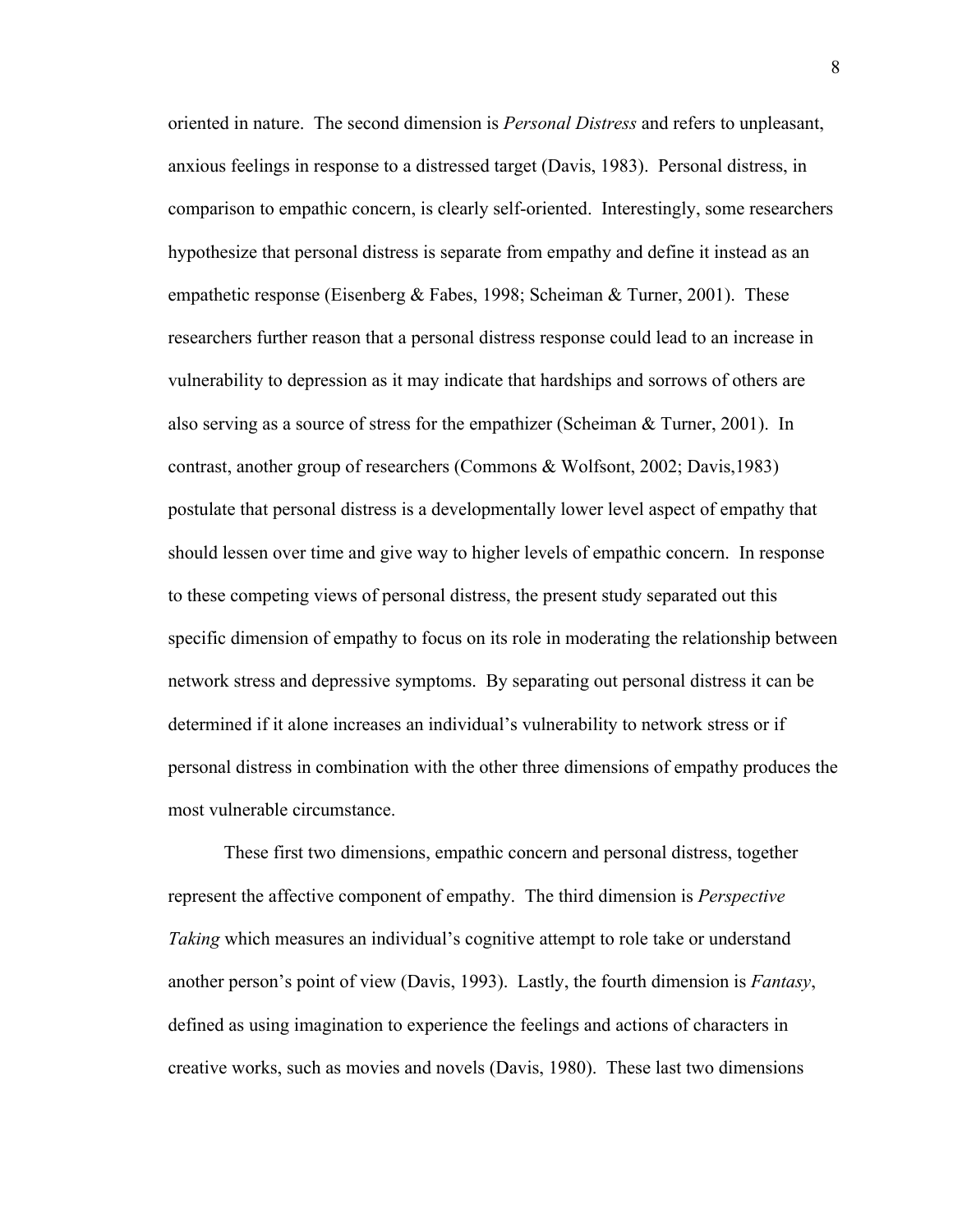oriented in nature. The second dimension is *Personal Distress* and refers to unpleasant, anxious feelings in response to a distressed target (Davis, 1983). Personal distress, in comparison to empathic concern, is clearly self-oriented. Interestingly, some researchers hypothesize that personal distress is separate from empathy and define it instead as an empathetic response (Eisenberg & Fabes, 1998; Scheiman & Turner, 2001). These researchers further reason that a personal distress response could lead to an increase in vulnerability to depression as it may indicate that hardships and sorrows of others are also serving as a source of stress for the empathizer (Scheiman  $\&$  Turner, 2001). In contrast, another group of researchers (Commons & Wolfsont, 2002; Davis,1983) postulate that personal distress is a developmentally lower level aspect of empathy that should lessen over time and give way to higher levels of empathic concern. In response to these competing views of personal distress, the present study separated out this specific dimension of empathy to focus on its role in moderating the relationship between network stress and depressive symptoms. By separating out personal distress it can be determined if it alone increases an individual's vulnerability to network stress or if personal distress in combination with the other three dimensions of empathy produces the most vulnerable circumstance.

These first two dimensions, empathic concern and personal distress, together represent the affective component of empathy. The third dimension is *Perspective Taking* which measures an individual's cognitive attempt to role take or understand another person's point of view (Davis, 1993). Lastly, the fourth dimension is *Fantasy*, defined as using imagination to experience the feelings and actions of characters in creative works, such as movies and novels (Davis, 1980). These last two dimensions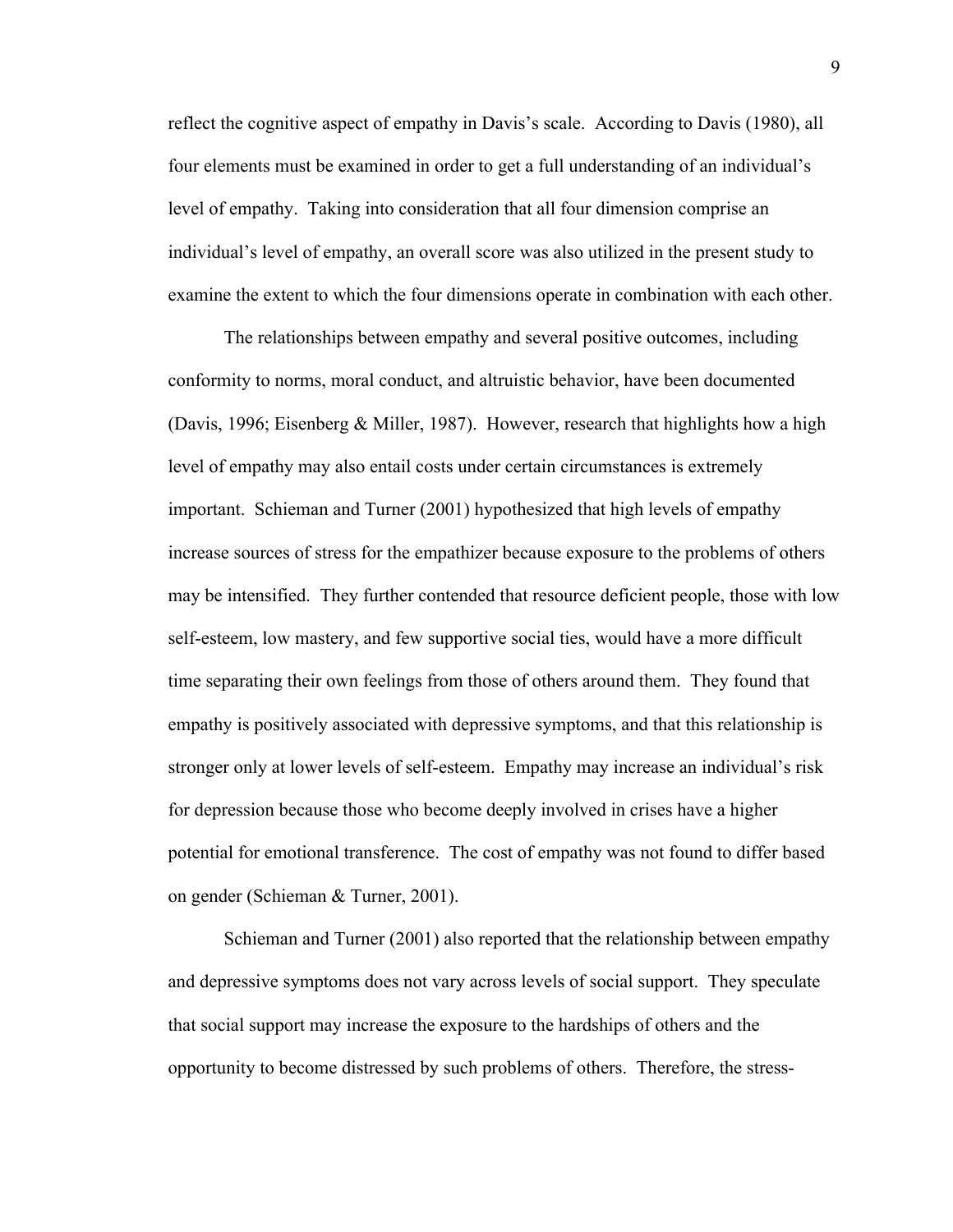reflect the cognitive aspect of empathy in Davis's scale. According to Davis (1980), all four elements must be examined in order to get a full understanding of an individual's level of empathy. Taking into consideration that all four dimension comprise an individual's level of empathy, an overall score was also utilized in the present study to examine the extent to which the four dimensions operate in combination with each other.

The relationships between empathy and several positive outcomes, including conformity to norms, moral conduct, and altruistic behavior, have been documented (Davis, 1996; Eisenberg & Miller, 1987). However, research that highlights how a high level of empathy may also entail costs under certain circumstances is extremely important. Schieman and Turner (2001) hypothesized that high levels of empathy increase sources of stress for the empathizer because exposure to the problems of others may be intensified. They further contended that resource deficient people, those with low self-esteem, low mastery, and few supportive social ties, would have a more difficult time separating their own feelings from those of others around them. They found that empathy is positively associated with depressive symptoms, and that this relationship is stronger only at lower levels of self-esteem. Empathy may increase an individual's risk for depression because those who become deeply involved in crises have a higher potential for emotional transference. The cost of empathy was not found to differ based on gender (Schieman & Turner, 2001).

Schieman and Turner (2001) also reported that the relationship between empathy and depressive symptoms does not vary across levels of social support. They speculate that social support may increase the exposure to the hardships of others and the opportunity to become distressed by such problems of others. Therefore, the stress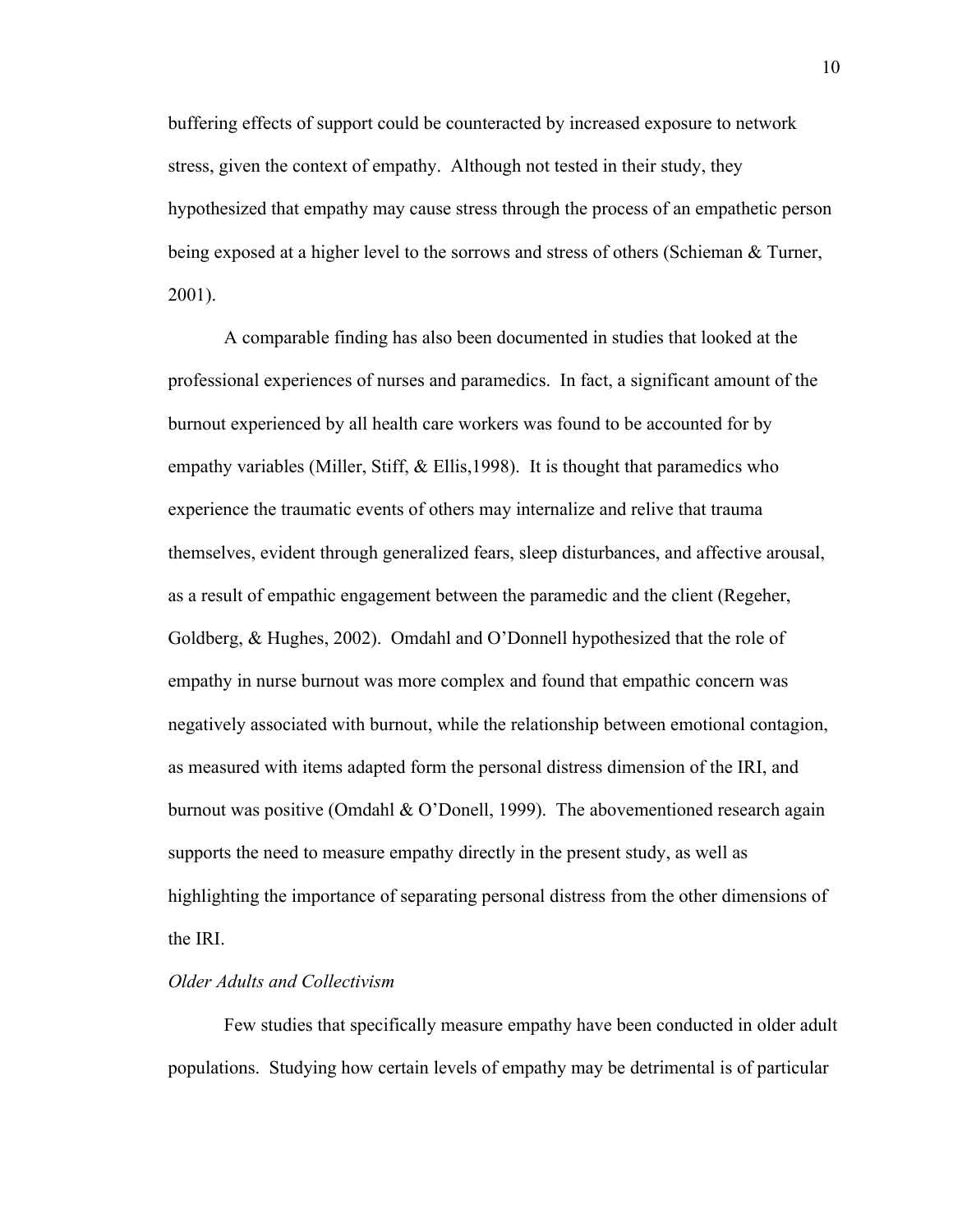buffering effects of support could be counteracted by increased exposure to network stress, given the context of empathy. Although not tested in their study, they hypothesized that empathy may cause stress through the process of an empathetic person being exposed at a higher level to the sorrows and stress of others (Schieman & Turner, 2001).

A comparable finding has also been documented in studies that looked at the professional experiences of nurses and paramedics. In fact, a significant amount of the burnout experienced by all health care workers was found to be accounted for by empathy variables (Miller, Stiff, & Ellis, 1998). It is thought that paramedics who experience the traumatic events of others may internalize and relive that trauma themselves, evident through generalized fears, sleep disturbances, and affective arousal, as a result of empathic engagement between the paramedic and the client (Regeher, Goldberg, & Hughes, 2002). Omdahl and O'Donnell hypothesized that the role of empathy in nurse burnout was more complex and found that empathic concern was negatively associated with burnout, while the relationship between emotional contagion, as measured with items adapted form the personal distress dimension of the IRI, and burnout was positive (Omdahl  $\&$  O'Donell, 1999). The abovementioned research again supports the need to measure empathy directly in the present study, as well as highlighting the importance of separating personal distress from the other dimensions of the IRI.

#### *Older Adults and Collectivism*

Few studies that specifically measure empathy have been conducted in older adult populations. Studying how certain levels of empathy may be detrimental is of particular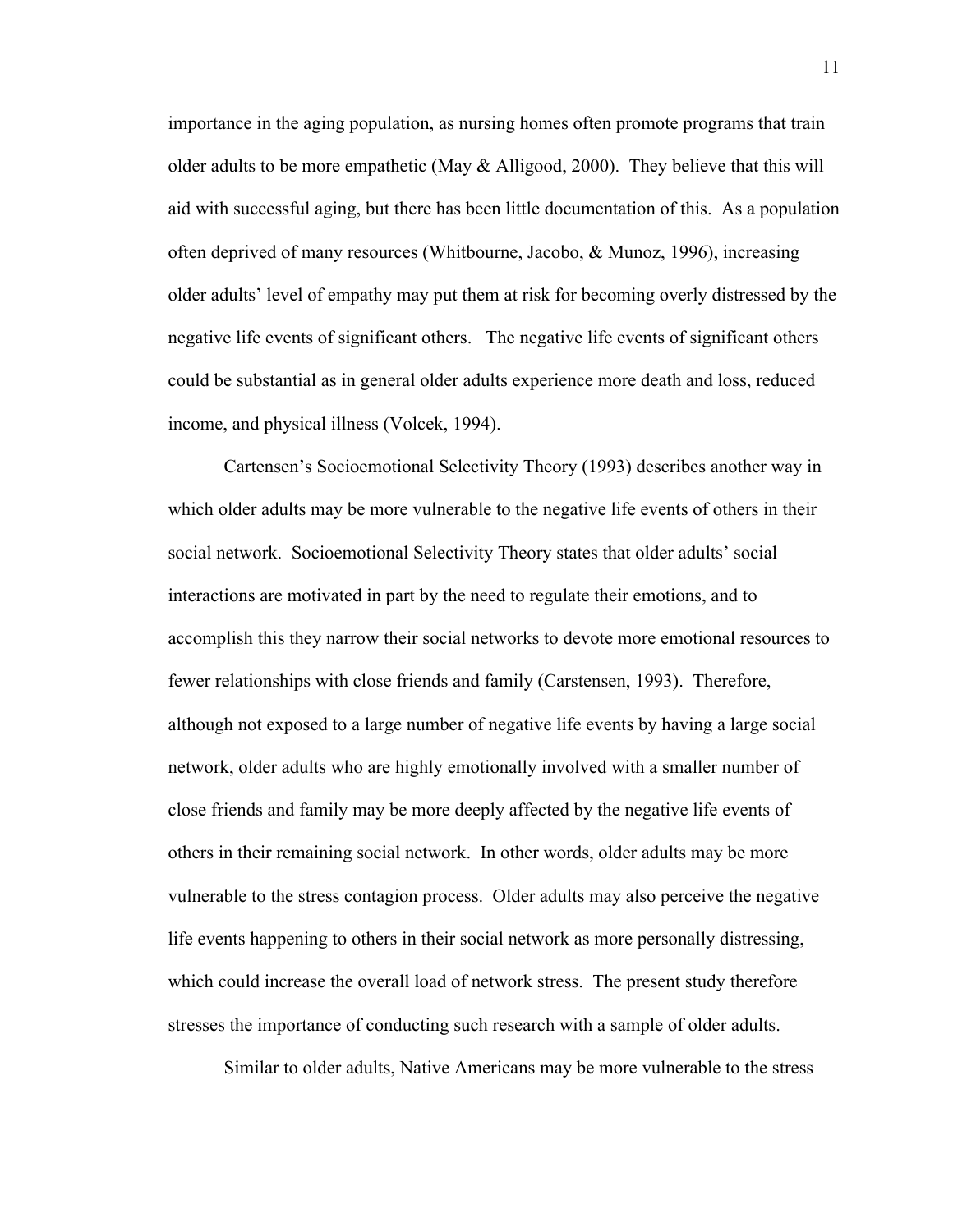importance in the aging population, as nursing homes often promote programs that train older adults to be more empathetic (May  $\&$  Alligood, 2000). They believe that this will aid with successful aging, but there has been little documentation of this. As a population often deprived of many resources (Whitbourne, Jacobo, & Munoz, 1996), increasing older adults' level of empathy may put them at risk for becoming overly distressed by the negative life events of significant others. The negative life events of significant others could be substantial as in general older adults experience more death and loss, reduced income, and physical illness (Volcek, 1994).

Cartensen's Socioemotional Selectivity Theory (1993) describes another way in which older adults may be more vulnerable to the negative life events of others in their social network. Socioemotional Selectivity Theory states that older adults' social interactions are motivated in part by the need to regulate their emotions, and to accomplish this they narrow their social networks to devote more emotional resources to fewer relationships with close friends and family (Carstensen, 1993). Therefore, although not exposed to a large number of negative life events by having a large social network, older adults who are highly emotionally involved with a smaller number of close friends and family may be more deeply affected by the negative life events of others in their remaining social network. In other words, older adults may be more vulnerable to the stress contagion process. Older adults may also perceive the negative life events happening to others in their social network as more personally distressing, which could increase the overall load of network stress. The present study therefore stresses the importance of conducting such research with a sample of older adults.

Similar to older adults, Native Americans may be more vulnerable to the stress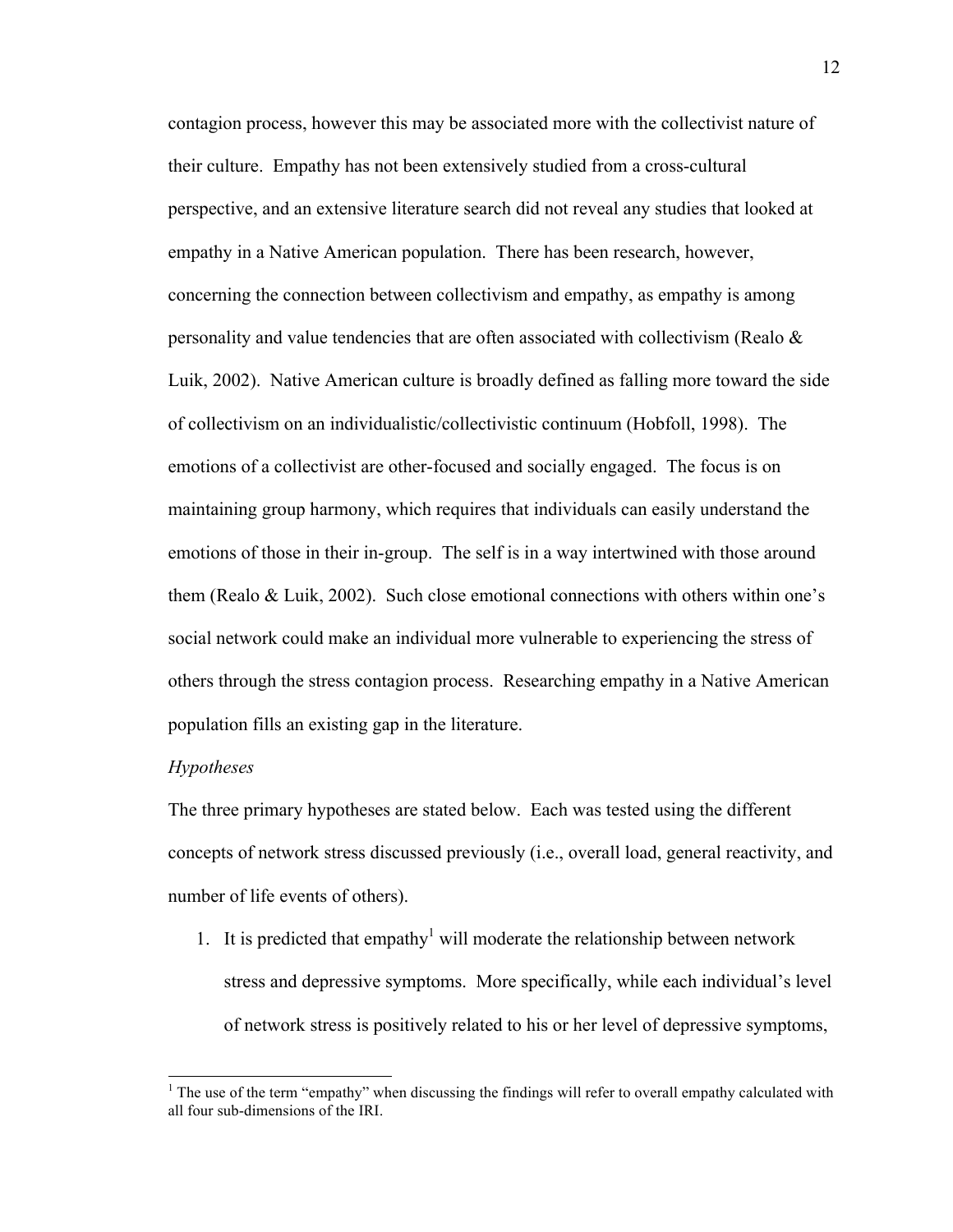contagion process, however this may be associated more with the collectivist nature of their culture. Empathy has not been extensively studied from a cross-cultural perspective, and an extensive literature search did not reveal any studies that looked at empathy in a Native American population. There has been research, however, concerning the connection between collectivism and empathy, as empathy is among personality and value tendencies that are often associated with collectivism (Realo  $\&$ Luik, 2002). Native American culture is broadly defined as falling more toward the side of collectivism on an individualistic/collectivistic continuum (Hobfoll, 1998). The emotions of a collectivist are other-focused and socially engaged. The focus is on maintaining group harmony, which requires that individuals can easily understand the emotions of those in their in-group. The self is in a way intertwined with those around them (Realo & Luik, 2002). Such close emotional connections with others within one's social network could make an individual more vulnerable to experiencing the stress of others through the stress contagion process. Researching empathy in a Native American population fills an existing gap in the literature.

#### *Hypotheses*

The three primary hypotheses are stated below. Each was tested using the different concepts of network stress discussed previously (i.e., overall load, general reactivity, and number of life events of others).

1. It is predicted that empathy<sup>1</sup> will moderate the relationship between network stress and depressive symptoms. More specifically, while each individual's level of network stress is positively related to his or her level of depressive symptoms,

<sup>&</sup>lt;sup>1</sup> The use of the term "empathy" when discussing the findings will refer to overall empathy calculated with all four sub-dimensions of the IRI.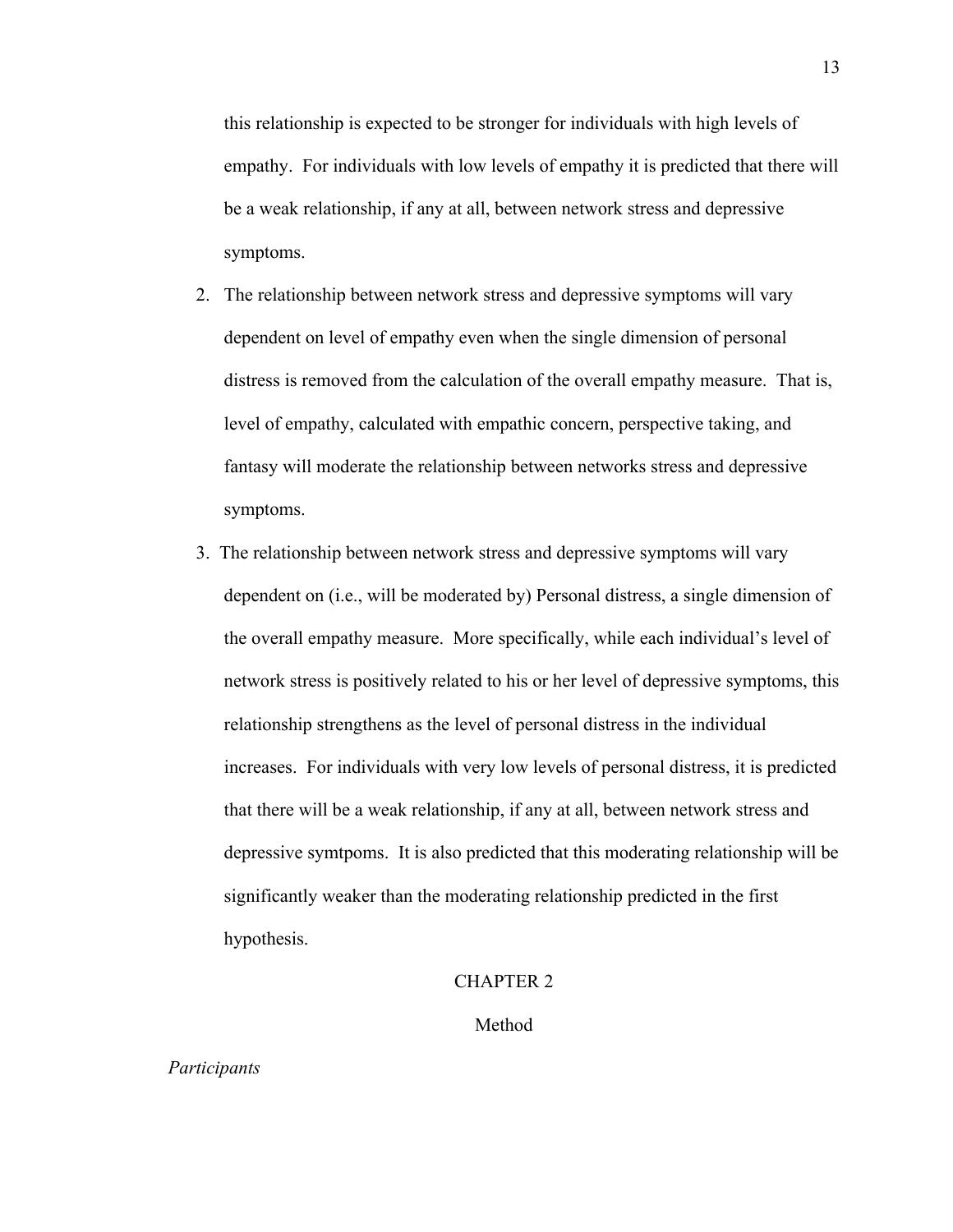this relationship is expected to be stronger for individuals with high levels of empathy. For individuals with low levels of empathy it is predicted that there will be a weak relationship, if any at all, between network stress and depressive symptoms.

- 2. The relationship between network stress and depressive symptoms will vary dependent on level of empathy even when the single dimension of personal distress is removed from the calculation of the overall empathy measure. That is, level of empathy, calculated with empathic concern, perspective taking, and fantasy will moderate the relationship between networks stress and depressive symptoms.
- 3. The relationship between network stress and depressive symptoms will vary dependent on (i.e., will be moderated by) Personal distress, a single dimension of the overall empathy measure. More specifically, while each individual's level of network stress is positively related to his or her level of depressive symptoms, this relationship strengthens as the level of personal distress in the individual increases. For individuals with very low levels of personal distress, it is predicted that there will be a weak relationship, if any at all, between network stress and depressive symtpoms. It is also predicted that this moderating relationship will be significantly weaker than the moderating relationship predicted in the first hypothesis.

#### CHAPTER 2

Method

*Participants*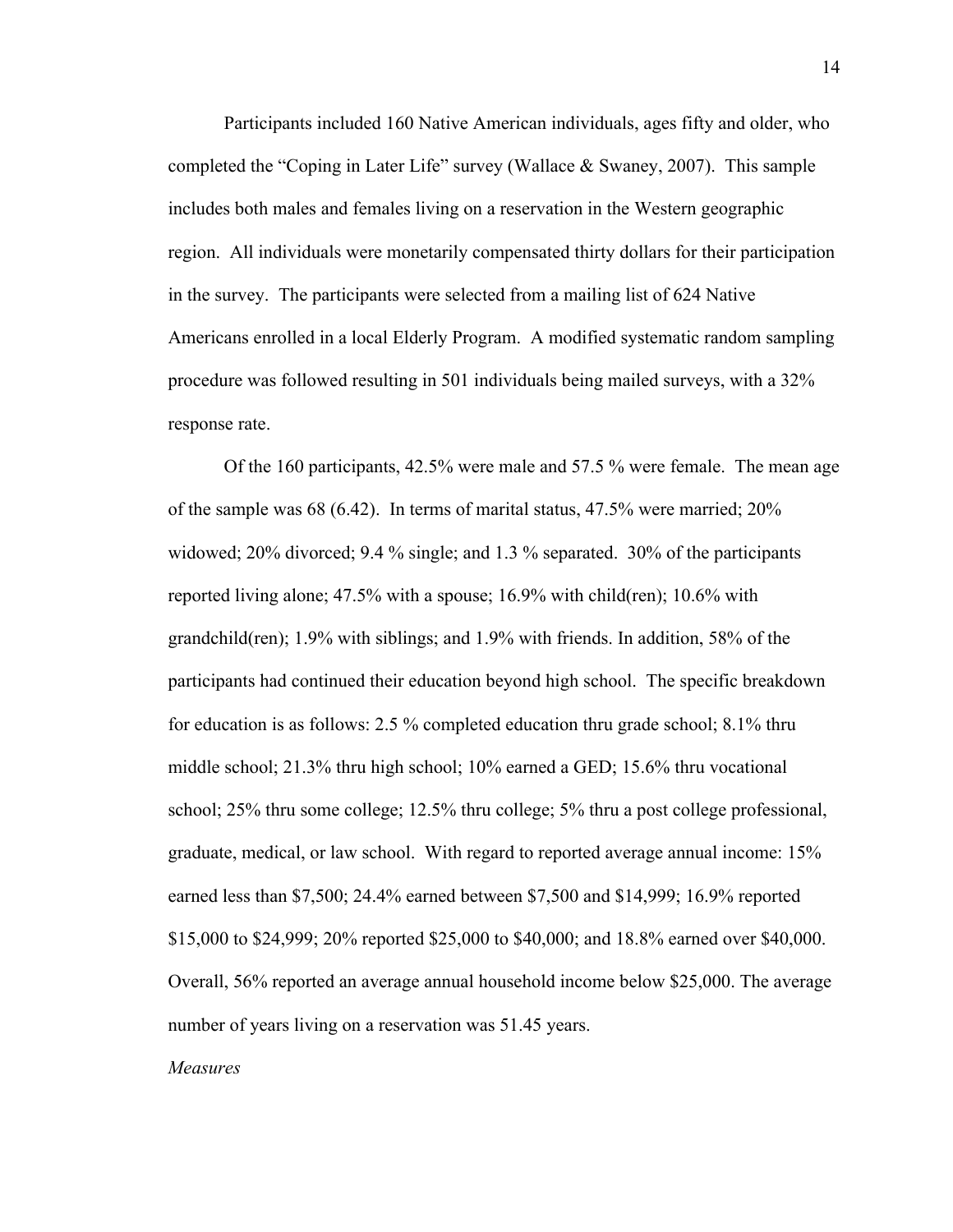Participants included 160 Native American individuals, ages fifty and older, who completed the "Coping in Later Life" survey (Wallace & Swaney, 2007). This sample includes both males and females living on a reservation in the Western geographic region. All individuals were monetarily compensated thirty dollars for their participation in the survey. The participants were selected from a mailing list of 624 Native Americans enrolled in a local Elderly Program. A modified systematic random sampling procedure was followed resulting in 501 individuals being mailed surveys, with a 32% response rate.

Of the 160 participants, 42.5% were male and 57.5 % were female. The mean age of the sample was 68 (6.42). In terms of marital status, 47.5% were married; 20% widowed; 20% divorced; 9.4 % single; and 1.3 % separated. 30% of the participants reported living alone; 47.5% with a spouse; 16.9% with child(ren); 10.6% with grandchild(ren); 1.9% with siblings; and 1.9% with friends. In addition, 58% of the participants had continued their education beyond high school. The specific breakdown for education is as follows: 2.5 % completed education thru grade school; 8.1% thru middle school; 21.3% thru high school; 10% earned a GED; 15.6% thru vocational school; 25% thru some college; 12.5% thru college; 5% thru a post college professional, graduate, medical, or law school. With regard to reported average annual income: 15% earned less than \$7,500; 24.4% earned between \$7,500 and \$14,999; 16.9% reported \$15,000 to \$24,999; 20% reported \$25,000 to \$40,000; and 18.8% earned over \$40,000. Overall, 56% reported an average annual household income below \$25,000. The average number of years living on a reservation was 51.45 years.

*Measures*

14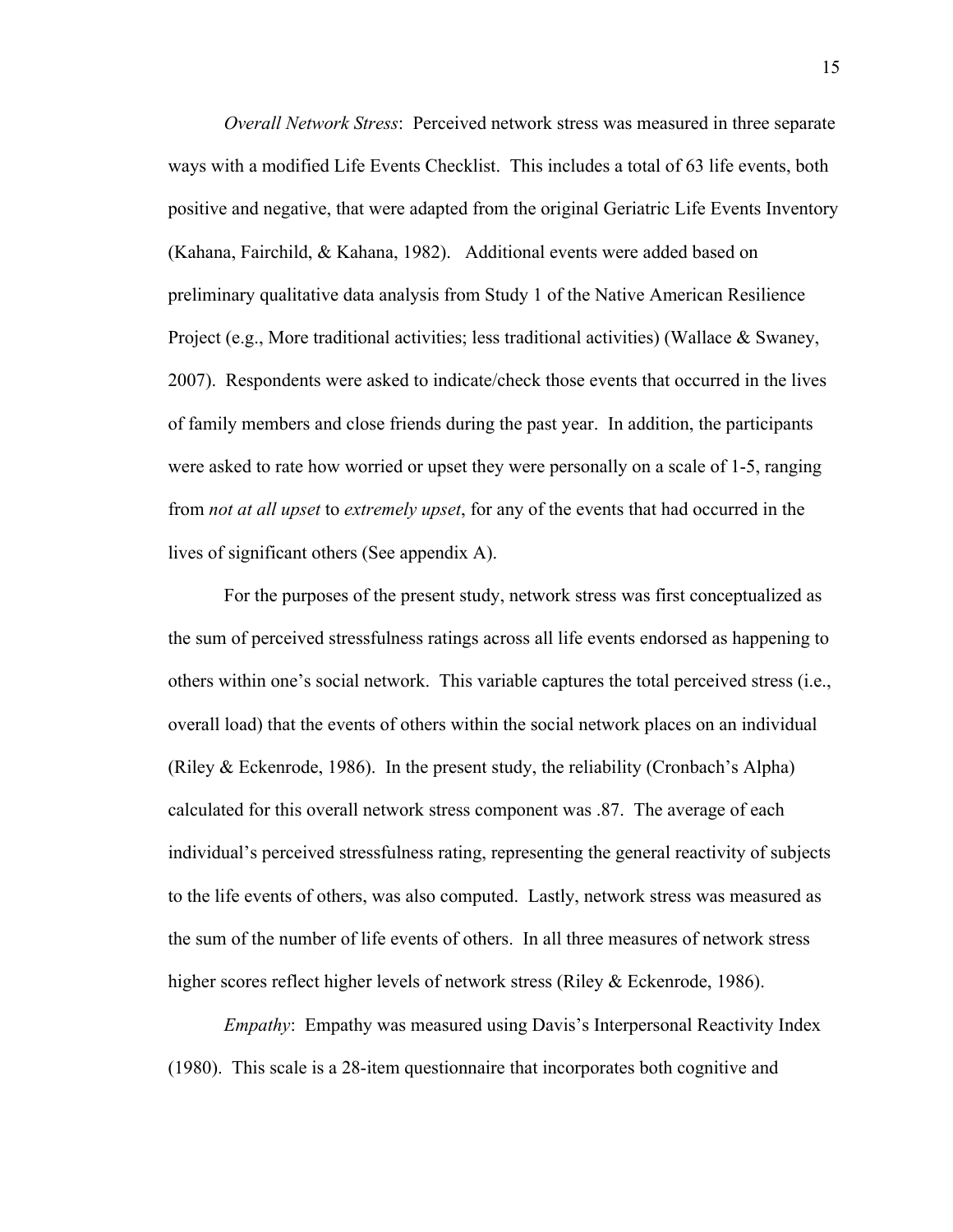*Overall Network Stress*: Perceived network stress was measured in three separate ways with a modified Life Events Checklist. This includes a total of 63 life events, both positive and negative, that were adapted from the original Geriatric Life Events Inventory (Kahana, Fairchild, & Kahana, 1982). Additional events were added based on preliminary qualitative data analysis from Study 1 of the Native American Resilience Project (e.g., More traditional activities; less traditional activities) (Wallace & Swaney, 2007). Respondents were asked to indicate/check those events that occurred in the lives of family members and close friends during the past year. In addition, the participants were asked to rate how worried or upset they were personally on a scale of 1-5, ranging from *not at all upset* to *extremely upset*, for any of the events that had occurred in the lives of significant others (See appendix A).

For the purposes of the present study, network stress was first conceptualized as the sum of perceived stressfulness ratings across all life events endorsed as happening to others within one's social network. This variable captures the total perceived stress (i.e., overall load) that the events of others within the social network places on an individual (Riley & Eckenrode, 1986). In the present study, the reliability (Cronbach's Alpha) calculated for this overall network stress component was .87. The average of each individual's perceived stressfulness rating, representing the general reactivity of subjects to the life events of others, was also computed. Lastly, network stress was measured as the sum of the number of life events of others. In all three measures of network stress higher scores reflect higher levels of network stress (Riley & Eckenrode, 1986).

*Empathy*: Empathy was measured using Davis's Interpersonal Reactivity Index (1980). This scale is a 28-item questionnaire that incorporates both cognitive and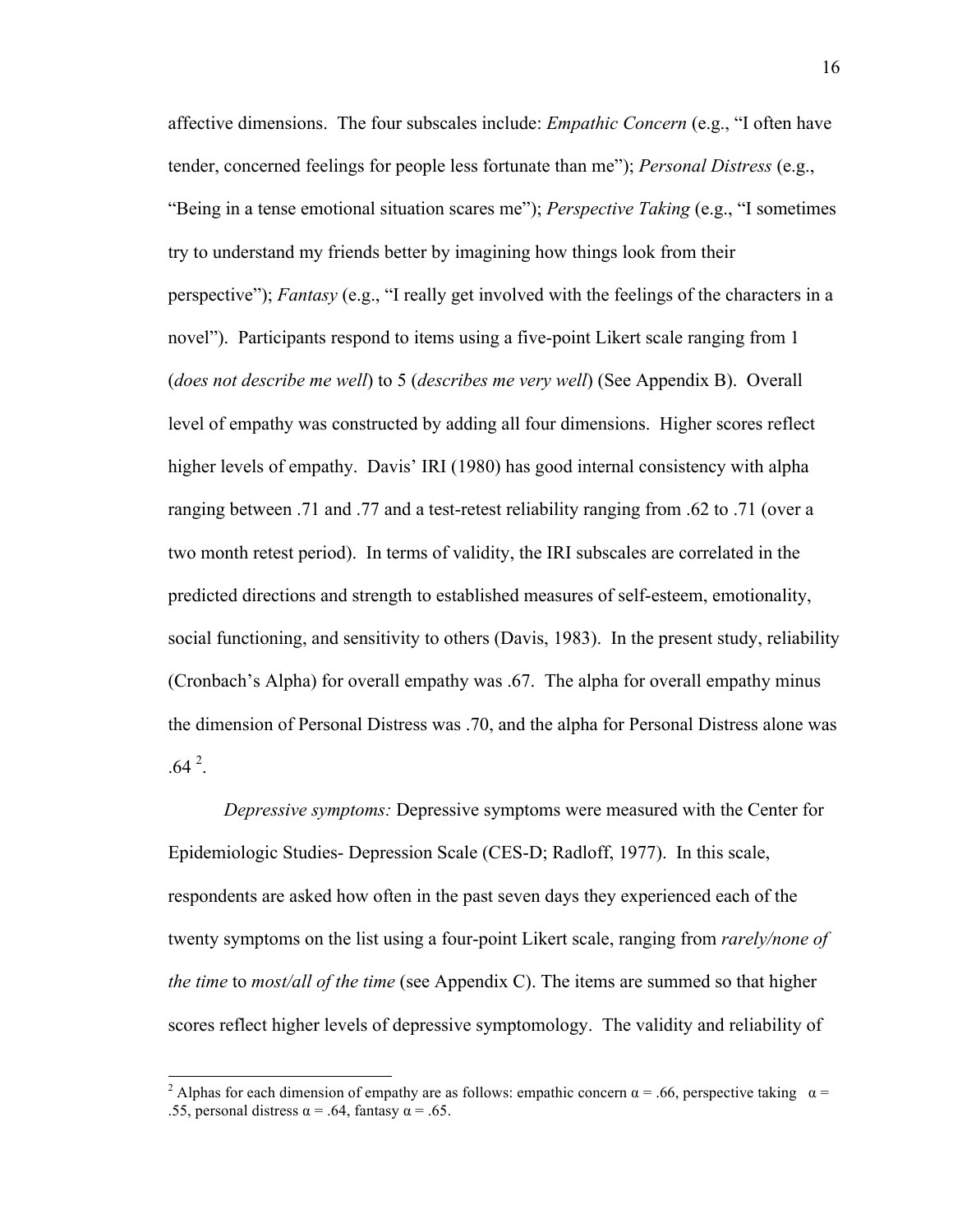affective dimensions. The four subscales include: *Empathic Concern* (e.g., "I often have tender, concerned feelings for people less fortunate than me"); *Personal Distress* (e.g., "Being in a tense emotional situation scares me"); *Perspective Taking* (e.g., "I sometimes try to understand my friends better by imagining how things look from their perspective"); *Fantasy* (e.g., "I really get involved with the feelings of the characters in a novel"). Participants respond to items using a five-point Likert scale ranging from 1 (*does not describe me well*) to 5 (*describes me very well*) (See Appendix B). Overall level of empathy was constructed by adding all four dimensions. Higher scores reflect higher levels of empathy. Davis' IRI (1980) has good internal consistency with alpha ranging between .71 and .77 and a test-retest reliability ranging from .62 to .71 (over a two month retest period). In terms of validity, the IRI subscales are correlated in the predicted directions and strength to established measures of self-esteem, emotionality, social functioning, and sensitivity to others (Davis, 1983). In the present study, reliability (Cronbach's Alpha) for overall empathy was .67. The alpha for overall empathy minus the dimension of Personal Distress was .70, and the alpha for Personal Distress alone was  $.64<sup>2</sup>$ .

*Depressive symptoms:* Depressive symptoms were measured with the Center for Epidemiologic Studies- Depression Scale (CES-D; Radloff, 1977). In this scale, respondents are asked how often in the past seven days they experienced each of the twenty symptoms on the list using a four-point Likert scale, ranging from *rarely/none of the time* to *most/all of the time* (see Appendix C). The items are summed so that higher scores reflect higher levels of depressive symptomology. The validity and reliability of

<sup>&</sup>lt;sup>2</sup> Alphas for each dimension of empathy are as follows: empathic concern  $\alpha$  = .66, perspective taking  $\alpha$  = .55, personal distress  $\alpha = .64$ , fantasy  $\alpha = .65$ .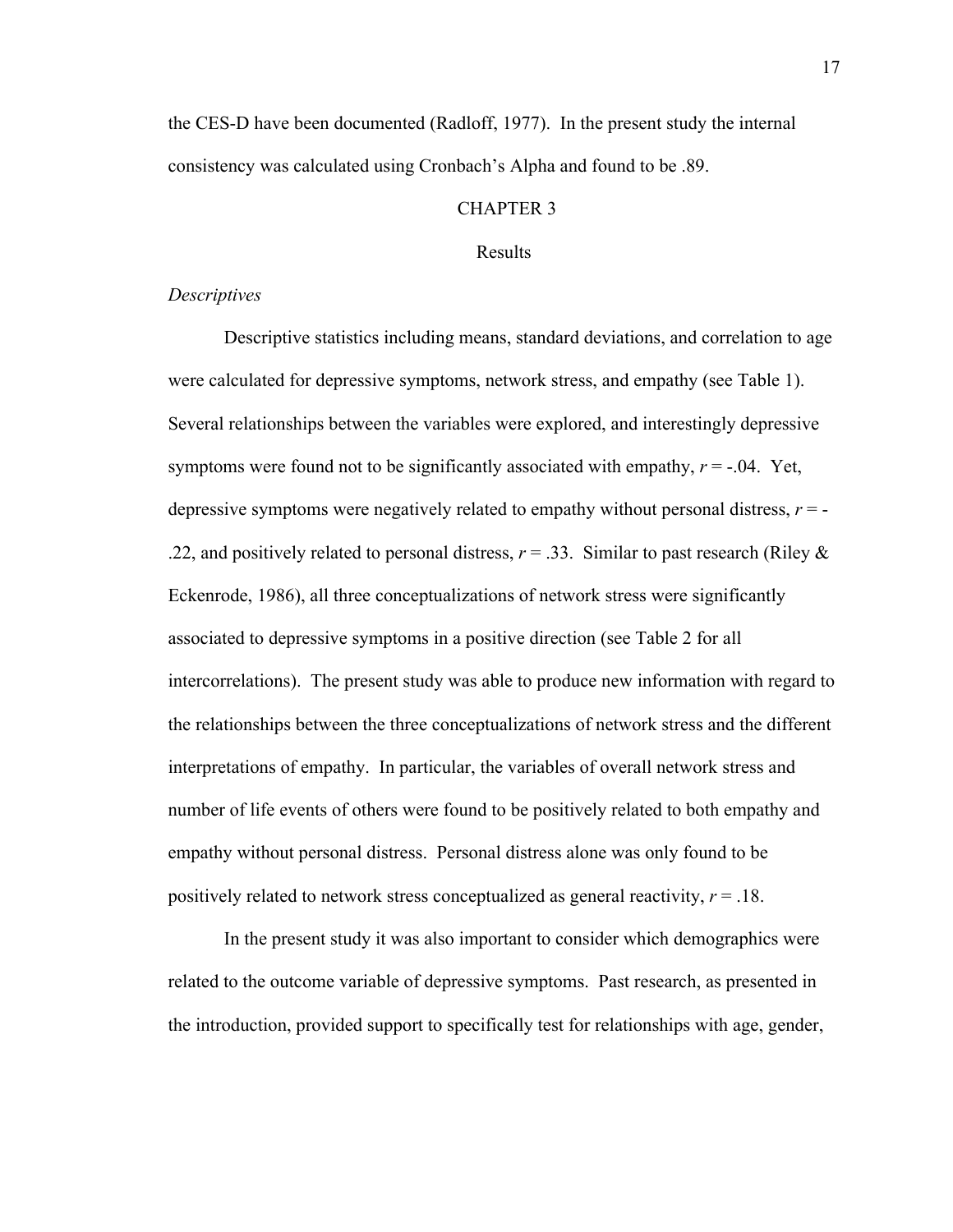the CES-D have been documented (Radloff, 1977). In the present study the internal consistency was calculated using Cronbach's Alpha and found to be .89.

### CHAPTER 3

#### Results

#### *Descriptives*

Descriptive statistics including means, standard deviations, and correlation to age were calculated for depressive symptoms, network stress, and empathy (see Table 1). Several relationships between the variables were explored, and interestingly depressive symptoms were found not to be significantly associated with empathy,  $r = -0.04$ . Yet, depressive symptoms were negatively related to empathy without personal distress,  $r = -$ .22, and positively related to personal distress,  $r = 0.33$ . Similar to past research (Riley  $\&$ Eckenrode, 1986), all three conceptualizations of network stress were significantly associated to depressive symptoms in a positive direction (see Table 2 for all intercorrelations). The present study was able to produce new information with regard to the relationships between the three conceptualizations of network stress and the different interpretations of empathy. In particular, the variables of overall network stress and number of life events of others were found to be positively related to both empathy and empathy without personal distress. Personal distress alone was only found to be positively related to network stress conceptualized as general reactivity, *r* = .18.

In the present study it was also important to consider which demographics were related to the outcome variable of depressive symptoms. Past research, as presented in the introduction, provided support to specifically test for relationships with age, gender,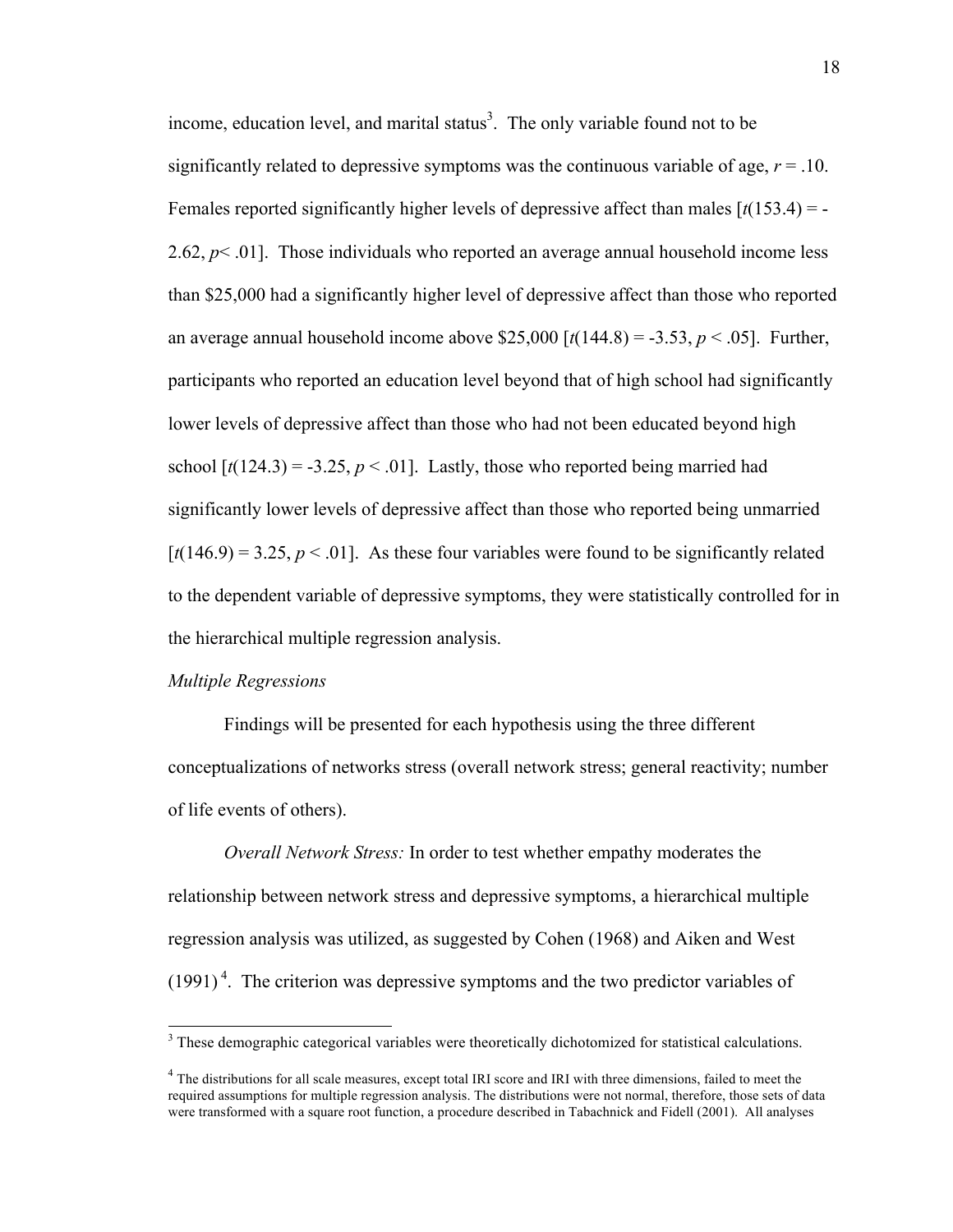income, education level, and marital status<sup>3</sup>. The only variable found not to be significantly related to depressive symptoms was the continuous variable of age,  $r = .10$ . Females reported significantly higher levels of depressive affect than males [*t*(153.4) = - 2.62,  $p$ < .01]. Those individuals who reported an average annual household income less than \$25,000 had a significantly higher level of depressive affect than those who reported an average annual household income above  $$25,000$   $[t(144.8) = -3.53, p < .05]$ . Further, participants who reported an education level beyond that of high school had significantly lower levels of depressive affect than those who had not been educated beyond high school  $\lceil t(124.3) = -3.25, p < .01 \rceil$ . Lastly, those who reported being married had significantly lower levels of depressive affect than those who reported being unmarried  $[t(146.9) = 3.25, p < .01]$ . As these four variables were found to be significantly related to the dependent variable of depressive symptoms, they were statistically controlled for in the hierarchical multiple regression analysis.

#### *Multiple Regressions*

Findings will be presented for each hypothesis using the three different conceptualizations of networks stress (overall network stress; general reactivity; number of life events of others).

*Overall Network Stress:* In order to test whether empathy moderates the relationship between network stress and depressive symptoms, a hierarchical multiple regression analysis was utilized, as suggested by Cohen (1968) and Aiken and West  $(1991)^4$ . The criterion was depressive symptoms and the two predictor variables of

<sup>&</sup>lt;sup>3</sup> These demographic categorical variables were theoretically dichotomized for statistical calculations.

<sup>&</sup>lt;sup>4</sup> The distributions for all scale measures, except total IRI score and IRI with three dimensions, failed to meet the required assumptions for multiple regression analysis. The distributions were not normal, therefore, those sets of data were transformed with a square root function, a procedure described in Tabachnick and Fidell (2001). All analyses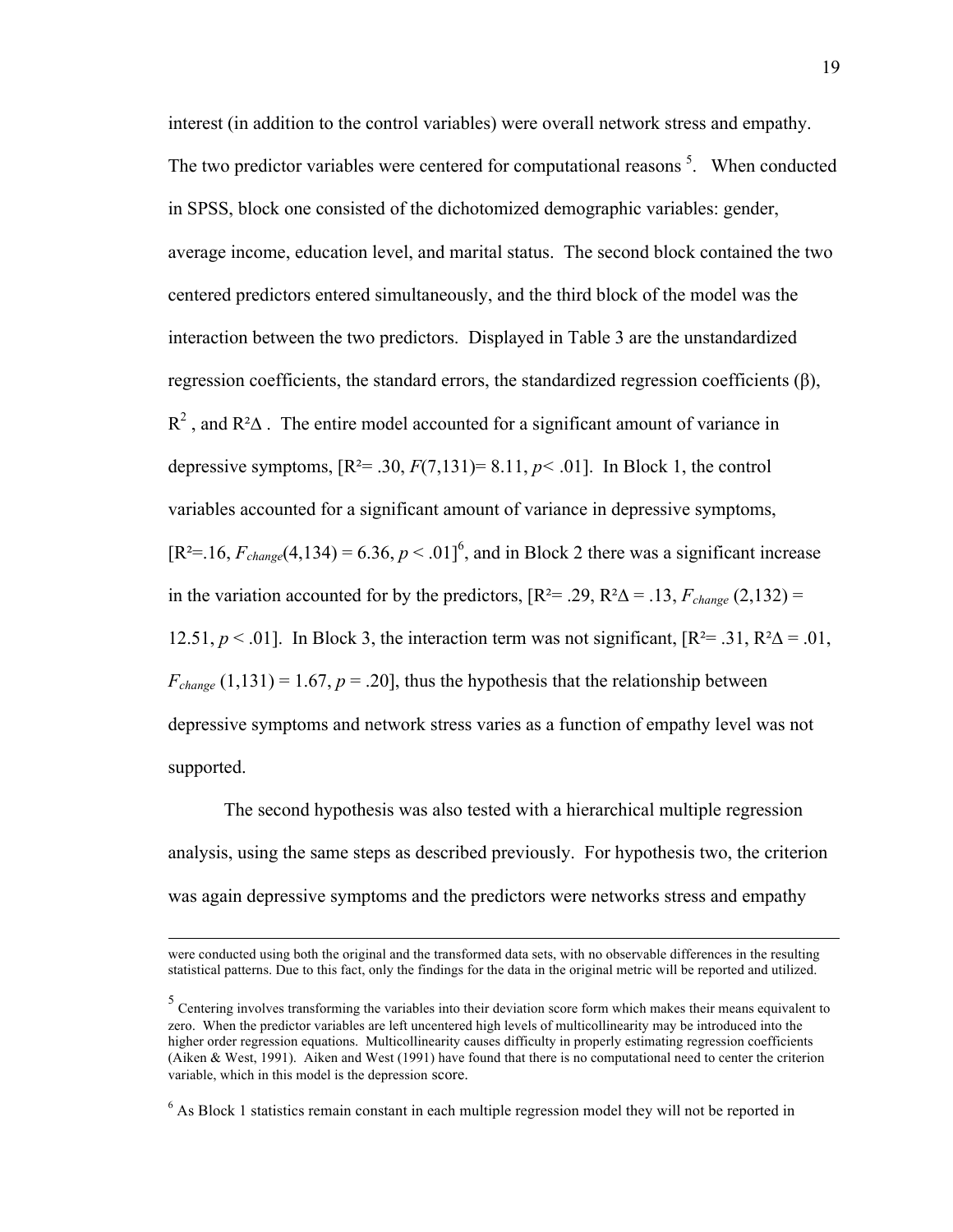interest (in addition to the control variables) were overall network stress and empathy. The two predictor variables were centered for computational reasons<sup>5</sup>. When conducted in SPSS, block one consisted of the dichotomized demographic variables: gender, average income, education level, and marital status. The second block contained the two centered predictors entered simultaneously, and the third block of the model was the interaction between the two predictors. Displayed in Table 3 are the unstandardized regression coefficients, the standard errors, the standardized regression coefficients  $(\beta)$ ,  $R^2$ , and  $R^2\Delta$ . The entire model accounted for a significant amount of variance in depressive symptoms,  $[R^2 = .30, F(7,131) = 8.11, p < .01]$ . In Block 1, the control variables accounted for a significant amount of variance in depressive symptoms,  $[R^2=16, F_{change}(4, 134) = 6.36, p < .01]^6$ , and in Block 2 there was a significant increase in the variation accounted for by the predictors,  $[R^2 = .29, R^2\Delta = .13, F_{change}(2,132) =$ 12.51,  $p < .01$ ]. In Block 3, the interaction term was not significant,  $\mathbb{R}^2 = .31$ ,  $\mathbb{R}^2\Delta = .01$ ,  $F_{change}$  (1,131) = 1.67,  $p = .20$ ], thus the hypothesis that the relationship between depressive symptoms and network stress varies as a function of empathy level was not supported.

The second hypothesis was also tested with a hierarchical multiple regression analysis, using the same steps as described previously. For hypothesis two, the criterion was again depressive symptoms and the predictors were networks stress and empathy

 $\overline{a}$ 

were conducted using both the original and the transformed data sets, with no observable differences in the resulting statistical patterns. Due to this fact, only the findings for the data in the original metric will be reported and utilized.

<sup>&</sup>lt;sup>5</sup> Centering involves transforming the variables into their deviation score form which makes their means equivalent to zero. When the predictor variables are left uncentered high levels of multicollinearity may be introduced into the higher order regression equations. Multicollinearity causes difficulty in properly estimating regression coefficients (Aiken & West, 1991). Aiken and West (1991) have found that there is no computational need to center the criterion variable, which in this model is the depression score.

 $6$  As Block 1 statistics remain constant in each multiple regression model they will not be reported in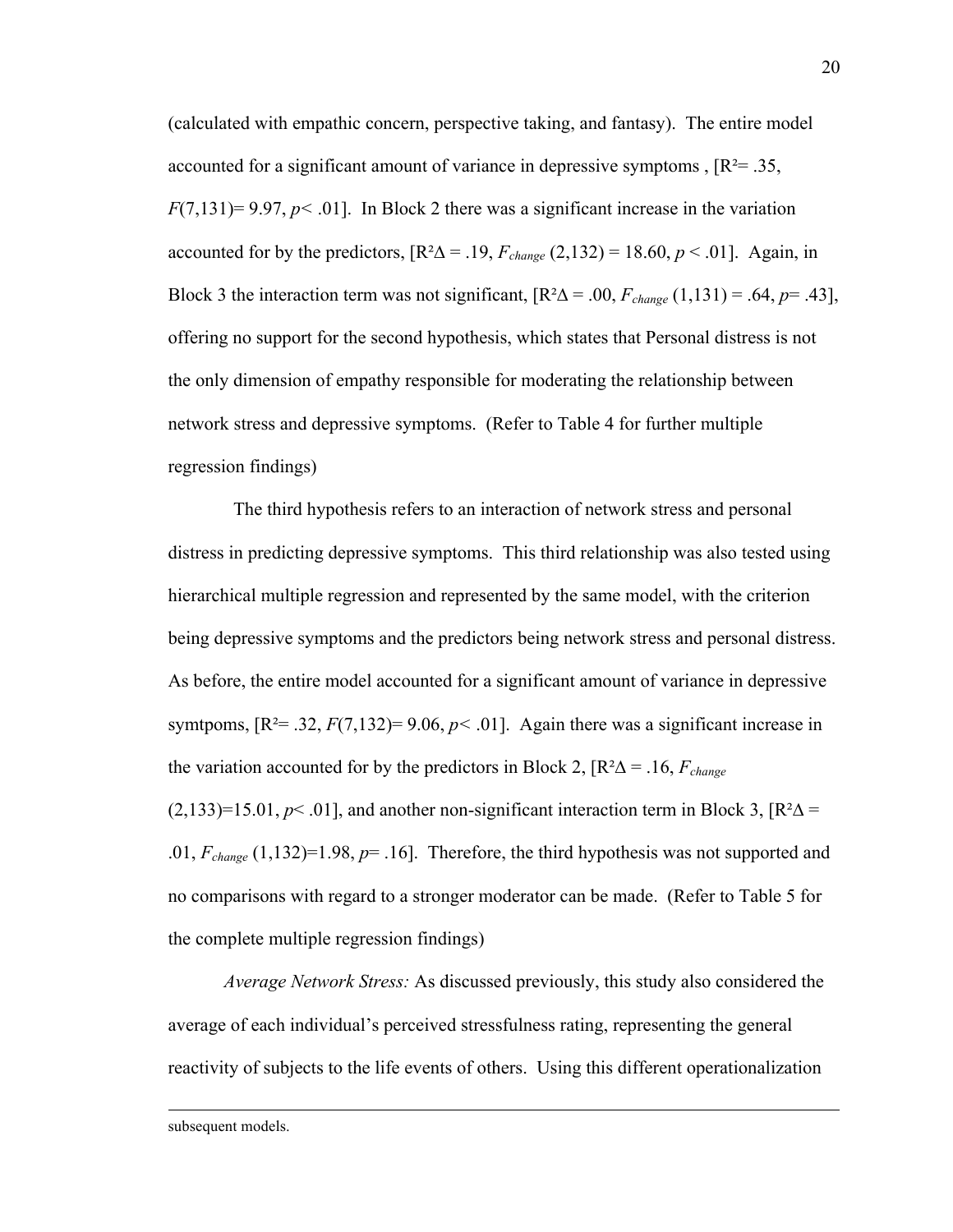(calculated with empathic concern, perspective taking, and fantasy). The entire model accounted for a significant amount of variance in depressive symptoms ,  $[R^2 = .35]$ ,  $F(7,131)=9.97, p<.01$ . In Block 2 there was a significant increase in the variation accounted for by the predictors,  $[R^2\Delta = .19, F_{change} (2,132) = 18.60, p < .01]$ . Again, in Block 3 the interaction term was not significant,  $[R^2\Delta = .00, F_{change}(1,131) = .64, p = .43]$ , offering no support for the second hypothesis, which states that Personal distress is not the only dimension of empathy responsible for moderating the relationship between network stress and depressive symptoms. (Refer to Table 4 for further multiple regression findings)

 The third hypothesis refers to an interaction of network stress and personal distress in predicting depressive symptoms. This third relationship was also tested using hierarchical multiple regression and represented by the same model, with the criterion being depressive symptoms and the predictors being network stress and personal distress. As before, the entire model accounted for a significant amount of variance in depressive symtpoms,  $[R^2 = .32, F(7,132) = 9.06, p < .01]$ . Again there was a significant increase in the variation accounted for by the predictors in Block 2,  $[R^2\Delta = .16, F_{change}$  $(2,133)=15.01, p<.01$ ], and another non-significant interaction term in Block 3,  $\mathbb{R}^2\Delta =$ .01, *Fchange* (1,132)=1.98, *p*= .16]. Therefore, the third hypothesis was not supported and no comparisons with regard to a stronger moderator can be made. (Refer to Table 5 for the complete multiple regression findings)

*Average Network Stress:* As discussed previously, this study also considered the average of each individual's perceived stressfulness rating, representing the general reactivity of subjects to the life events of others. Using this different operationalization

subsequent models.

 $\overline{\phantom{a}}$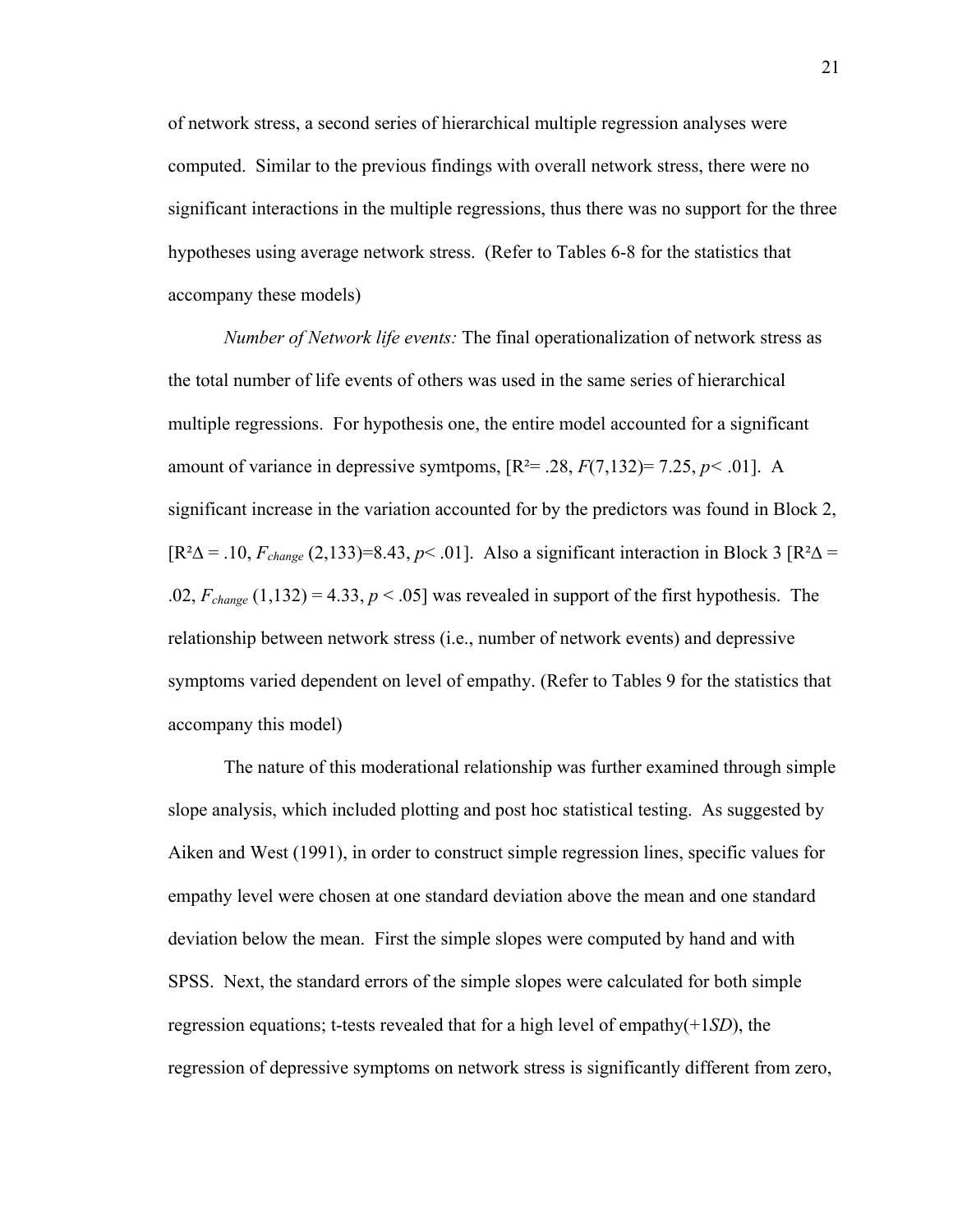of network stress, a second series of hierarchical multiple regression analyses were computed. Similar to the previous findings with overall network stress, there were no significant interactions in the multiple regressions, thus there was no support for the three hypotheses using average network stress. (Refer to Tables 6-8 for the statistics that accompany these models)

*Number of Network life events:* The final operationalization of network stress as the total number of life events of others was used in the same series of hierarchical multiple regressions. For hypothesis one, the entire model accounted for a significant amount of variance in depressive symtpoms,  $[R^2 = .28, F(7,132) = 7.25, p < .01]$ . A significant increase in the variation accounted for by the predictors was found in Block 2,  $[R^2\Delta = .10, F_{change} (2, 133)=8.43, p< .01]$ . Also a significant interaction in Block 3  $[R^2\Delta = .10, F_{change} (2, 133)=8.43, p< .01]$ . .02,  $F_{change}$  (1,132) = 4.33,  $p < .05$ ] was revealed in support of the first hypothesis. The relationship between network stress (i.e., number of network events) and depressive symptoms varied dependent on level of empathy. (Refer to Tables 9 for the statistics that accompany this model)

The nature of this moderational relationship was further examined through simple slope analysis, which included plotting and post hoc statistical testing. As suggested by Aiken and West (1991), in order to construct simple regression lines, specific values for empathy level were chosen at one standard deviation above the mean and one standard deviation below the mean. First the simple slopes were computed by hand and with SPSS. Next, the standard errors of the simple slopes were calculated for both simple regression equations; t-tests revealed that for a high level of empathy(+1*SD*), the regression of depressive symptoms on network stress is significantly different from zero,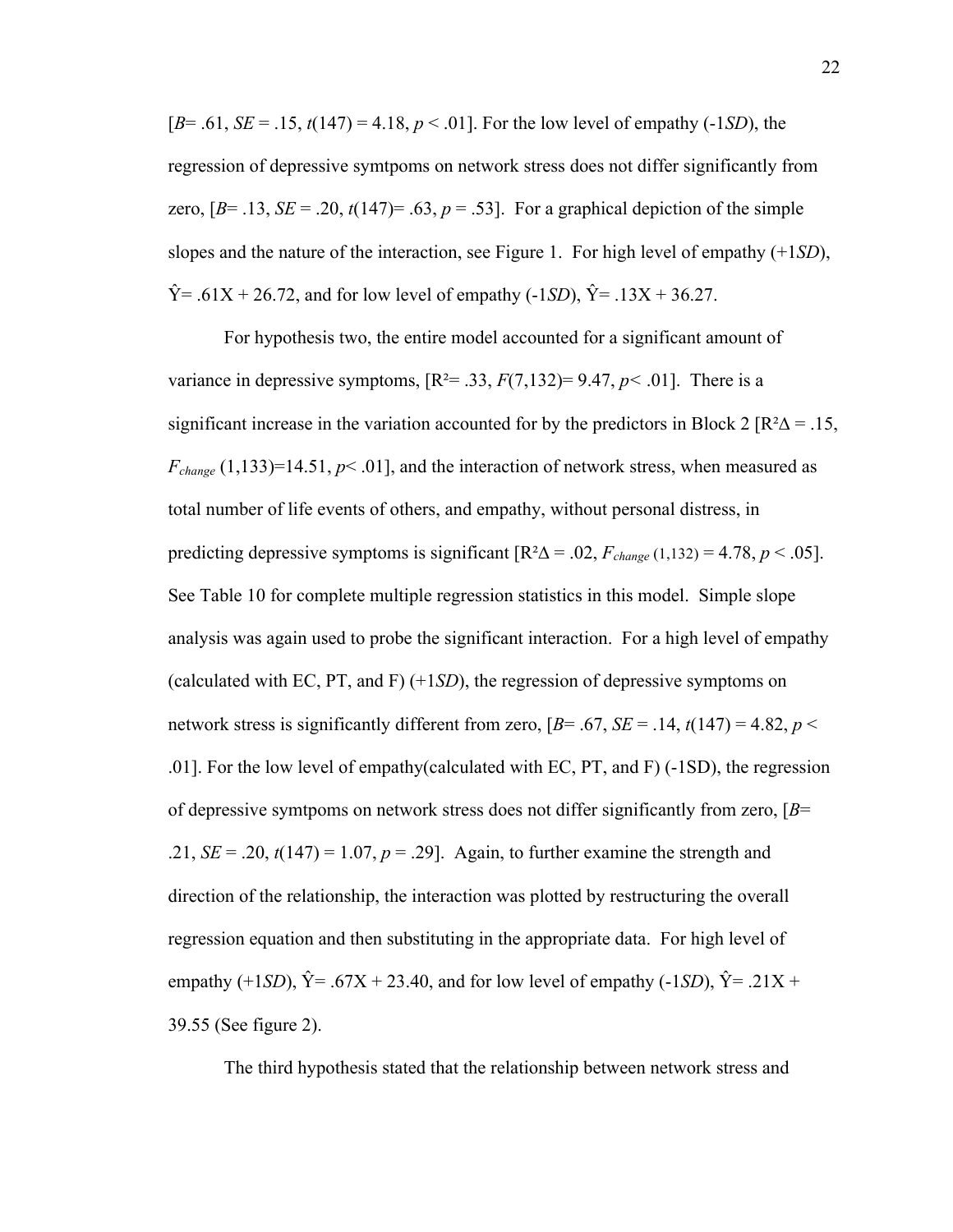[*B*= .61, *SE* = .15, *t*(147) = 4.18, *p* < .01]. For the low level of empathy (-1*SD*), the regression of depressive symtpoms on network stress does not differ significantly from zero,  $[B= .13, SE = .20, t(147) = .63, p = .53]$ . For a graphical depiction of the simple slopes and the nature of the interaction, see Figure 1. For high level of empathy (+1*SD*),  $\hat{Y} = .61X + 26.72$ , and for low level of empathy (-1*SD*),  $\hat{Y} = .13X + 36.27$ .

For hypothesis two, the entire model accounted for a significant amount of variance in depressive symptoms,  $[R^2 = .33, F(7,132) = 9.47, p < .01]$ . There is a significant increase in the variation accounted for by the predictors in Block 2  $\left[\mathbb{R}^2\Delta\right] = .15$ ,  $F_{change}$  (1,133)=14.51,  $p$ < .01], and the interaction of network stress, when measured as total number of life events of others, and empathy, without personal distress, in predicting depressive symptoms is significant  $[R^2\Delta = .02, F_{change}(1,132) = 4.78, p < .05]$ . See Table 10 for complete multiple regression statistics in this model. Simple slope analysis was again used to probe the significant interaction. For a high level of empathy (calculated with EC, PT, and F) (+1*SD*), the regression of depressive symptoms on network stress is significantly different from zero,  $[B= .67, SE = .14, t(147) = 4.82, p <$ .01]. For the low level of empathy(calculated with EC, PT, and F) (-1SD), the regression of depressive symtpoms on network stress does not differ significantly from zero, [*B*= .21,  $SE = .20$ ,  $t(147) = 1.07$ ,  $p = .29$ ]. Again, to further examine the strength and direction of the relationship, the interaction was plotted by restructuring the overall regression equation and then substituting in the appropriate data. For high level of empathy (+1*SD*),  $\hat{Y} = .67X + 23.40$ , and for low level of empathy (-1*SD*),  $\hat{Y} = .21X +$ 39.55 (See figure 2).

The third hypothesis stated that the relationship between network stress and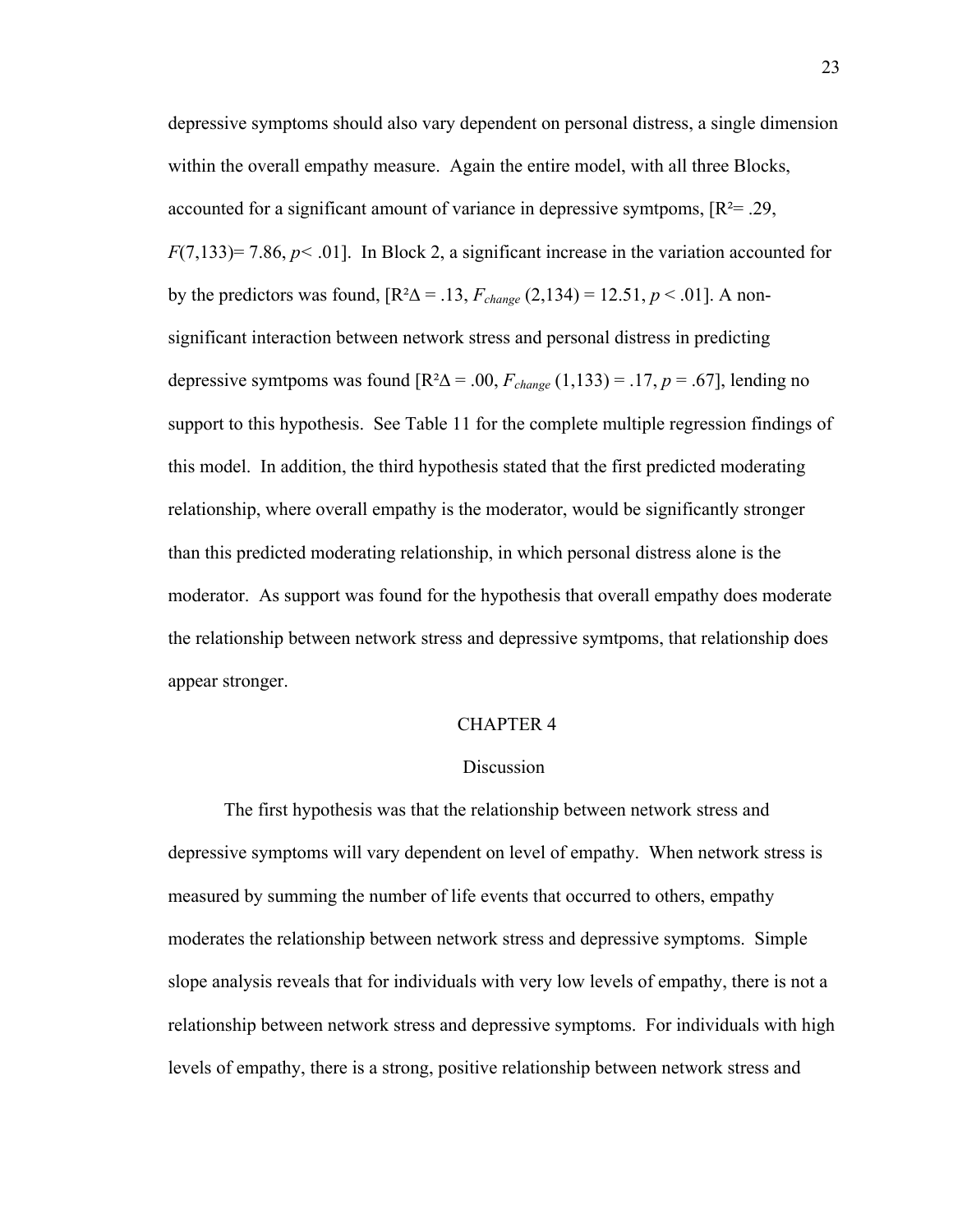depressive symptoms should also vary dependent on personal distress, a single dimension within the overall empathy measure. Again the entire model, with all three Blocks, accounted for a significant amount of variance in depressive symtpoms,  $[R^2 = .29]$ ,  $F(7,133) = 7.86, p < .01$ ]. In Block 2, a significant increase in the variation accounted for by the predictors was found,  $[R^2\Delta = .13, F_{change} (2,134) = 12.51, p < .01]$ . A nonsignificant interaction between network stress and personal distress in predicting depressive symtpoms was found  $[R^2\Delta = .00, F_{change} (1,133) = .17, p = .67]$ , lending no support to this hypothesis. See Table 11 for the complete multiple regression findings of this model. In addition, the third hypothesis stated that the first predicted moderating relationship, where overall empathy is the moderator, would be significantly stronger than this predicted moderating relationship, in which personal distress alone is the moderator. As support was found for the hypothesis that overall empathy does moderate the relationship between network stress and depressive symtpoms, that relationship does appear stronger.

#### CHAPTER 4

#### Discussion

The first hypothesis was that the relationship between network stress and depressive symptoms will vary dependent on level of empathy. When network stress is measured by summing the number of life events that occurred to others, empathy moderates the relationship between network stress and depressive symptoms. Simple slope analysis reveals that for individuals with very low levels of empathy, there is not a relationship between network stress and depressive symptoms. For individuals with high levels of empathy, there is a strong, positive relationship between network stress and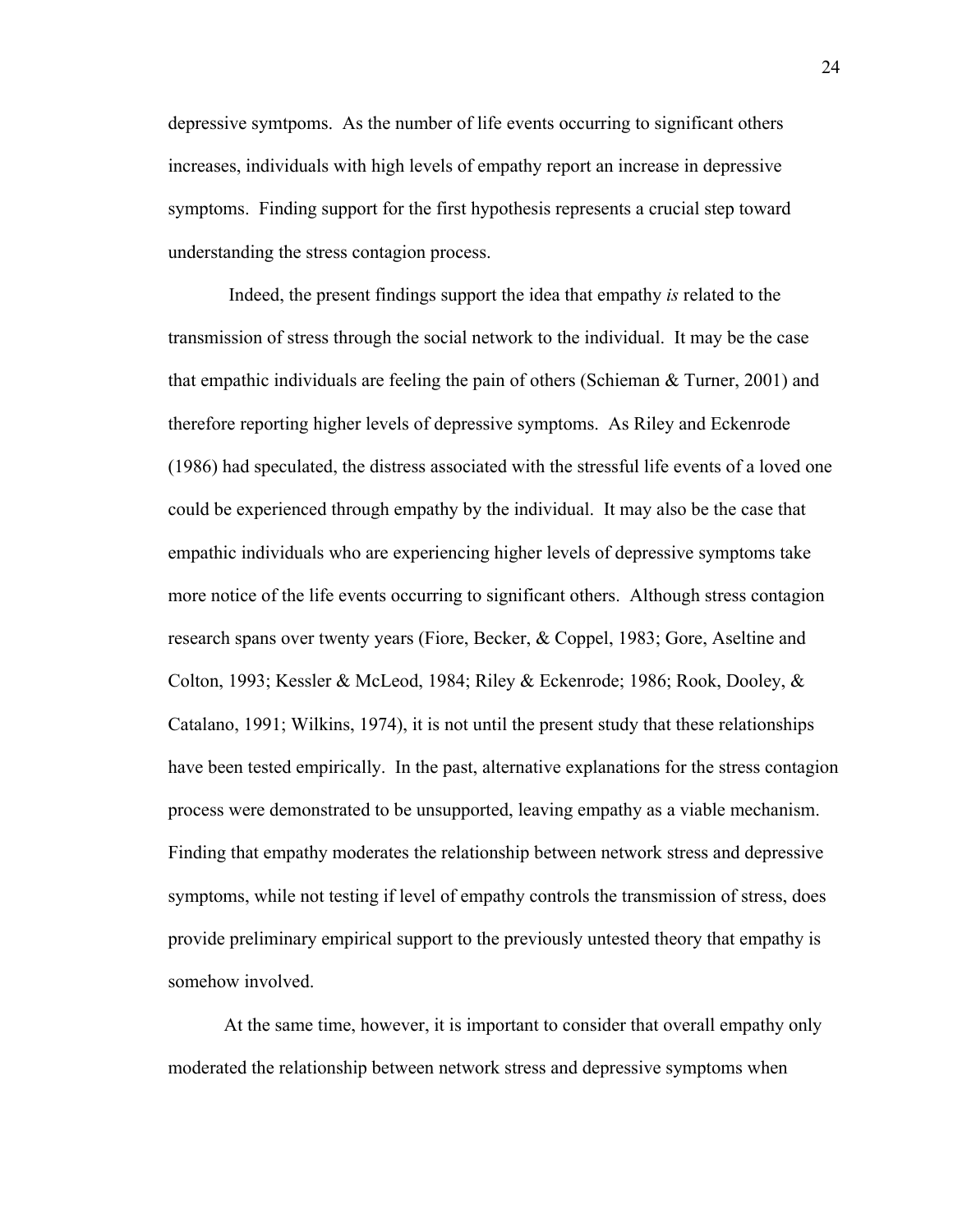depressive symtpoms. As the number of life events occurring to significant others increases, individuals with high levels of empathy report an increase in depressive symptoms. Finding support for the first hypothesis represents a crucial step toward understanding the stress contagion process.

 Indeed, the present findings support the idea that empathy *is* related to the transmission of stress through the social network to the individual. It may be the case that empathic individuals are feeling the pain of others (Schieman & Turner, 2001) and therefore reporting higher levels of depressive symptoms. As Riley and Eckenrode (1986) had speculated, the distress associated with the stressful life events of a loved one could be experienced through empathy by the individual. It may also be the case that empathic individuals who are experiencing higher levels of depressive symptoms take more notice of the life events occurring to significant others. Although stress contagion research spans over twenty years (Fiore, Becker, & Coppel, 1983; Gore, Aseltine and Colton, 1993; Kessler & McLeod, 1984; Riley & Eckenrode; 1986; Rook, Dooley, & Catalano, 1991; Wilkins, 1974), it is not until the present study that these relationships have been tested empirically. In the past, alternative explanations for the stress contagion process were demonstrated to be unsupported, leaving empathy as a viable mechanism. Finding that empathy moderates the relationship between network stress and depressive symptoms, while not testing if level of empathy controls the transmission of stress, does provide preliminary empirical support to the previously untested theory that empathy is somehow involved.

At the same time, however, it is important to consider that overall empathy only moderated the relationship between network stress and depressive symptoms when

24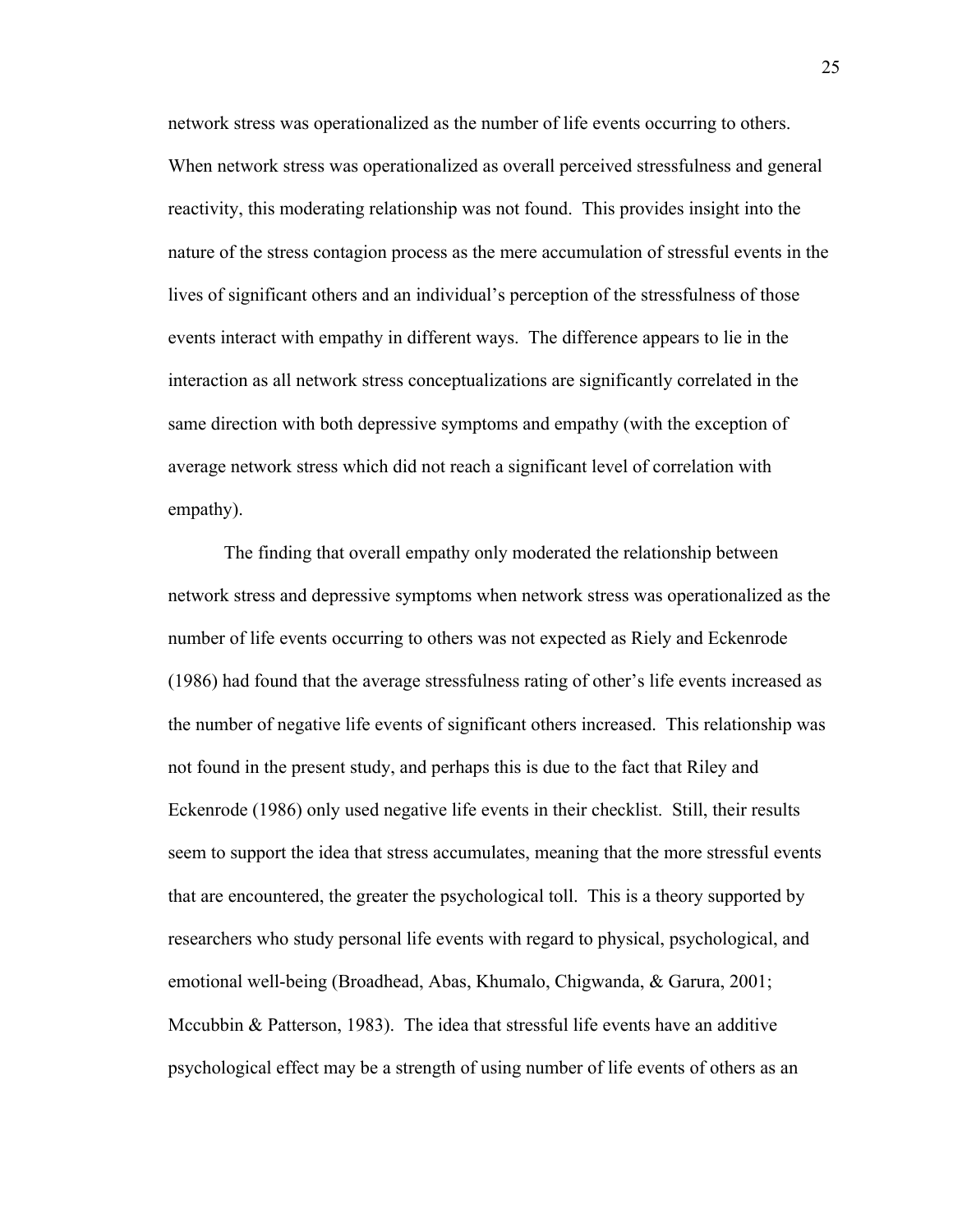network stress was operationalized as the number of life events occurring to others. When network stress was operationalized as overall perceived stressfulness and general reactivity, this moderating relationship was not found. This provides insight into the nature of the stress contagion process as the mere accumulation of stressful events in the lives of significant others and an individual's perception of the stressfulness of those events interact with empathy in different ways. The difference appears to lie in the interaction as all network stress conceptualizations are significantly correlated in the same direction with both depressive symptoms and empathy (with the exception of average network stress which did not reach a significant level of correlation with empathy).

The finding that overall empathy only moderated the relationship between network stress and depressive symptoms when network stress was operationalized as the number of life events occurring to others was not expected as Riely and Eckenrode (1986) had found that the average stressfulness rating of other's life events increased as the number of negative life events of significant others increased. This relationship was not found in the present study, and perhaps this is due to the fact that Riley and Eckenrode (1986) only used negative life events in their checklist. Still, their results seem to support the idea that stress accumulates, meaning that the more stressful events that are encountered, the greater the psychological toll. This is a theory supported by researchers who study personal life events with regard to physical, psychological, and emotional well-being (Broadhead, Abas, Khumalo, Chigwanda, & Garura, 2001; Mccubbin & Patterson, 1983). The idea that stressful life events have an additive psychological effect may be a strength of using number of life events of others as an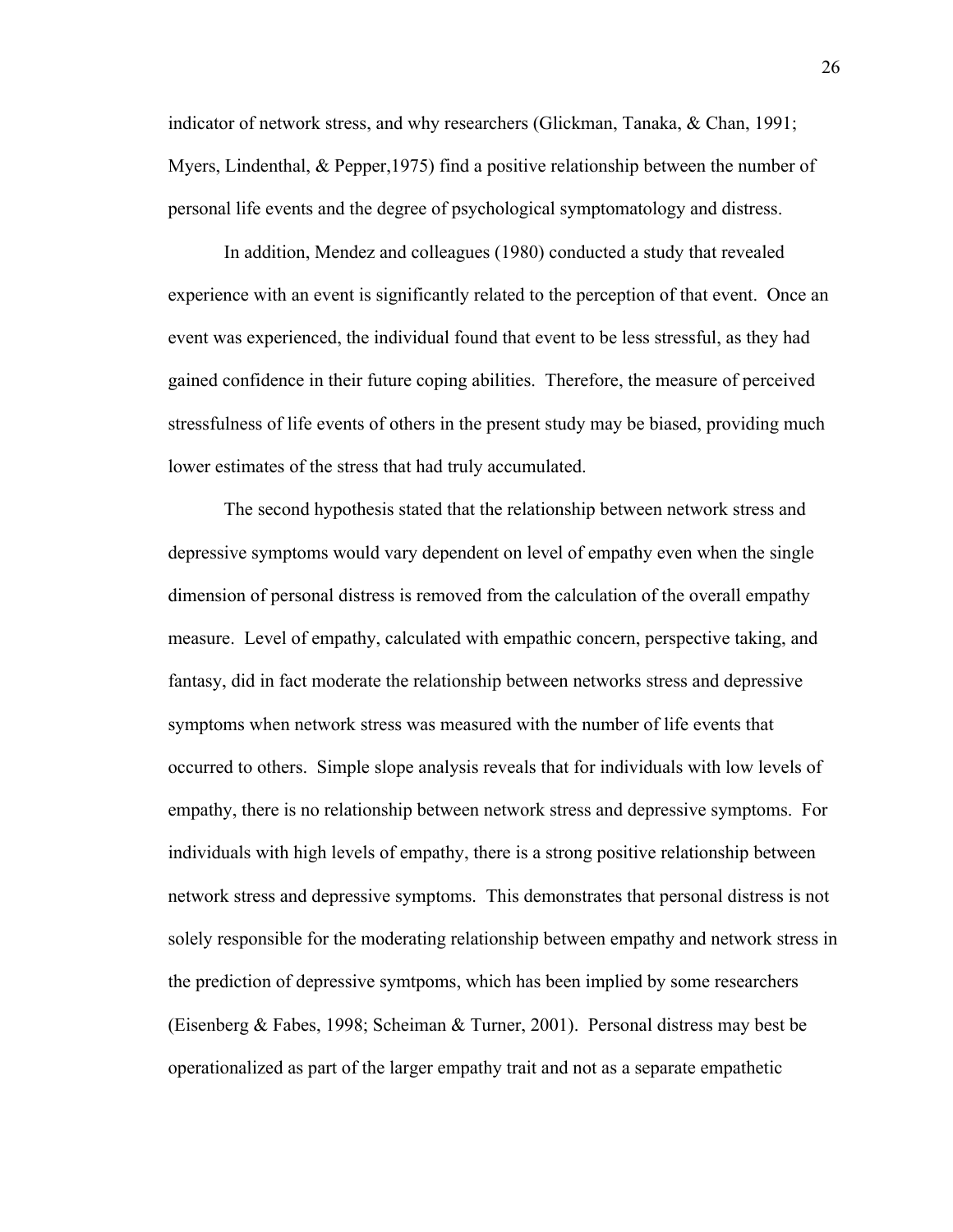indicator of network stress, and why researchers (Glickman, Tanaka, & Chan, 1991; Myers, Lindenthal,  $\&$  Pepper, 1975) find a positive relationship between the number of personal life events and the degree of psychological symptomatology and distress.

In addition, Mendez and colleagues (1980) conducted a study that revealed experience with an event is significantly related to the perception of that event. Once an event was experienced, the individual found that event to be less stressful, as they had gained confidence in their future coping abilities. Therefore, the measure of perceived stressfulness of life events of others in the present study may be biased, providing much lower estimates of the stress that had truly accumulated.

The second hypothesis stated that the relationship between network stress and depressive symptoms would vary dependent on level of empathy even when the single dimension of personal distress is removed from the calculation of the overall empathy measure. Level of empathy, calculated with empathic concern, perspective taking, and fantasy, did in fact moderate the relationship between networks stress and depressive symptoms when network stress was measured with the number of life events that occurred to others. Simple slope analysis reveals that for individuals with low levels of empathy, there is no relationship between network stress and depressive symptoms. For individuals with high levels of empathy, there is a strong positive relationship between network stress and depressive symptoms. This demonstrates that personal distress is not solely responsible for the moderating relationship between empathy and network stress in the prediction of depressive symtpoms, which has been implied by some researchers (Eisenberg & Fabes, 1998; Scheiman & Turner, 2001). Personal distress may best be operationalized as part of the larger empathy trait and not as a separate empathetic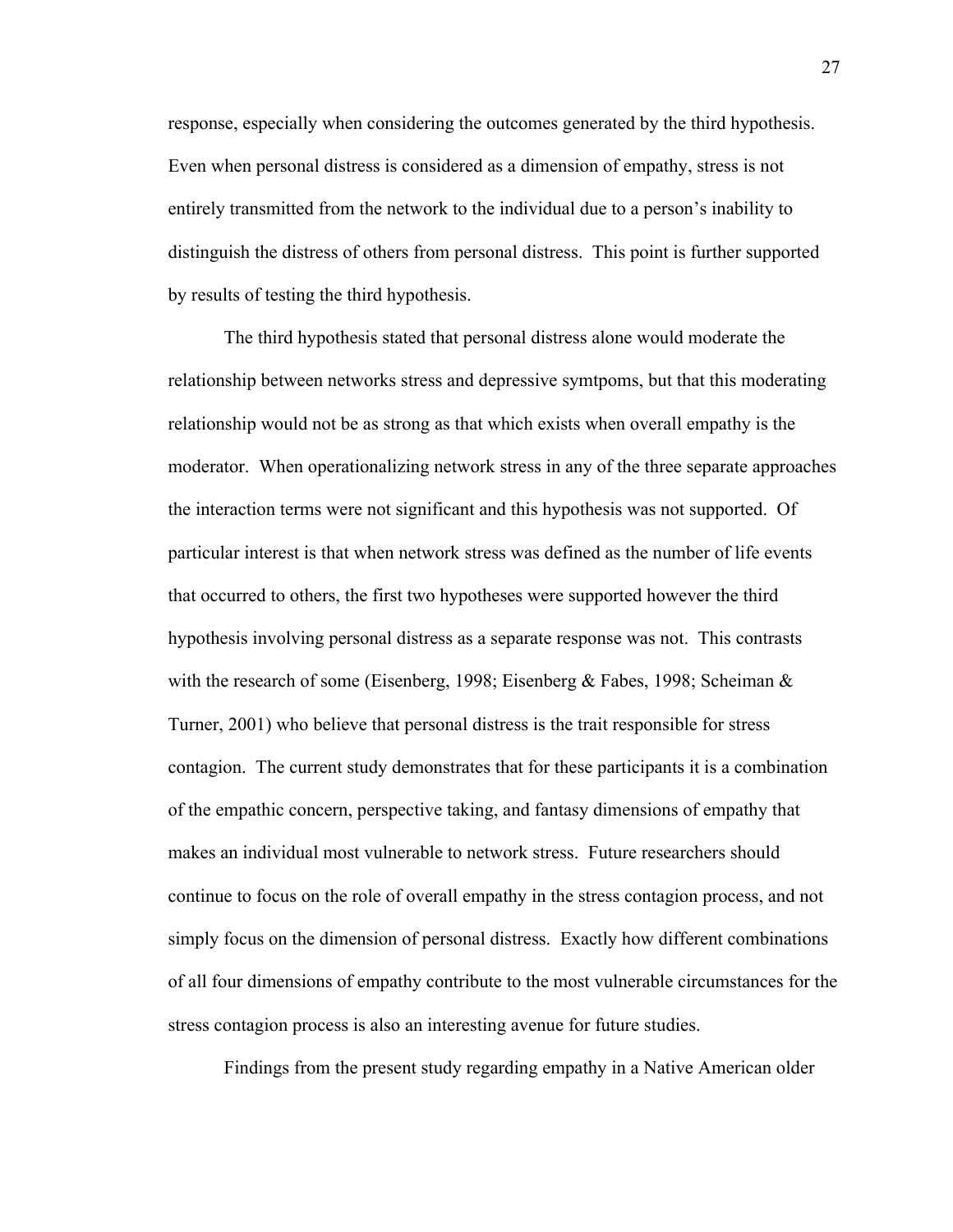response, especially when considering the outcomes generated by the third hypothesis. Even when personal distress is considered as a dimension of empathy, stress is not entirely transmitted from the network to the individual due to a person's inability to distinguish the distress of others from personal distress. This point is further supported by results of testing the third hypothesis.

The third hypothesis stated that personal distress alone would moderate the relationship between networks stress and depressive symtpoms, but that this moderating relationship would not be as strong as that which exists when overall empathy is the moderator. When operationalizing network stress in any of the three separate approaches the interaction terms were not significant and this hypothesis was not supported. Of particular interest is that when network stress was defined as the number of life events that occurred to others, the first two hypotheses were supported however the third hypothesis involving personal distress as a separate response was not. This contrasts with the research of some (Eisenberg, 1998; Eisenberg & Fabes, 1998; Scheiman & Turner, 2001) who believe that personal distress is the trait responsible for stress contagion. The current study demonstrates that for these participants it is a combination of the empathic concern, perspective taking, and fantasy dimensions of empathy that makes an individual most vulnerable to network stress. Future researchers should continue to focus on the role of overall empathy in the stress contagion process, and not simply focus on the dimension of personal distress. Exactly how different combinations of all four dimensions of empathy contribute to the most vulnerable circumstances for the stress contagion process is also an interesting avenue for future studies.

Findings from the present study regarding empathy in a Native American older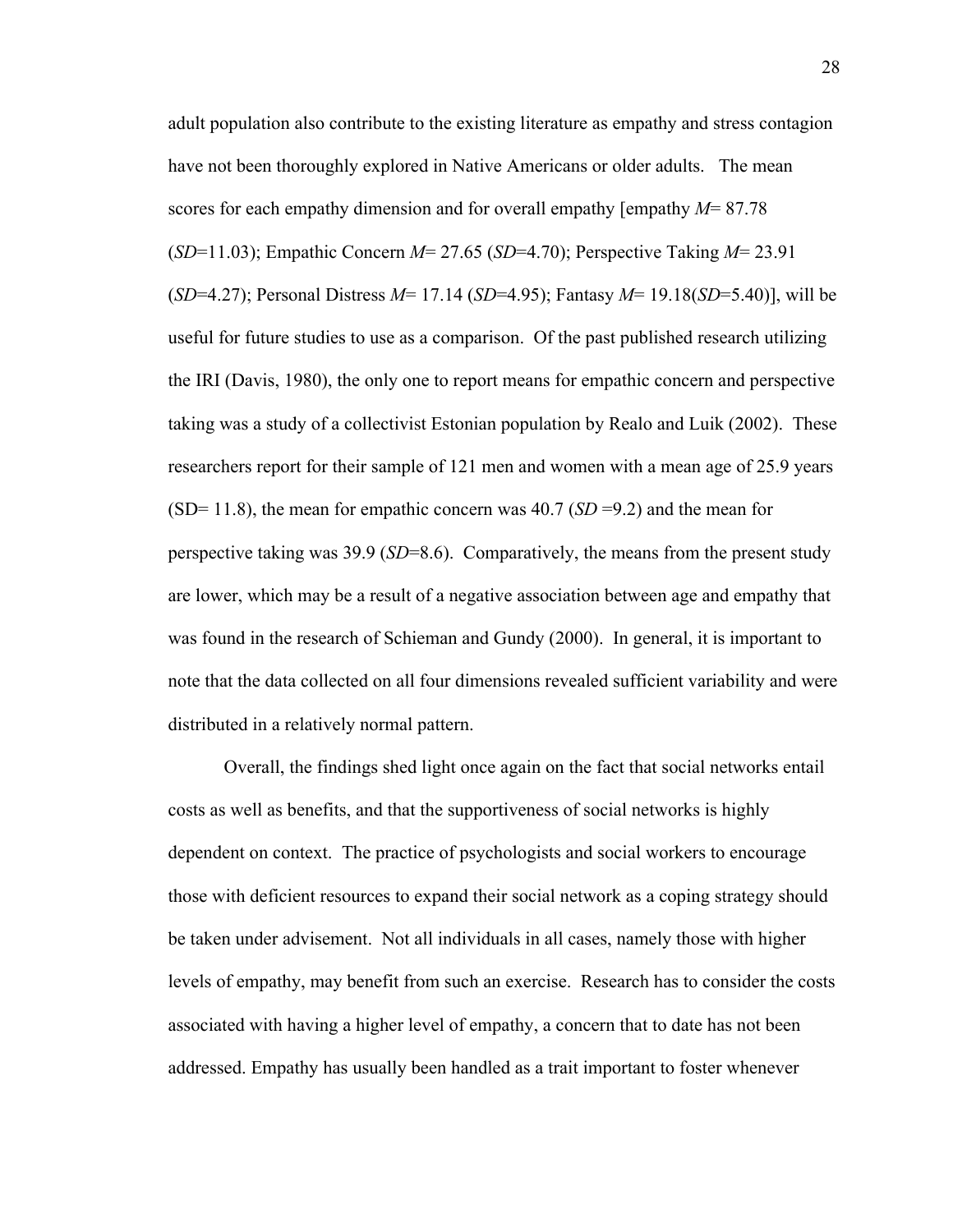adult population also contribute to the existing literature as empathy and stress contagion have not been thoroughly explored in Native Americans or older adults. The mean scores for each empathy dimension and for overall empathy [empathy *M*= 87.78 (*SD*=11.03); Empathic Concern *M*= 27.65 (*SD*=4.70); Perspective Taking *M*= 23.91 (*SD*=4.27); Personal Distress *M*= 17.14 (*SD*=4.95); Fantasy *M*= 19.18(*SD*=5.40)], will be useful for future studies to use as a comparison. Of the past published research utilizing the IRI (Davis, 1980), the only one to report means for empathic concern and perspective taking was a study of a collectivist Estonian population by Realo and Luik (2002). These researchers report for their sample of 121 men and women with a mean age of 25.9 years (SD= 11.8), the mean for empathic concern was  $40.7$  (*SD* =9.2) and the mean for perspective taking was 39.9 (*SD*=8.6). Comparatively, the means from the present study are lower, which may be a result of a negative association between age and empathy that was found in the research of Schieman and Gundy (2000). In general, it is important to note that the data collected on all four dimensions revealed sufficient variability and were distributed in a relatively normal pattern.

Overall, the findings shed light once again on the fact that social networks entail costs as well as benefits, and that the supportiveness of social networks is highly dependent on context. The practice of psychologists and social workers to encourage those with deficient resources to expand their social network as a coping strategy should be taken under advisement. Not all individuals in all cases, namely those with higher levels of empathy, may benefit from such an exercise. Research has to consider the costs associated with having a higher level of empathy, a concern that to date has not been addressed. Empathy has usually been handled as a trait important to foster whenever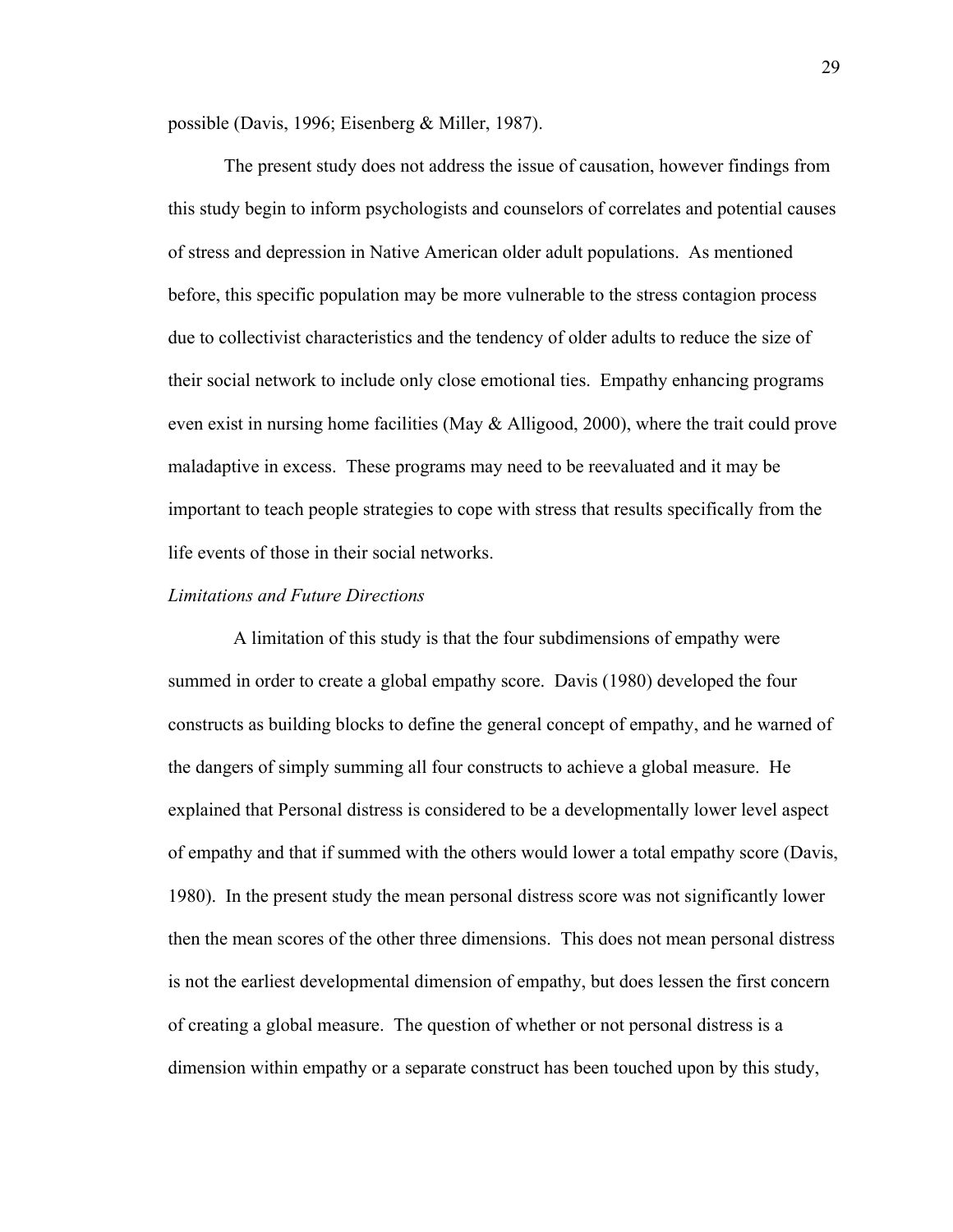possible (Davis, 1996; Eisenberg & Miller, 1987).

The present study does not address the issue of causation, however findings from this study begin to inform psychologists and counselors of correlates and potential causes of stress and depression in Native American older adult populations.As mentioned before, this specific population may be more vulnerable to the stress contagion process due to collectivist characteristics and the tendency of older adults to reduce the size of their social network to include only close emotional ties. Empathy enhancing programs even exist in nursing home facilities (May  $\&$  Alligood, 2000), where the trait could prove maladaptive in excess. These programs may need to be reevaluated and it may be important to teach people strategies to cope with stress that results specifically from the life events of those in their social networks.

#### *Limitations and Future Directions*

A limitation of this study is that the four subdimensions of empathy were summed in order to create a global empathy score. Davis (1980) developed the four constructs as building blocks to define the general concept of empathy, and he warned of the dangers of simply summing all four constructs to achieve a global measure. He explained that Personal distress is considered to be a developmentally lower level aspect of empathy and that if summed with the others would lower a total empathy score (Davis, 1980). In the present study the mean personal distress score was not significantly lower then the mean scores of the other three dimensions. This does not mean personal distress is not the earliest developmental dimension of empathy, but does lessen the first concern of creating a global measure. The question of whether or not personal distress is a dimension within empathy or a separate construct has been touched upon by this study,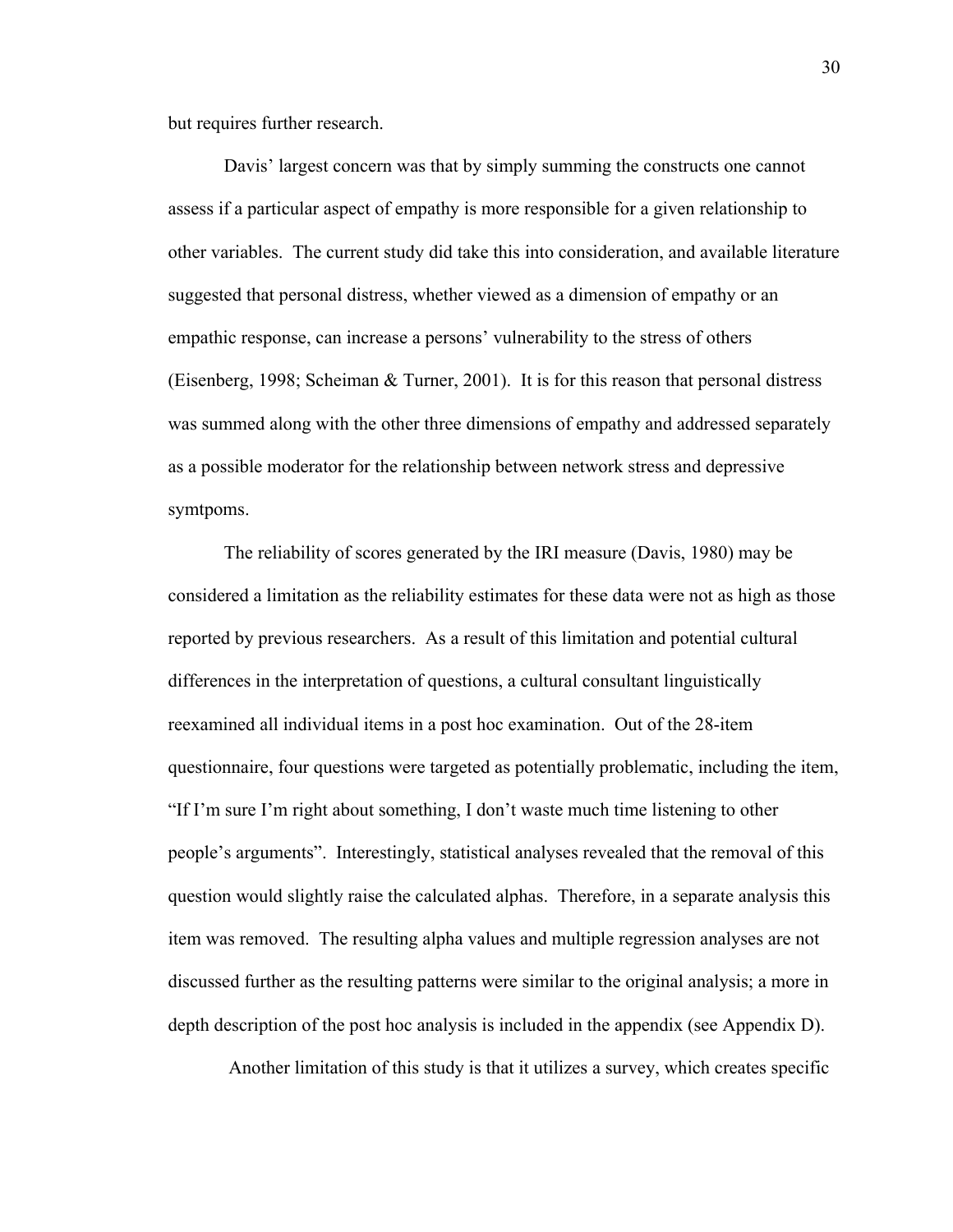but requires further research.

Davis' largest concern was that by simply summing the constructs one cannot assess if a particular aspect of empathy is more responsible for a given relationship to other variables. The current study did take this into consideration, and available literature suggested that personal distress, whether viewed as a dimension of empathy or an empathic response, can increase a persons' vulnerability to the stress of others (Eisenberg, 1998; Scheiman & Turner, 2001). It is for this reason that personal distress was summed along with the other three dimensions of empathy and addressed separately as a possible moderator for the relationship between network stress and depressive symtpoms.

The reliability of scores generated by the IRI measure (Davis, 1980) may be considered a limitation as the reliability estimates for these data were not as high as those reported by previous researchers. As a result of this limitation and potential cultural differences in the interpretation of questions, a cultural consultant linguistically reexamined all individual items in a post hoc examination. Out of the 28-item questionnaire, four questions were targeted as potentially problematic, including the item, "If I'm sure I'm right about something, I don't waste much time listening to other people's arguments". Interestingly, statistical analyses revealed that the removal of this question would slightly raise the calculated alphas. Therefore, in a separate analysis this item was removed. The resulting alpha values and multiple regression analyses are not discussed further as the resulting patterns were similar to the original analysis; a more in depth description of the post hoc analysis is included in the appendix (see Appendix D).

Another limitation of this study is that it utilizes a survey, which creates specific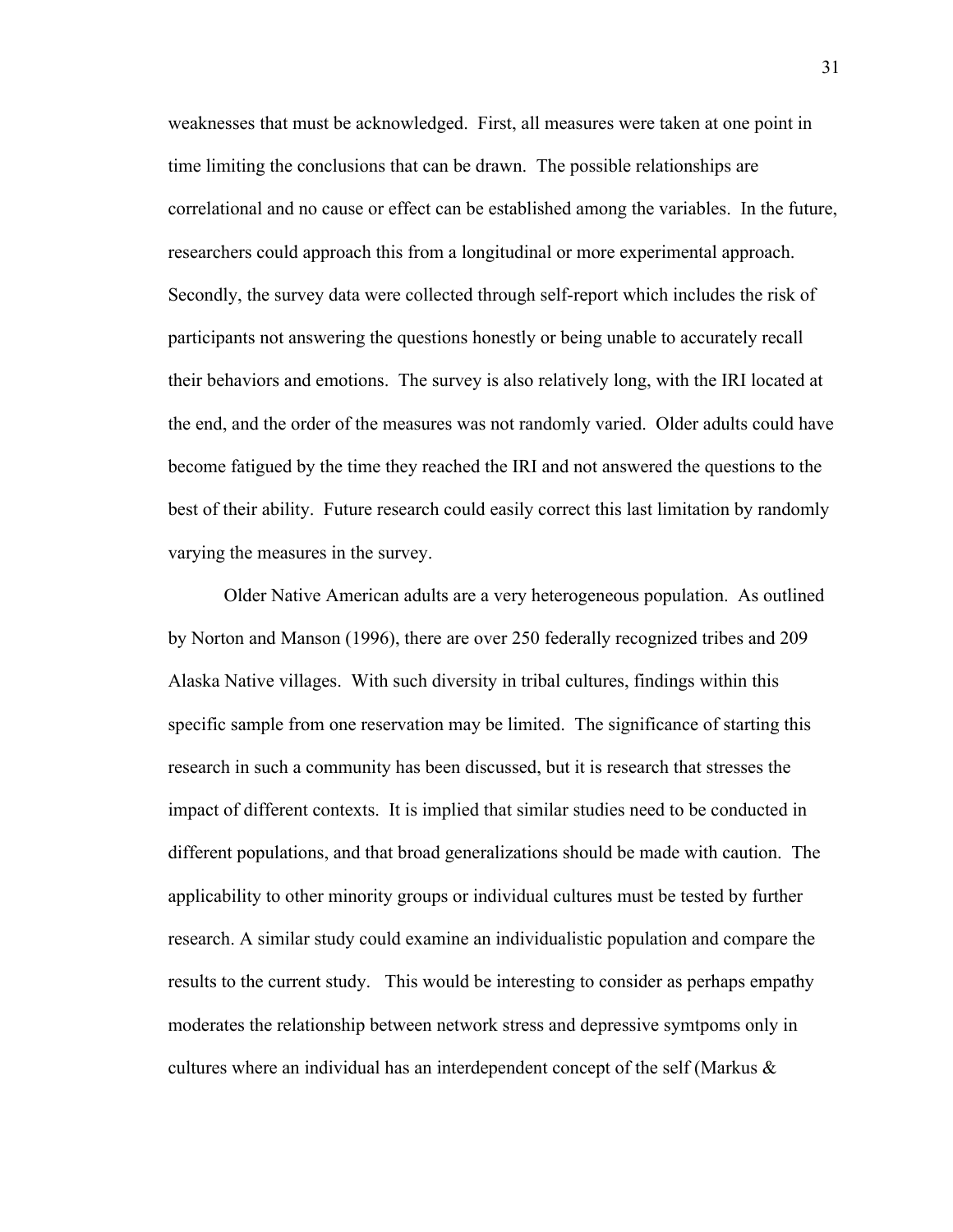weaknesses that must be acknowledged. First, all measures were taken at one point in time limiting the conclusions that can be drawn. The possible relationships are correlational and no cause or effect can be established among the variables. In the future, researchers could approach this from a longitudinal or more experimental approach. Secondly, the survey data were collected through self-report which includes the risk of participants not answering the questions honestly or being unable to accurately recall their behaviors and emotions. The survey is also relatively long, with the IRI located at the end, and the order of the measures was not randomly varied. Older adults could have become fatigued by the time they reached the IRI and not answered the questions to the best of their ability. Future research could easily correct this last limitation by randomly varying the measures in the survey.

Older Native American adults are a very heterogeneous population. As outlined by Norton and Manson (1996), there are over 250 federally recognized tribes and 209 Alaska Native villages. With such diversity in tribal cultures, findings within this specific sample from one reservation may be limited. The significance of starting this research in such a community has been discussed, but it is research that stresses the impact of different contexts. It is implied that similar studies need to be conducted in different populations, and that broad generalizations should be made with caution. The applicability to other minority groups or individual cultures must be tested by further research. A similar study could examine an individualistic population and compare the results to the current study. This would be interesting to consider as perhaps empathy moderates the relationship between network stress and depressive symtpoms only in cultures where an individual has an interdependent concept of the self (Markus  $\&$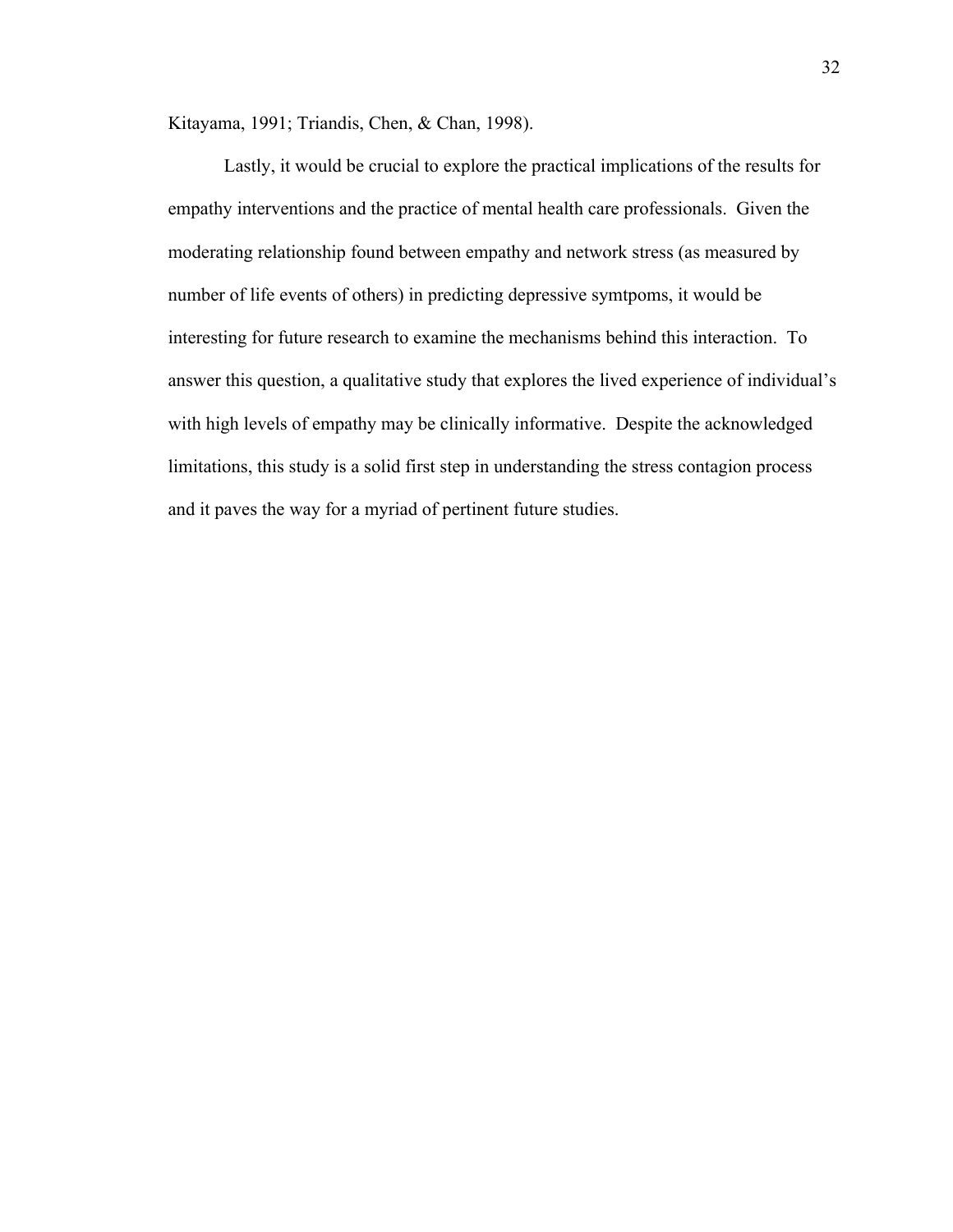Kitayama, 1991; Triandis, Chen, & Chan, 1998).

Lastly, it would be crucial to explore the practical implications of the results for empathy interventions and the practice of mental health care professionals. Given the moderating relationship found between empathy and network stress (as measured by number of life events of others) in predicting depressive symtpoms, it would be interesting for future research to examine the mechanisms behind this interaction. To answer this question, a qualitative study that explores the lived experience of individual's with high levels of empathy may be clinically informative. Despite the acknowledged limitations, this study is a solid first step in understanding the stress contagion process and it paves the way for a myriad of pertinent future studies.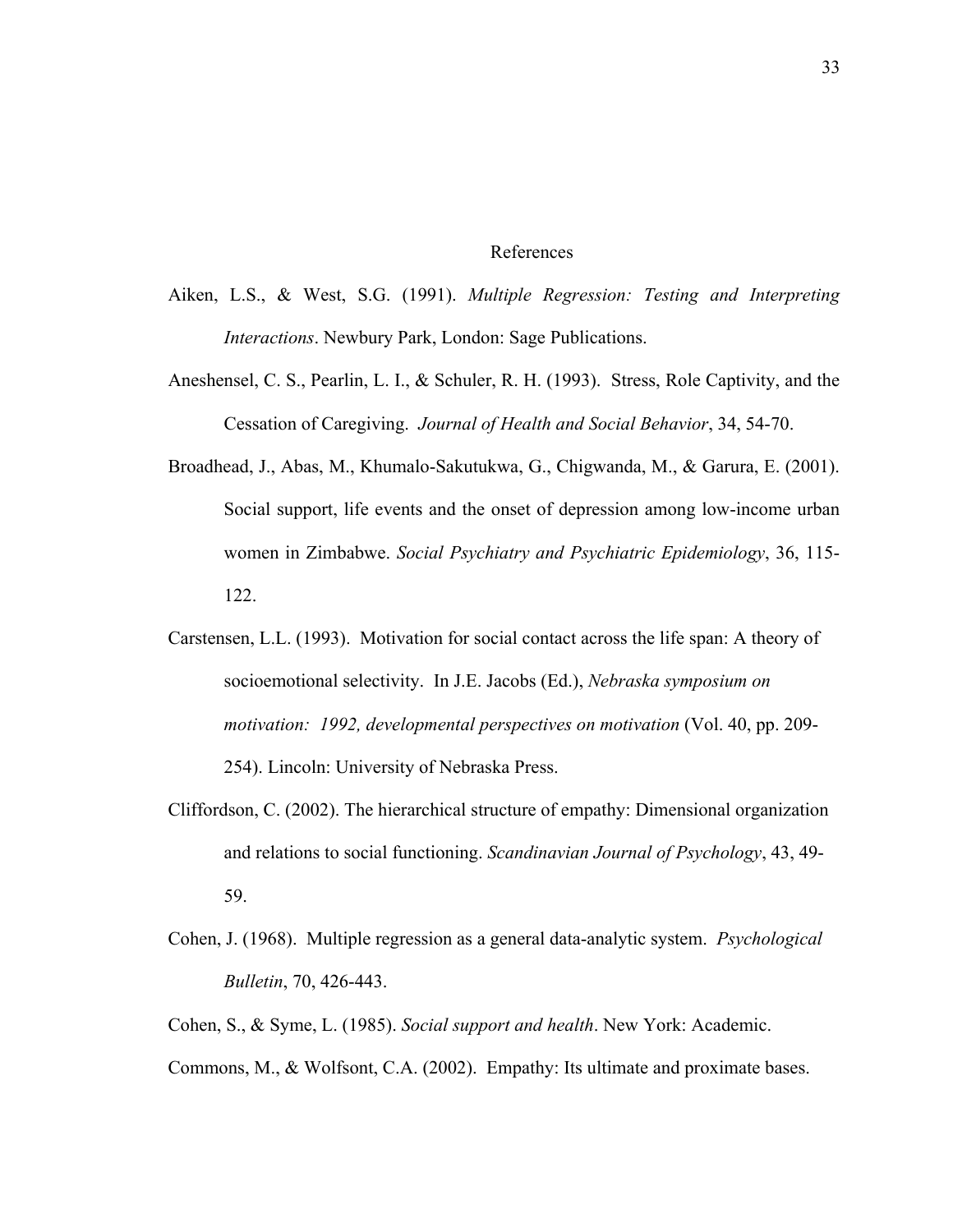#### References

- Aiken, L.S., & West, S.G. (1991). *Multiple Regression: Testing and Interpreting Interactions*. Newbury Park, London: Sage Publications.
- Aneshensel, C. S., Pearlin, L. I., & Schuler, R. H. (1993). Stress, Role Captivity, and the Cessation of Caregiving. *Journal of Health and Social Behavior*, 34, 54-70.
- Broadhead, J., Abas, M., Khumalo-Sakutukwa, G., Chigwanda, M., & Garura, E. (2001). Social support, life events and the onset of depression among low-income urban women in Zimbabwe. *Social Psychiatry and Psychiatric Epidemiology*, 36, 115- 122.
- Carstensen, L.L. (1993). Motivation for social contact across the life span: A theory of socioemotional selectivity. In J.E. Jacobs (Ed.), *Nebraska symposium on motivation: 1992, developmental perspectives on motivation* (Vol. 40, pp. 209- 254). Lincoln: University of Nebraska Press.
- Cliffordson, C. (2002). The hierarchical structure of empathy: Dimensional organization and relations to social functioning. *Scandinavian Journal of Psychology*, 43, 49- 59.
- Cohen, J. (1968). Multiple regression as a general data-analytic system. *Psychological Bulletin*, 70, 426-443.
- Cohen, S., & Syme, L. (1985). *Social support and health*. New York: Academic.
- Commons, M., & Wolfsont, C.A. (2002). Empathy: Its ultimate and proximate bases.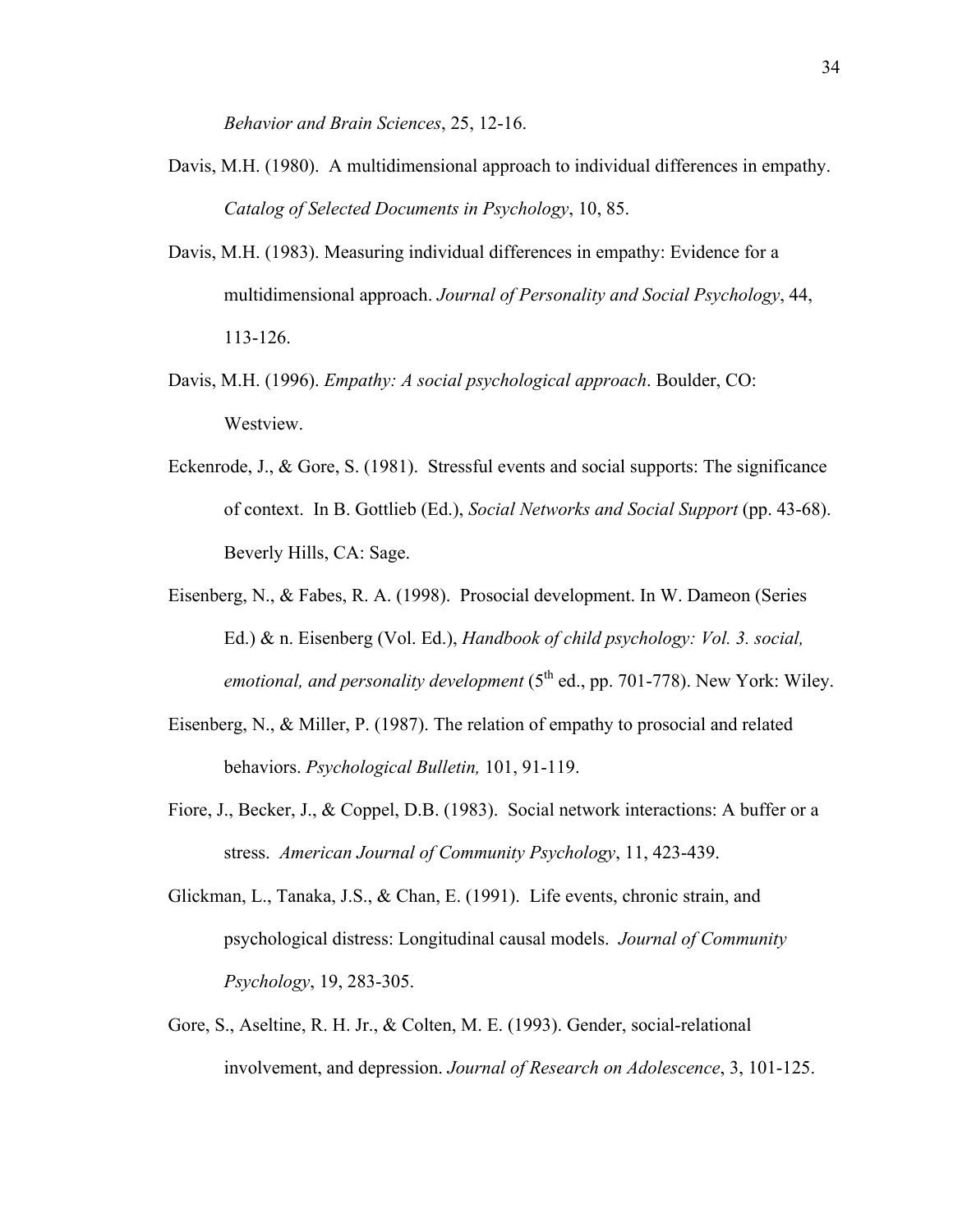*Behavior and Brain Sciences*, 25, 12-16.

- Davis, M.H. (1980). A multidimensional approach to individual differences in empathy. *Catalog of Selected Documents in Psychology*, 10, 85.
- Davis, M.H. (1983). Measuring individual differences in empathy: Evidence for a multidimensional approach. *Journal of Personality and Social Psychology*, 44, 113-126.
- Davis, M.H. (1996). *Empathy: A social psychological approach*. Boulder, CO: Westview.
- Eckenrode, J., & Gore, S. (1981). Stressful events and social supports: The significance of context. In B. Gottlieb (Ed.), *Social Networks and Social Support* (pp. 43-68). Beverly Hills, CA: Sage.
- Eisenberg, N., & Fabes, R. A. (1998). Prosocial development. In W. Dameon (Series Ed.) & n. Eisenberg (Vol. Ed.), *Handbook of child psychology: Vol. 3. social,*  emotional, and personality development (5<sup>th</sup> ed., pp. 701-778). New York: Wiley.
- Eisenberg, N., & Miller, P. (1987). The relation of empathy to prosocial and related behaviors. *Psychological Bulletin,* 101, 91-119.
- Fiore, J., Becker, J., & Coppel, D.B. (1983). Social network interactions: A buffer or a stress. *American Journal of Community Psychology*, 11, 423-439.
- Glickman, L., Tanaka, J.S., & Chan, E. (1991). Life events, chronic strain, and psychological distress: Longitudinal causal models. *Journal of Community Psychology*, 19, 283-305.
- Gore, S., Aseltine, R. H. Jr., & Colten, M. E. (1993). Gender, social-relational involvement, and depression. *Journal of Research on Adolescence*, 3, 101-125.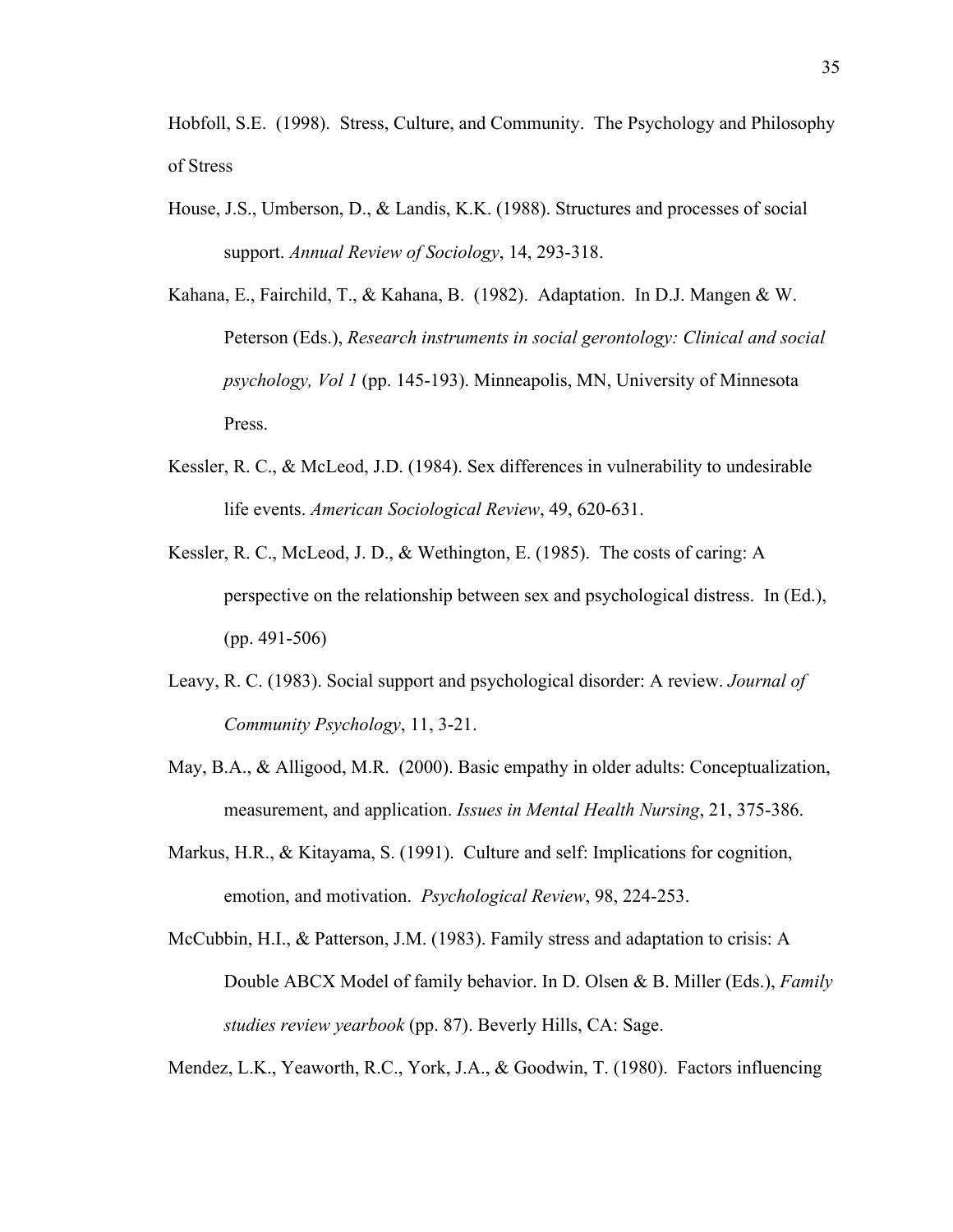Hobfoll, S.E. (1998). Stress, Culture, and Community. The Psychology and Philosophy of Stress

- House, J.S., Umberson, D., & Landis, K.K. (1988). Structures and processes of social support. *Annual Review of Sociology*, 14, 293-318.
- Kahana, E., Fairchild, T., & Kahana, B. (1982). Adaptation. In D.J. Mangen & W. Peterson (Eds.), *Research instruments in social gerontology: Clinical and social psychology, Vol 1* (pp. 145-193). Minneapolis, MN, University of Minnesota Press.
- Kessler, R. C., & McLeod, J.D. (1984). Sex differences in vulnerability to undesirable life events. *American Sociological Review*, 49, 620-631.
- Kessler, R. C., McLeod, J. D., & Wethington, E. (1985). The costs of caring: A perspective on the relationship between sex and psychological distress. In (Ed.), (pp. 491-506)
- Leavy, R. C. (1983). Social support and psychological disorder: A review. *Journal of Community Psychology*, 11, 3-21.
- May, B.A., & Alligood, M.R. (2000). Basic empathy in older adults: Conceptualization, measurement, and application. *Issues in Mental Health Nursing*, 21, 375-386.
- Markus, H.R., & Kitayama, S. (1991). Culture and self: Implications for cognition, emotion, and motivation. *Psychological Review*, 98, 224-253.
- McCubbin, H.I., & Patterson, J.M. (1983). Family stress and adaptation to crisis: A Double ABCX Model of family behavior. In D. Olsen & B. Miller (Eds.), *Family studies review yearbook* (pp. 87). Beverly Hills, CA: Sage.

Mendez, L.K., Yeaworth, R.C., York, J.A., & Goodwin, T. (1980). Factors influencing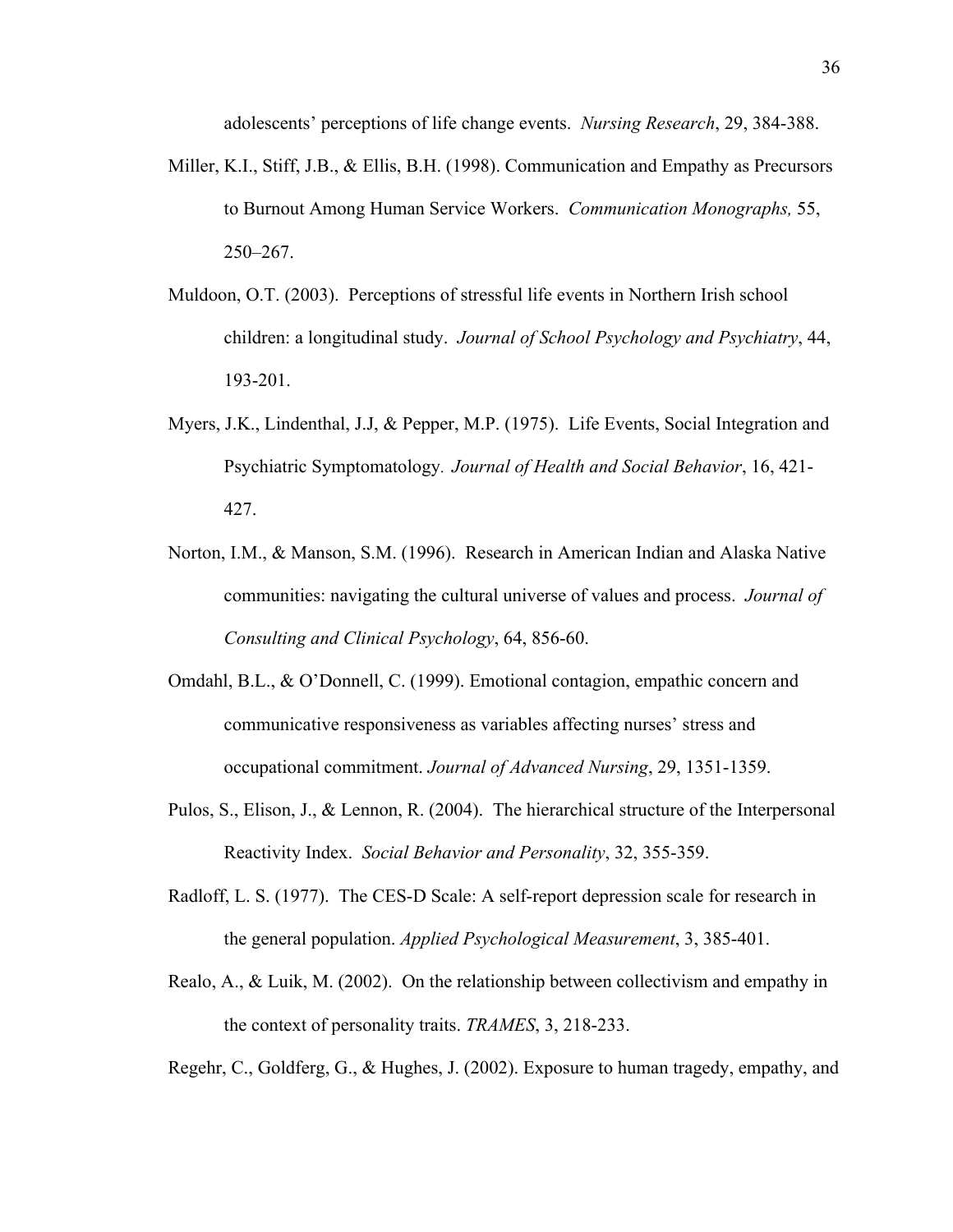adolescents' perceptions of life change events. *Nursing Research*, 29, 384-388.

- Miller, K.I., Stiff, J.B., & Ellis, B.H. (1998). Communication and Empathy as Precursors to Burnout Among Human Service Workers. *Communication Monographs,* 55, 250–267.
- Muldoon, O.T. (2003). Perceptions of stressful life events in Northern Irish school children: a longitudinal study. *Journal of School Psychology and Psychiatry*, 44, 193-201.
- Myers, J.K., Lindenthal, J.J, & Pepper, M.P. (1975). Life Events, Social Integration and Psychiatric Symptomatology. *Journal of Health and Social Behavior*, 16, 421- 427.
- Norton, I.M., & Manson, S.M. (1996). Research in American Indian and Alaska Native communities: navigating the cultural universe of values and process. *Journal of Consulting and Clinical Psychology*, 64, 856-60.
- Omdahl, B.L., & O'Donnell, C. (1999). Emotional contagion, empathic concern and communicative responsiveness as variables affecting nurses' stress and occupational commitment. *Journal of Advanced Nursing*, 29, 1351-1359.
- Pulos, S., Elison, J., & Lennon, R. (2004). The hierarchical structure of the Interpersonal Reactivity Index. *Social Behavior and Personality*, 32, 355-359.
- Radloff, L. S. (1977). The CES-D Scale: A self-report depression scale for research in the general population. *Applied Psychological Measurement*, 3, 385-401.
- Realo, A., & Luik, M. (2002). On the relationship between collectivism and empathy in the context of personality traits. *TRAMES*, 3, 218-233.

Regehr, C., Goldferg, G., & Hughes, J. (2002). Exposure to human tragedy, empathy, and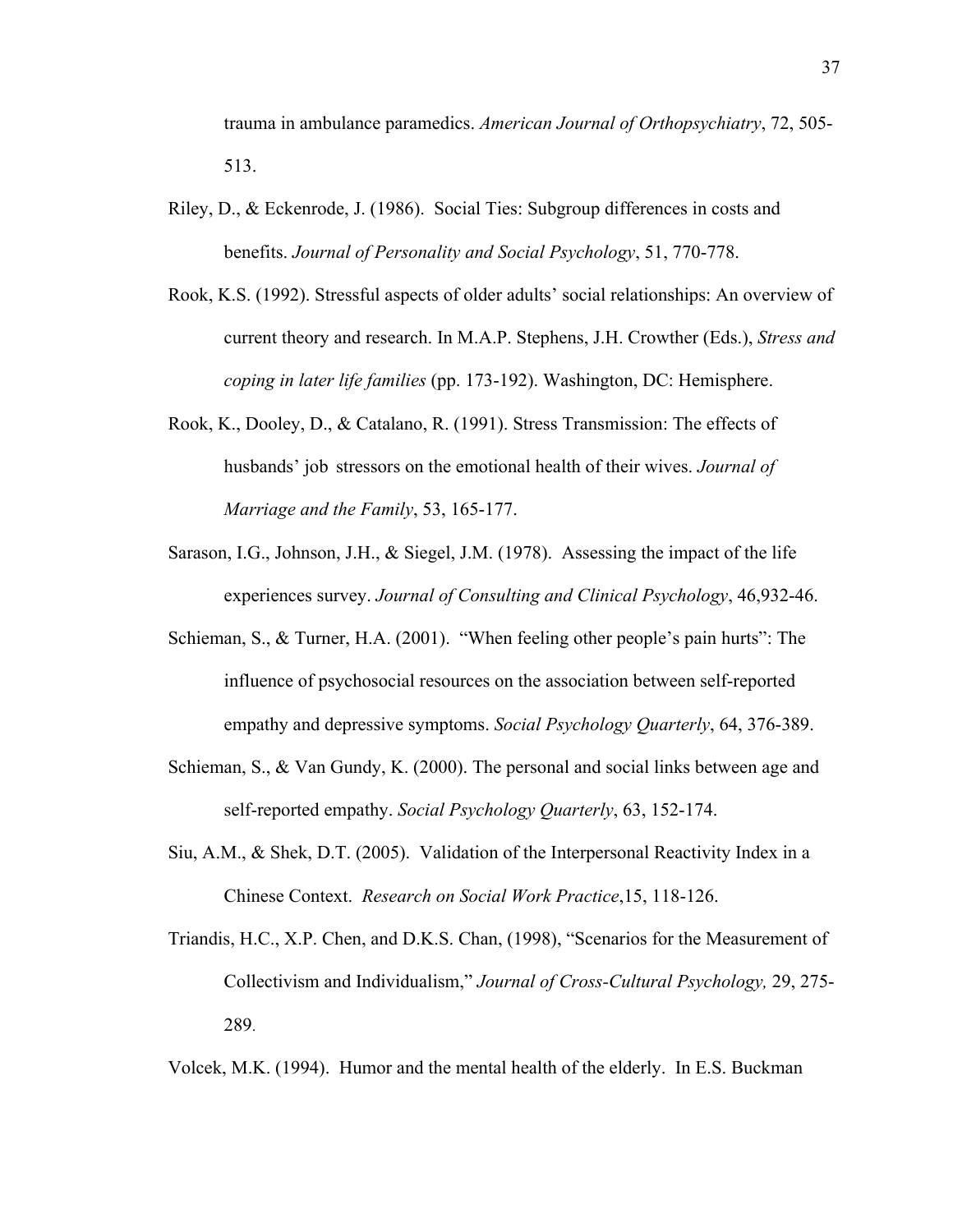trauma in ambulance paramedics. *American Journal of Orthopsychiatry*, 72, 505- 513.

- Riley, D., & Eckenrode, J. (1986). Social Ties: Subgroup differences in costs and benefits. *Journal of Personality and Social Psychology*, 51, 770-778.
- Rook, K.S. (1992). Stressful aspects of older adults' social relationships: An overview of current theory and research. In M.A.P. Stephens, J.H. Crowther (Eds.), *Stress and coping in later life families* (pp. 173-192). Washington, DC: Hemisphere.
- Rook, K., Dooley, D., & Catalano, R. (1991). Stress Transmission: The effects of husbands' job stressors on the emotional health of their wives. *Journal of Marriage and the Family*, 53, 165-177.
- Sarason, I.G., Johnson, J.H., & Siegel, J.M. (1978). Assessing the impact of the life experiences survey. *Journal of Consulting and Clinical Psychology*, 46,932-46.
- Schieman, S., & Turner, H.A. (2001). "When feeling other people's pain hurts": The influence of psychosocial resources on the association between self-reported empathy and depressive symptoms. *Social Psychology Quarterly*, 64, 376-389.
- Schieman, S., & Van Gundy, K. (2000). The personal and social links between age and self-reported empathy. *Social Psychology Quarterly*, 63, 152-174.
- Siu, A.M., & Shek, D.T. (2005). Validation of the Interpersonal Reactivity Index in a Chinese Context. *Research on Social Work Practice*,15, 118-126.
- Triandis, H.C., X.P. Chen, and D.K.S. Chan, (1998), "Scenarios for the Measurement of Collectivism and Individualism," *Journal of Cross-Cultural Psychology,* 29, 275- 289.

Volcek, M.K. (1994). Humor and the mental health of the elderly. In E.S. Buckman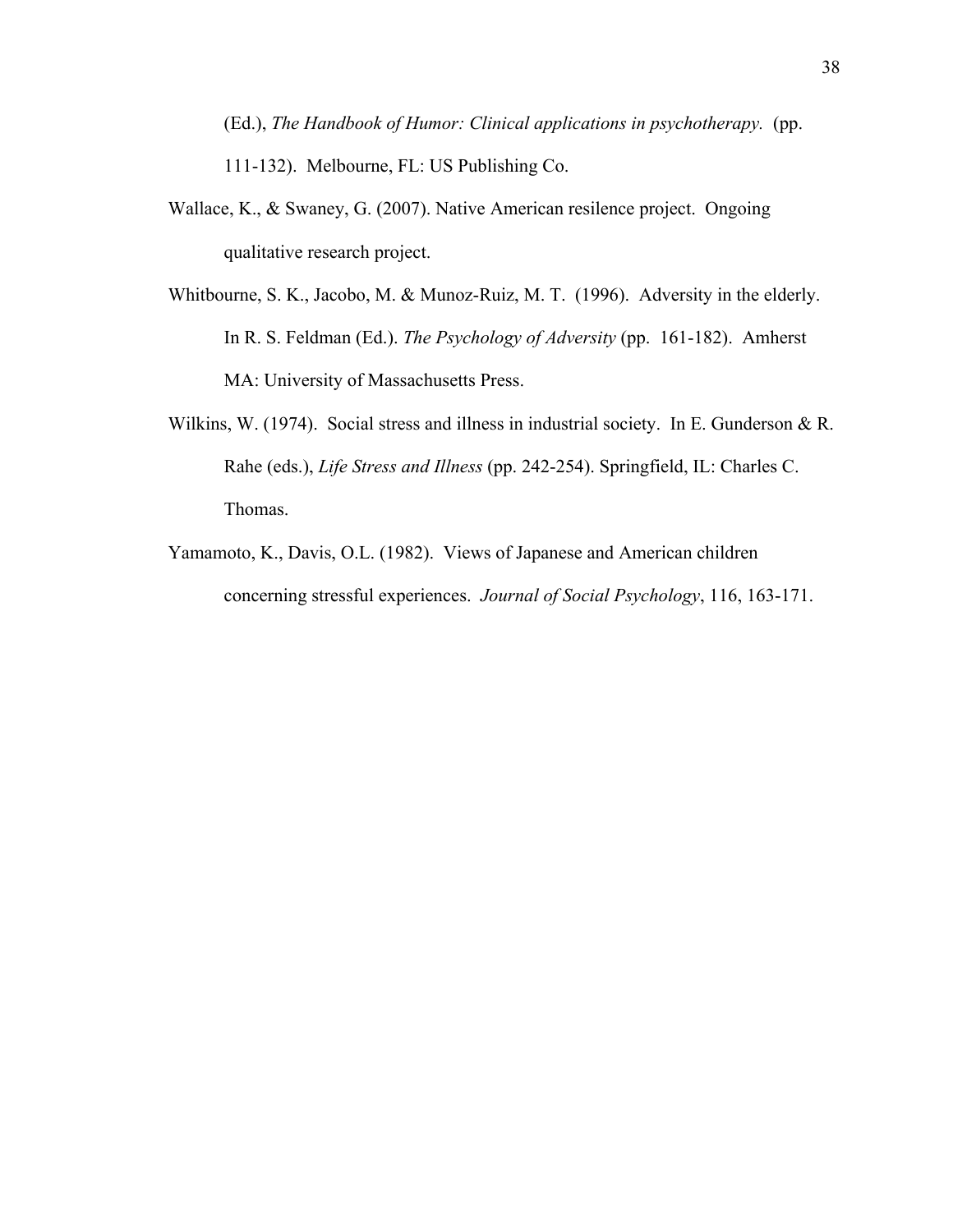(Ed.), *The Handbook of Humor: Clinical applications in psychotherapy.* (pp.

111-132). Melbourne, FL: US Publishing Co.

- Wallace, K., & Swaney, G. (2007). Native American resilence project. Ongoing qualitative research project.
- Whitbourne, S. K., Jacobo, M. & Munoz-Ruiz, M. T. (1996). Adversity in the elderly. In R. S. Feldman (Ed.). *The Psychology of Adversity* (pp. 161-182). Amherst MA: University of Massachusetts Press.
- Wilkins, W. (1974). Social stress and illness in industrial society. In E. Gunderson & R. Rahe (eds.), *Life Stress and Illness* (pp. 242-254). Springfield, IL: Charles C. Thomas.
- Yamamoto, K., Davis, O.L. (1982). Views of Japanese and American children concerning stressful experiences. *Journal of Social Psychology*, 116, 163-171.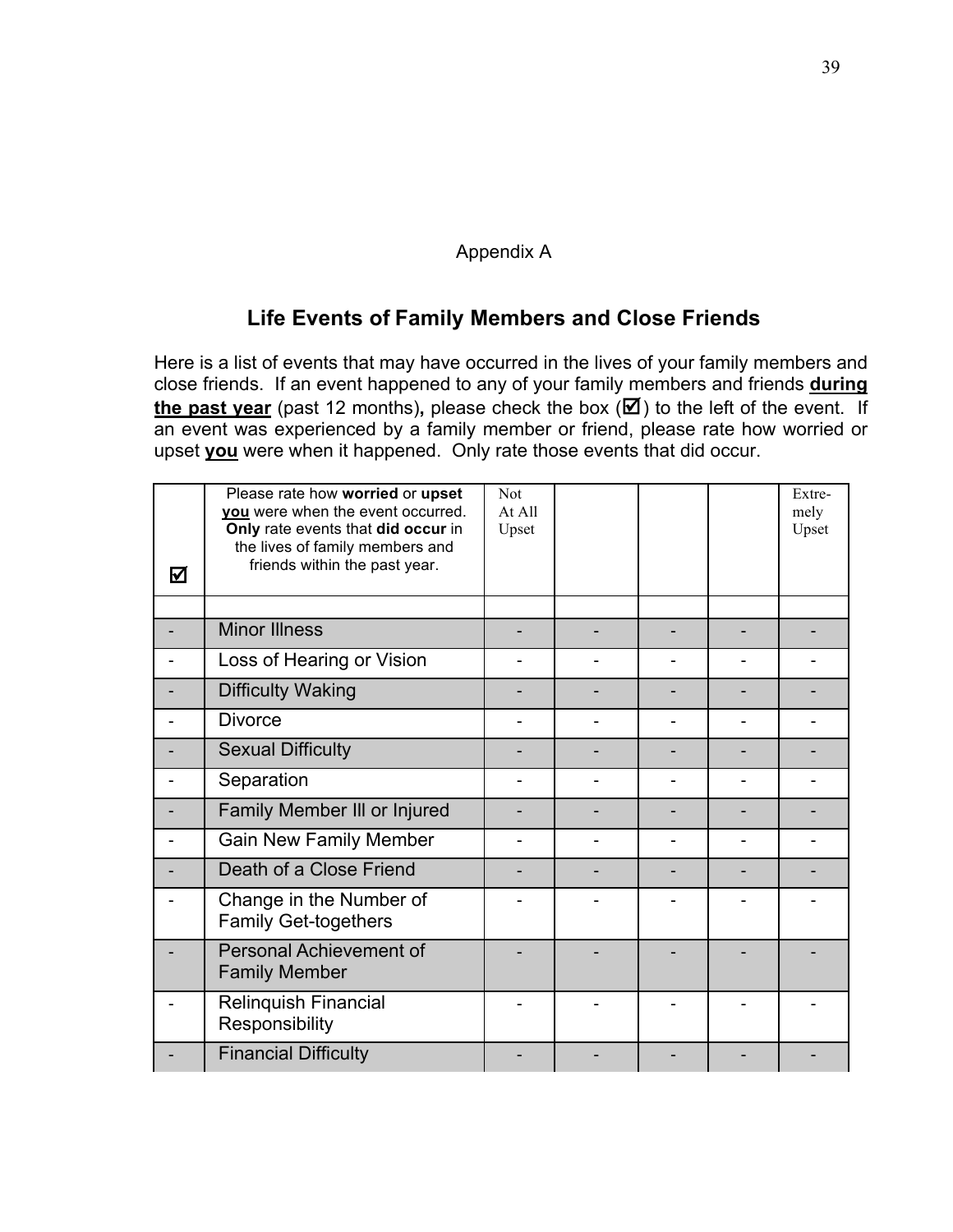### Appendix A

# **Life Events of Family Members and Close Friends**

Here is a list of events that may have occurred in the lives of your family members and close friends. If an event happened to any of your family members and friends **during the past year** (past 12 months), please check the box  $(\mathbf{Z})$  to the left of the event. If an event was experienced by a family member or friend, please rate how worried or upset **you** were when it happened. Only rate those events that did occur.

| ☑ | Please rate how worried or upset<br>you were when the event occurred.<br>Only rate events that did occur in<br>the lives of family members and<br>friends within the past year. | <b>Not</b><br>At All<br>Upset |  | Extre-<br>mely<br>Upset |
|---|---------------------------------------------------------------------------------------------------------------------------------------------------------------------------------|-------------------------------|--|-------------------------|
|   |                                                                                                                                                                                 |                               |  |                         |
|   | <b>Minor Illness</b>                                                                                                                                                            |                               |  |                         |
|   | Loss of Hearing or Vision                                                                                                                                                       |                               |  |                         |
|   | <b>Difficulty Waking</b>                                                                                                                                                        |                               |  |                         |
|   | <b>Divorce</b>                                                                                                                                                                  |                               |  |                         |
|   | <b>Sexual Difficulty</b>                                                                                                                                                        |                               |  |                         |
|   | Separation                                                                                                                                                                      |                               |  |                         |
|   | Family Member III or Injured                                                                                                                                                    |                               |  |                         |
|   | <b>Gain New Family Member</b>                                                                                                                                                   |                               |  |                         |
|   | Death of a Close Friend                                                                                                                                                         |                               |  |                         |
|   | Change in the Number of<br><b>Family Get-togethers</b>                                                                                                                          |                               |  |                         |
|   | <b>Personal Achievement of</b><br><b>Family Member</b>                                                                                                                          |                               |  |                         |
|   | <b>Relinquish Financial</b><br>Responsibility                                                                                                                                   |                               |  |                         |
|   | <b>Financial Difficulty</b>                                                                                                                                                     |                               |  |                         |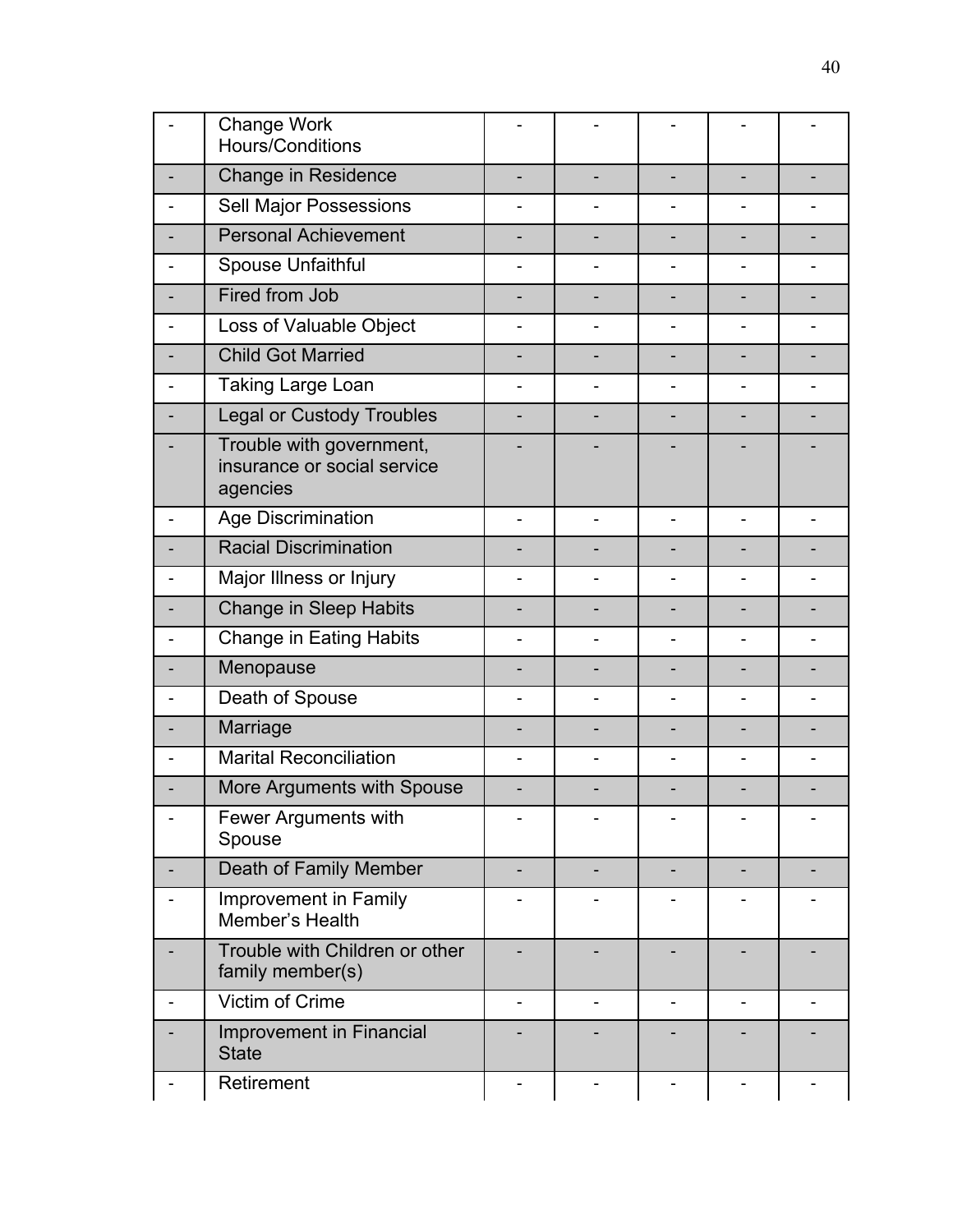| Change Work<br>Hours/Conditions                                     |                |                          |                |  |
|---------------------------------------------------------------------|----------------|--------------------------|----------------|--|
| <b>Change in Residence</b>                                          |                |                          |                |  |
| Sell Major Possessions                                              |                |                          |                |  |
| <b>Personal Achievement</b>                                         |                |                          |                |  |
| Spouse Unfaithful                                                   | $\overline{a}$ | $\overline{\phantom{0}}$ | Ξ.             |  |
| Fired from Job                                                      |                |                          |                |  |
| Loss of Valuable Object                                             |                | ۳                        |                |  |
| <b>Child Got Married</b>                                            |                |                          |                |  |
| Taking Large Loan                                                   |                | Ĭ.                       |                |  |
| <b>Legal or Custody Troubles</b>                                    |                |                          |                |  |
| Trouble with government,<br>insurance or social service<br>agencies |                |                          |                |  |
| Age Discrimination                                                  | $\overline{a}$ | $\overline{\phantom{0}}$ | $\overline{a}$ |  |
| <b>Racial Discrimination</b>                                        |                |                          |                |  |
| Major Illness or Injury                                             |                |                          |                |  |
| <b>Change in Sleep Habits</b>                                       |                |                          |                |  |
| <b>Change in Eating Habits</b>                                      |                | ۰                        |                |  |
| Menopause                                                           |                |                          |                |  |
| Death of Spouse                                                     |                |                          |                |  |
| Marriage                                                            |                |                          |                |  |
| <b>Marital Reconciliation</b>                                       |                |                          |                |  |
| More Arguments with Spouse                                          |                |                          |                |  |
| Fewer Arguments with<br>Spouse                                      |                |                          |                |  |
| Death of Family Member                                              |                |                          |                |  |
| Improvement in Family<br>Member's Health                            |                |                          |                |  |
| Trouble with Children or other<br>family member(s)                  |                |                          |                |  |
| Victim of Crime                                                     | $\blacksquare$ | ۰                        | Ξ.             |  |
| <b>Improvement in Financial</b><br><b>State</b>                     |                |                          |                |  |
| Retirement                                                          |                |                          |                |  |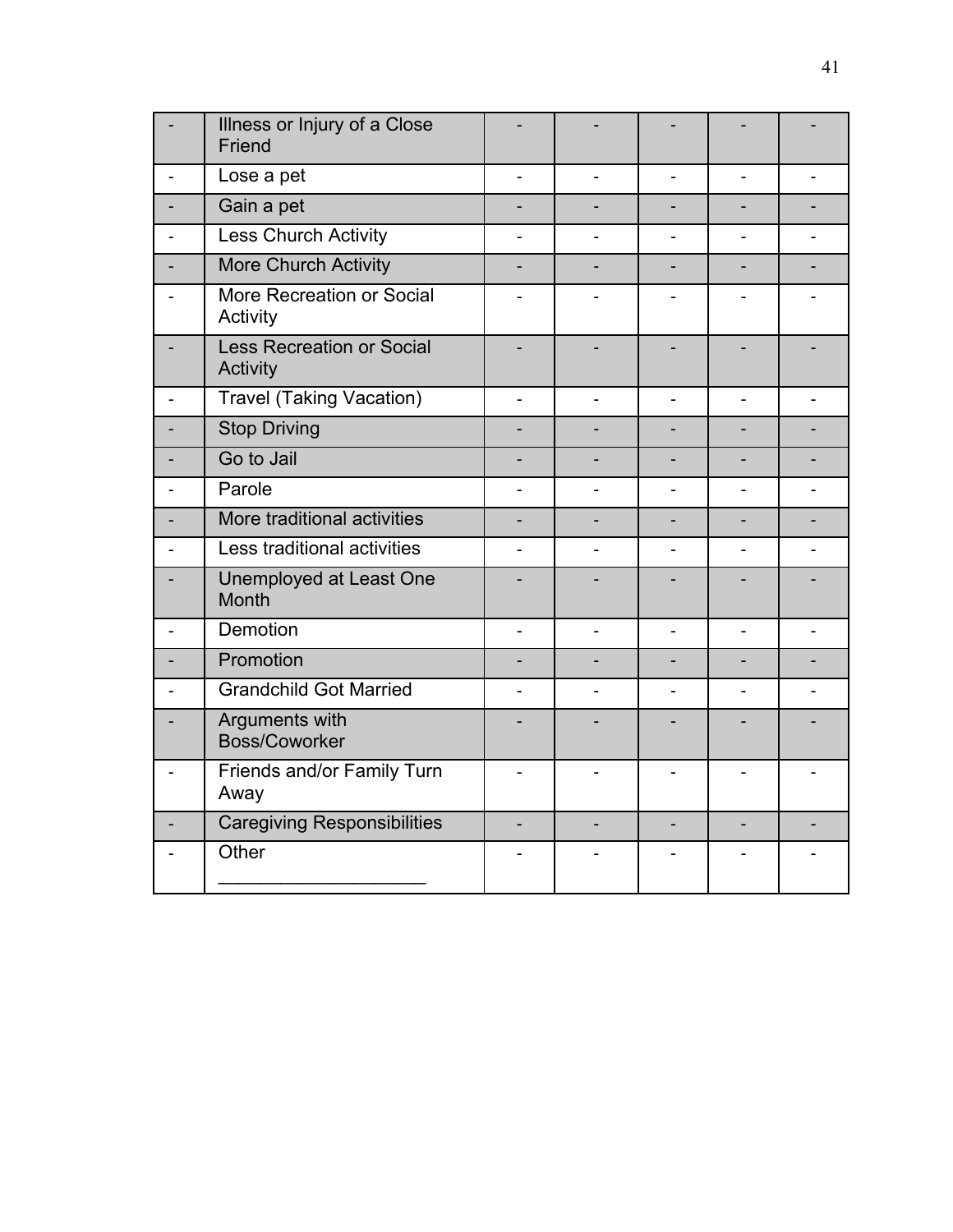|                | Illness or Injury of a Close<br>Friend       |                |                |                |                |                |
|----------------|----------------------------------------------|----------------|----------------|----------------|----------------|----------------|
|                | Lose a pet                                   | $\overline{a}$ |                | ÷,             |                |                |
|                | Gain a pet                                   |                |                |                |                |                |
|                | Less Church Activity                         |                |                |                |                |                |
|                | <b>More Church Activity</b>                  |                |                |                |                |                |
|                | More Recreation or Social<br>Activity        |                |                |                |                |                |
|                | <b>Less Recreation or Social</b><br>Activity |                |                |                |                |                |
| $\overline{a}$ | <b>Travel (Taking Vacation)</b>              | $\overline{a}$ |                |                | $\overline{a}$ |                |
|                | <b>Stop Driving</b>                          |                |                |                |                |                |
|                | Go to Jail                                   |                |                |                |                |                |
|                | Parole                                       | $\overline{a}$ |                | $\blacksquare$ |                |                |
|                | More traditional activities                  |                |                |                |                |                |
|                | Less traditional activities                  |                |                |                |                |                |
|                | Unemployed at Least One<br><b>Month</b>      |                |                |                |                |                |
|                | Demotion                                     | $\overline{a}$ | $\overline{a}$ | $\overline{a}$ | $\blacksquare$ | ÷.             |
|                | Promotion                                    | $\overline{a}$ |                | ÷,             | $\overline{a}$ | $\overline{a}$ |
|                | <b>Grandchild Got Married</b>                |                |                |                |                |                |
|                | Arguments with<br><b>Boss/Coworker</b>       |                |                |                |                |                |
|                | Friends and/or Family Turn<br>Away           |                |                |                |                |                |
|                | <b>Caregiving Responsibilities</b>           |                |                |                |                |                |
|                | Other                                        |                |                |                |                |                |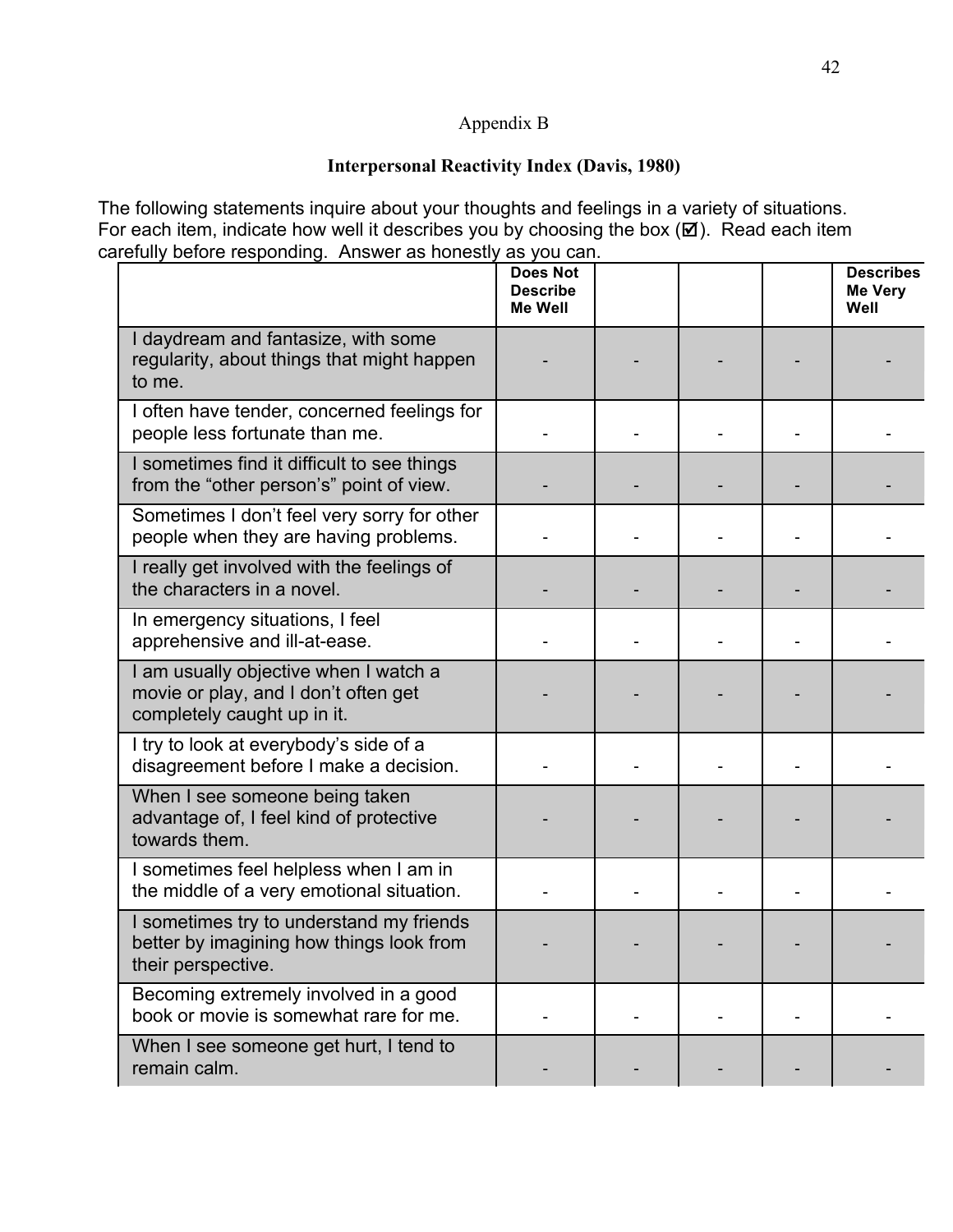## Appendix B

### **Interpersonal Reactivity Index (Davis, 1980)**

The following statements inquire about your thoughts and feelings in a variety of situations. For each item, indicate how well it describes you by choosing the box  $(\boxtimes)$ . Read each item carefully before responding. Answer as honestly as you can.

|                                                                                                              | <b>Does Not</b><br><b>Describe</b><br><b>Me Well</b> |  | <b>Describes</b><br><b>Me Very</b><br>Well |
|--------------------------------------------------------------------------------------------------------------|------------------------------------------------------|--|--------------------------------------------|
| I daydream and fantasize, with some<br>regularity, about things that might happen<br>to me.                  |                                                      |  |                                            |
| I often have tender, concerned feelings for<br>people less fortunate than me.                                |                                                      |  |                                            |
| I sometimes find it difficult to see things<br>from the "other person's" point of view.                      |                                                      |  |                                            |
| Sometimes I don't feel very sorry for other<br>people when they are having problems.                         |                                                      |  |                                            |
| I really get involved with the feelings of<br>the characters in a novel.                                     |                                                      |  |                                            |
| In emergency situations, I feel<br>apprehensive and ill-at-ease.                                             |                                                      |  |                                            |
| I am usually objective when I watch a<br>movie or play, and I don't often get<br>completely caught up in it. |                                                      |  |                                            |
| I try to look at everybody's side of a<br>disagreement before I make a decision.                             |                                                      |  |                                            |
| When I see someone being taken<br>advantage of, I feel kind of protective<br>towards them.                   |                                                      |  |                                            |
| I sometimes feel helpless when I am in<br>the middle of a very emotional situation.                          |                                                      |  |                                            |
| I sometimes try to understand my friends<br>better by imagining how things look from<br>their perspective.   |                                                      |  |                                            |
| Becoming extremely involved in a good<br>book or movie is somewhat rare for me.                              |                                                      |  |                                            |
| When I see someone get hurt, I tend to<br>remain calm.                                                       |                                                      |  |                                            |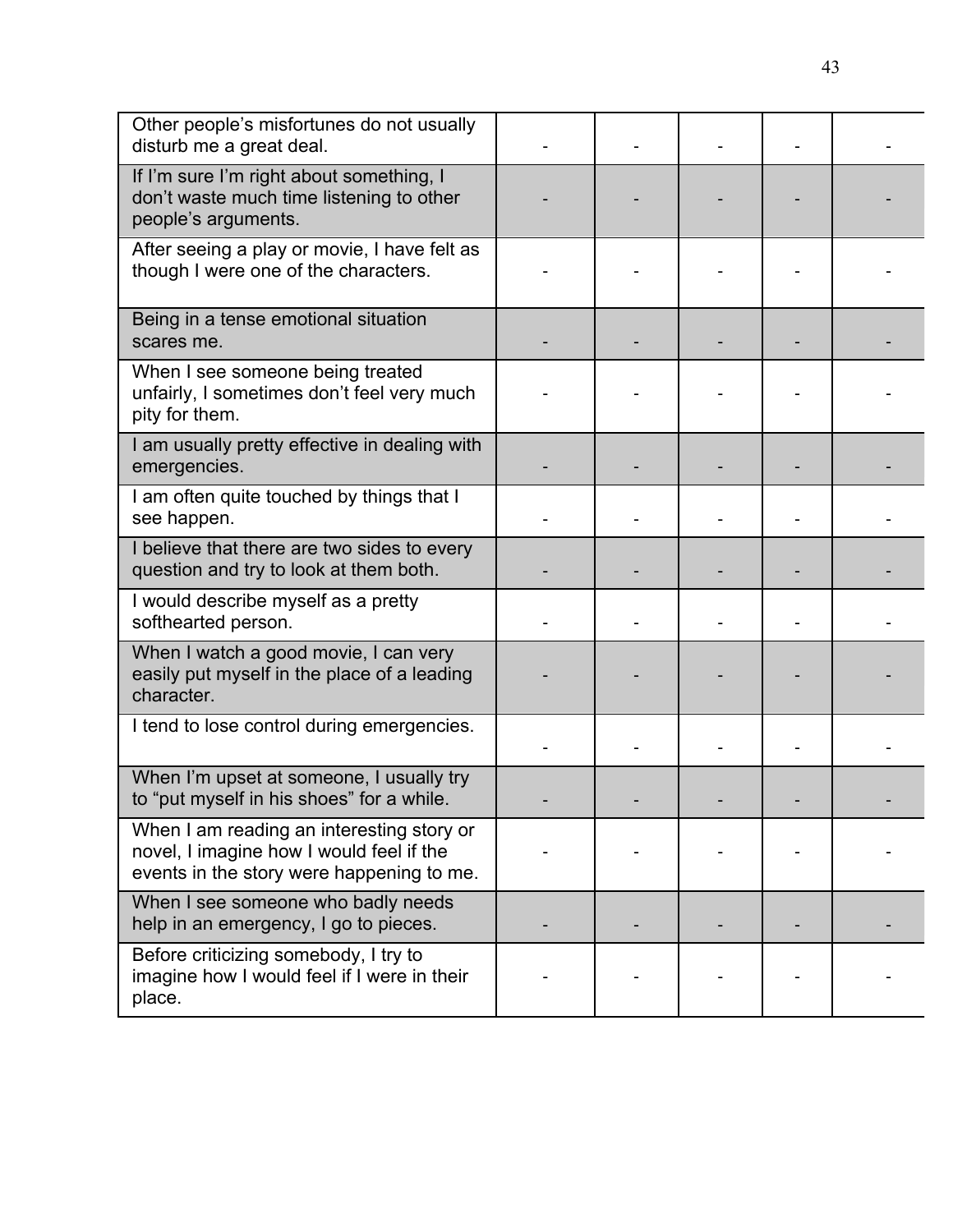| Other people's misfortunes do not usually<br>disturb me a great deal.                                                              |  |  |  |
|------------------------------------------------------------------------------------------------------------------------------------|--|--|--|
| If I'm sure I'm right about something, I<br>don't waste much time listening to other<br>people's arguments.                        |  |  |  |
| After seeing a play or movie, I have felt as<br>though I were one of the characters.                                               |  |  |  |
| Being in a tense emotional situation<br>scares me.                                                                                 |  |  |  |
| When I see someone being treated<br>unfairly, I sometimes don't feel very much<br>pity for them.                                   |  |  |  |
| I am usually pretty effective in dealing with<br>emergencies.                                                                      |  |  |  |
| I am often quite touched by things that I<br>see happen.                                                                           |  |  |  |
| I believe that there are two sides to every<br>question and try to look at them both.                                              |  |  |  |
| I would describe myself as a pretty<br>softhearted person.                                                                         |  |  |  |
| When I watch a good movie, I can very<br>easily put myself in the place of a leading<br>character.                                 |  |  |  |
| I tend to lose control during emergencies.                                                                                         |  |  |  |
| When I'm upset at someone, I usually try<br>to "put myself in his shoes" for a while.                                              |  |  |  |
| When I am reading an interesting story or<br>novel, I imagine how I would feel if the<br>events in the story were happening to me. |  |  |  |
| When I see someone who badly needs<br>help in an emergency, I go to pieces.                                                        |  |  |  |
| Before criticizing somebody, I try to<br>imagine how I would feel if I were in their<br>place.                                     |  |  |  |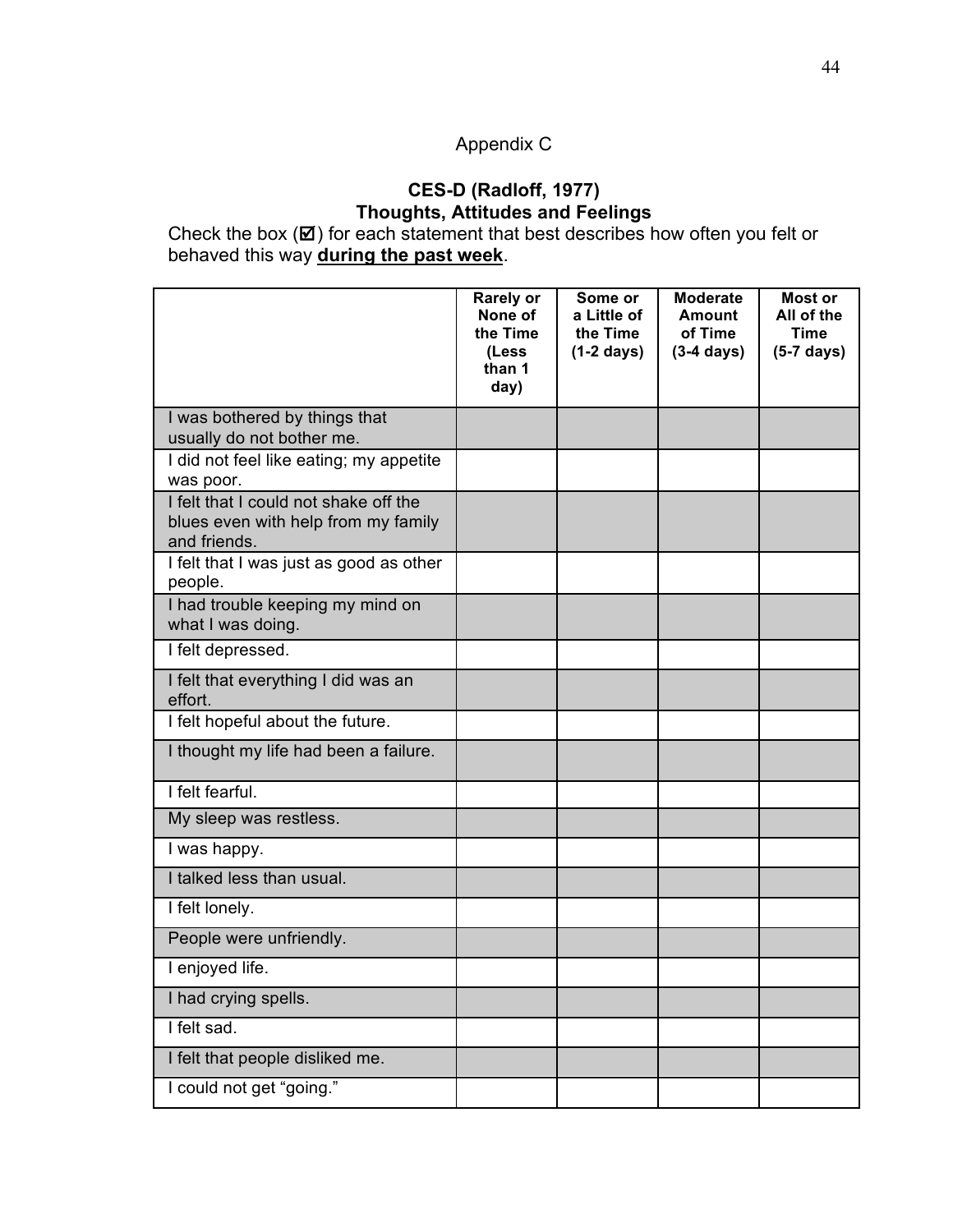# Appendix C

### **CES-D (Radloff, 1977) Thoughts, Attitudes and Feelings**

Check the box  $(\boxtimes)$  for each statement that best describes how often you felt or behaved this way **during the past week**.

|                                                                                              | <b>Rarely or</b><br>None of<br>the Time<br>(Less<br>than 1<br>day) | Some or<br>a Little of<br>the Time<br>$(1-2 \text{ days})$ | <b>Moderate</b><br><b>Amount</b><br>of Time<br>$(3-4 \text{ days})$ | Most or<br>All of the<br><b>Time</b><br>$(5-7 \text{ days})$ |
|----------------------------------------------------------------------------------------------|--------------------------------------------------------------------|------------------------------------------------------------|---------------------------------------------------------------------|--------------------------------------------------------------|
| I was bothered by things that<br>usually do not bother me.                                   |                                                                    |                                                            |                                                                     |                                                              |
| I did not feel like eating; my appetite<br>was poor.                                         |                                                                    |                                                            |                                                                     |                                                              |
| I felt that I could not shake off the<br>blues even with help from my family<br>and friends. |                                                                    |                                                            |                                                                     |                                                              |
| I felt that I was just as good as other<br>people.                                           |                                                                    |                                                            |                                                                     |                                                              |
| I had trouble keeping my mind on<br>what I was doing.                                        |                                                                    |                                                            |                                                                     |                                                              |
| I felt depressed.                                                                            |                                                                    |                                                            |                                                                     |                                                              |
| I felt that everything I did was an<br>effort.                                               |                                                                    |                                                            |                                                                     |                                                              |
| I felt hopeful about the future.                                                             |                                                                    |                                                            |                                                                     |                                                              |
| I thought my life had been a failure.                                                        |                                                                    |                                                            |                                                                     |                                                              |
| I felt fearful.                                                                              |                                                                    |                                                            |                                                                     |                                                              |
| My sleep was restless.                                                                       |                                                                    |                                                            |                                                                     |                                                              |
| I was happy.                                                                                 |                                                                    |                                                            |                                                                     |                                                              |
| I talked less than usual.                                                                    |                                                                    |                                                            |                                                                     |                                                              |
| I felt lonely.                                                                               |                                                                    |                                                            |                                                                     |                                                              |
| People were unfriendly.                                                                      |                                                                    |                                                            |                                                                     |                                                              |
| I enjoyed life.                                                                              |                                                                    |                                                            |                                                                     |                                                              |
| I had crying spells.                                                                         |                                                                    |                                                            |                                                                     |                                                              |
| I felt sad.                                                                                  |                                                                    |                                                            |                                                                     |                                                              |
| I felt that people disliked me.                                                              |                                                                    |                                                            |                                                                     |                                                              |
| I could not get "going."                                                                     |                                                                    |                                                            |                                                                     |                                                              |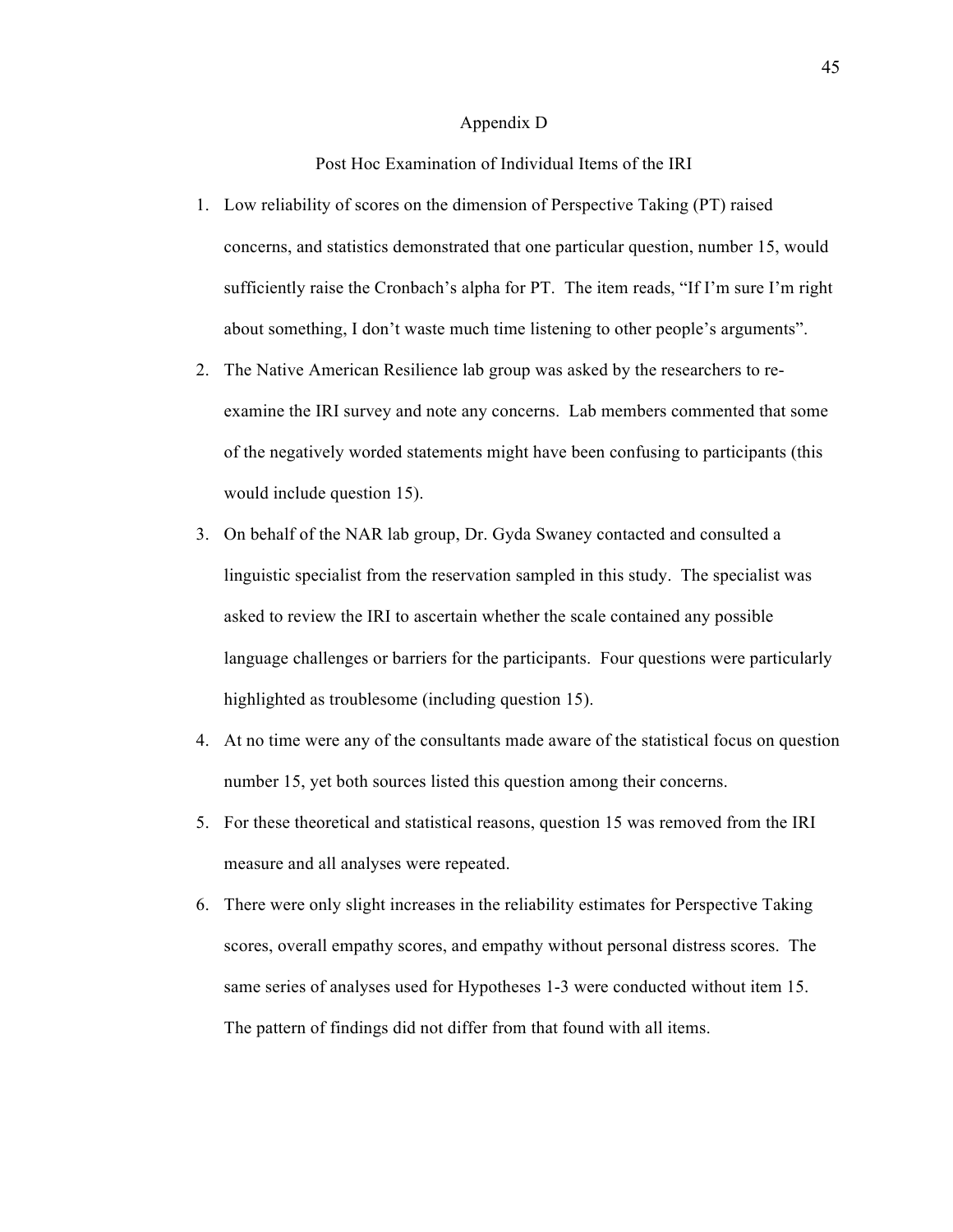#### Appendix D

Post Hoc Examination of Individual Items of the IRI

- 1. Low reliability of scores on the dimension of Perspective Taking (PT) raised concerns, and statistics demonstrated that one particular question, number 15, would sufficiently raise the Cronbach's alpha for PT. The item reads, "If I'm sure I'm right about something, I don't waste much time listening to other people's arguments".
- 2. The Native American Resilience lab group was asked by the researchers to reexamine the IRI survey and note any concerns. Lab members commented that some of the negatively worded statements might have been confusing to participants (this would include question 15).
- 3. On behalf of the NAR lab group, Dr. Gyda Swaney contacted and consulted a linguistic specialist from the reservation sampled in this study. The specialist was asked to review the IRI to ascertain whether the scale contained any possible language challenges or barriers for the participants. Four questions were particularly highlighted as troublesome (including question 15).
- 4. At no time were any of the consultants made aware of the statistical focus on question number 15, yet both sources listed this question among their concerns.
- 5. For these theoretical and statistical reasons, question 15 was removed from the IRI measure and all analyses were repeated.
- 6. There were only slight increases in the reliability estimates for Perspective Taking scores, overall empathy scores, and empathy without personal distress scores. The same series of analyses used for Hypotheses 1-3 were conducted without item 15. The pattern of findings did not differ from that found with all items.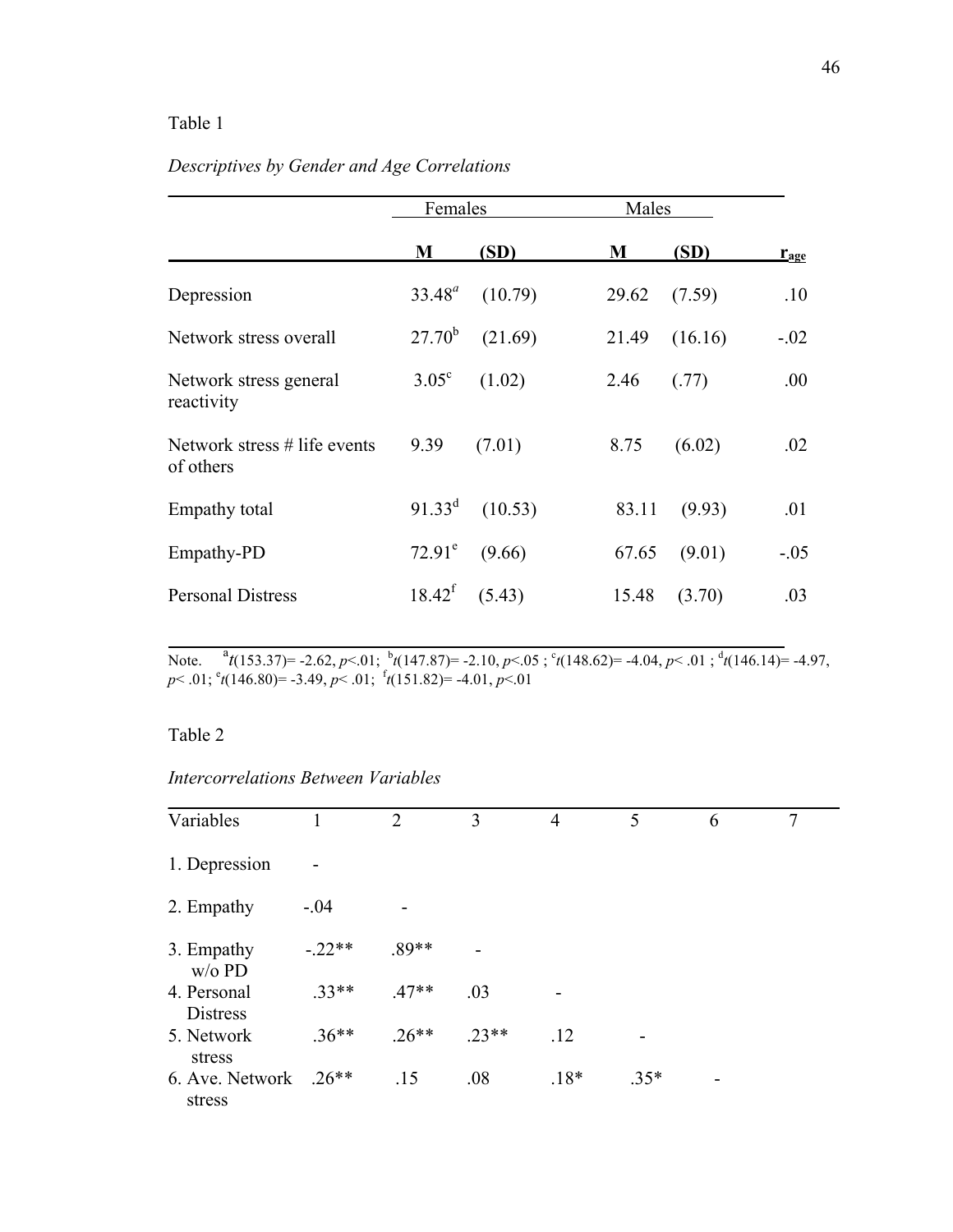### Table 1

## *Descriptives by Gender and Age Correlations*

|                                           | Females        |         | Males            |                  |
|-------------------------------------------|----------------|---------|------------------|------------------|
|                                           | M              | (SD)    | (SD)<br>M        | $r_{\text{age}}$ |
| Depression                                | $33.48^a$      | (10.79) | 29.62<br>(7.59)  | .10              |
| Network stress overall                    | $27.70^{b}$    | (21.69) | 21.49<br>(16.16) | $-0.02$          |
| Network stress general<br>reactivity      | $3.05^{\circ}$ | (1.02)  | 2.46<br>(.77)    | .00.             |
| Network stress # life events<br>of others | 9.39           | (7.01)  | (6.02)<br>8.75   | .02              |
| Empathy total                             | $91.33^d$      | (10.53) | 83.11<br>(9.93)  | .01              |
| Empathy-PD                                | $72.91^e$      | (9.66)  | 67.65<br>(9.01)  | $-.05$           |
| <b>Personal Distress</b>                  | $18.42^f$      | (5.43)  | 15.48<br>(3.70)  | .03              |

Note.  ${}^{a}t(153.37)=$  -2.62, *p*<.01;  ${}^{b}t(147.87)=$  -2.10, *p*<.05;  ${}^{c}t(148.62)=$  -4.04, *p*<.01;  ${}^{d}t(146.14)=$  -4.97, *p*< .01; <sup>e</sup> *t*(146.80)= -3.49, *p*< .01; <sup>f</sup> *t*(151.82)= -4.01, *p*<.01

### Table 2

### *Intercorrelations Between Variables*

| Variables                      |          | 2       | 3       | $\overline{4}$ | 5      | 6 | 7 |
|--------------------------------|----------|---------|---------|----------------|--------|---|---|
| 1. Depression                  |          |         |         |                |        |   |   |
| 2. Empathy                     | $-.04$   |         |         |                |        |   |   |
| 3. Empathy<br>$w/o$ PD         | $-.22**$ | $.89**$ |         |                |        |   |   |
| 4. Personal<br><b>Distress</b> | $.33**$  | $.47**$ | .03     |                |        |   |   |
| 5. Network<br>stress           | $.36**$  | $.26**$ | $.23**$ | .12            |        |   |   |
| 6. Ave. Network<br>stress      | $.26**$  | .15     | .08     | $.18*$         | $.35*$ | - |   |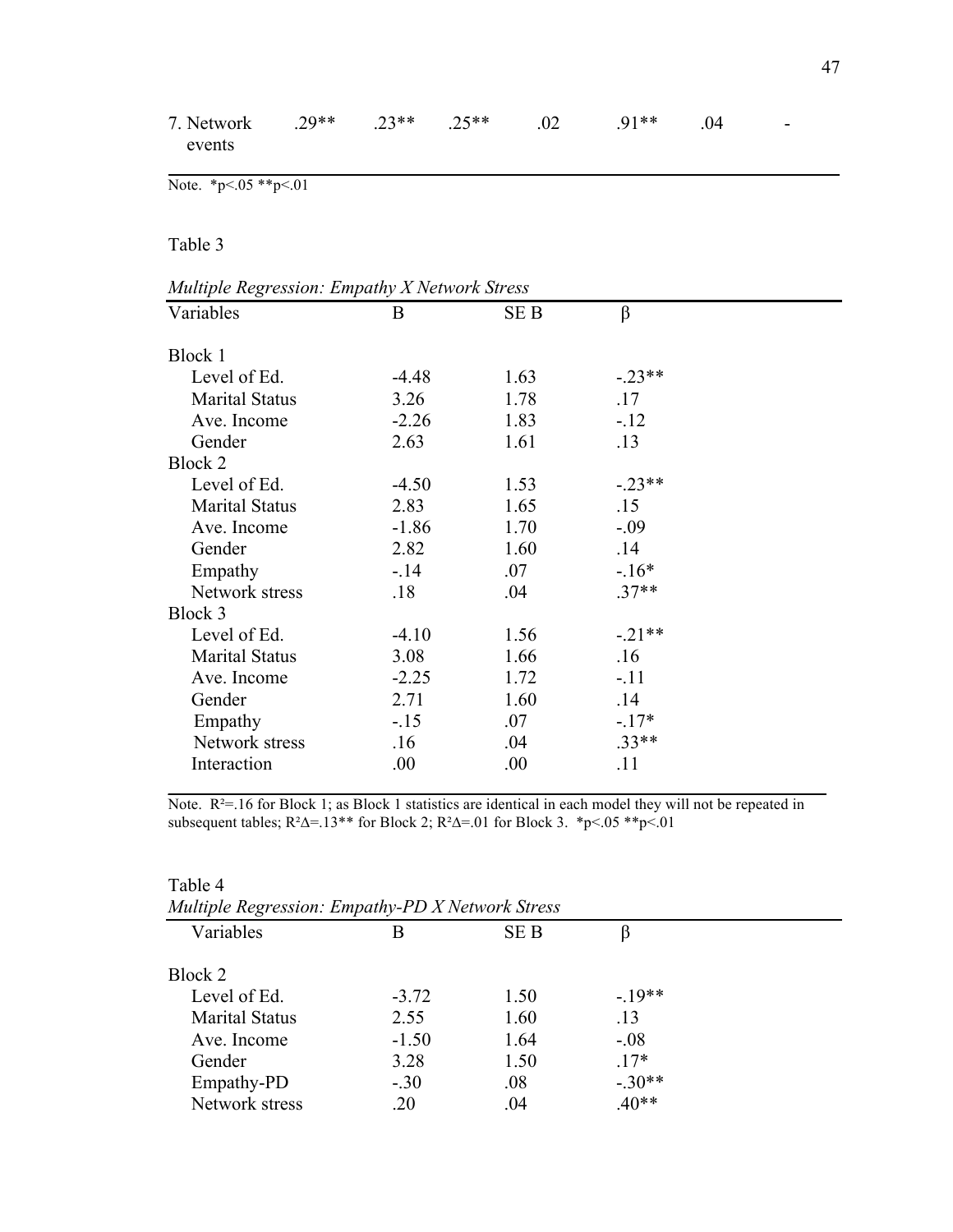| 7. Network<br>events                          | $.29**$ | $.23**$ | $.25**$ | .02  | $.91**$  | .04 |  |
|-----------------------------------------------|---------|---------|---------|------|----------|-----|--|
| Note. *p <. $05$ **p <. 01                    |         |         |         |      |          |     |  |
| Table 3                                       |         |         |         |      |          |     |  |
| Multiple Regression: Empathy X Network Stress |         |         |         |      |          |     |  |
| Variables                                     |         | B       |         | SE B | $\beta$  |     |  |
| Block 1                                       |         |         |         |      |          |     |  |
| Level of Ed.                                  |         | $-4.48$ |         | 1.63 | $-.23**$ |     |  |
| <b>Marital Status</b>                         |         | 3.26    |         | 1.78 | .17      |     |  |
| Ave. Income                                   |         | $-2.26$ |         | 1.83 | $-12$    |     |  |
| Gender                                        |         | 2.63    |         | 1.61 | .13      |     |  |
| Block 2                                       |         |         |         |      |          |     |  |
| Level of Ed.                                  |         | $-4.50$ |         | 1.53 | $-.23**$ |     |  |
| <b>Marital Status</b>                         |         | 2.83    |         | 1.65 | .15      |     |  |
| Ave. Income                                   |         | $-1.86$ |         | 1.70 | $-.09$   |     |  |
| Gender                                        |         | 2.82    |         | 1.60 | .14      |     |  |
| Empathy                                       |         | $-14$   |         | .07  | $-16*$   |     |  |
| Network stress                                |         | .18     |         | .04  | $.37**$  |     |  |
| Block 3                                       |         |         |         |      |          |     |  |
| Level of Ed.                                  |         | $-4.10$ |         | 1.56 | $-.21**$ |     |  |
| <b>Marital Status</b>                         |         | 3.08    |         | 1.66 | .16      |     |  |
| Ave. Income                                   |         | $-2.25$ |         | 1.72 | $-.11$   |     |  |
| Gender                                        |         | 2.71    |         | 1.60 | .14      |     |  |
| Empathy                                       |         | $-15$   |         | .07  | $-17*$   |     |  |
| Network stress                                |         | .16     |         | .04  | $.33**$  |     |  |
| Interaction                                   |         | .00     |         | .00  | .11      |     |  |

Note. R<sup>2</sup>=.16 for Block 1; as Block 1 statistics are identical in each model they will not be repeated in subsequent tables;  $R^2\Delta = 13**$  for Block 2;  $R^2\Delta = .01$  for Block 3. \*p<.05 \*\*p<.01

| Multiple Regression: Empathy-PD X Network Stress |         |      |          |  |
|--------------------------------------------------|---------|------|----------|--|
| Variables                                        | В       | SE B |          |  |
| Block 2                                          |         |      |          |  |
| Level of Ed.                                     | $-3.72$ | 1.50 | $-19**$  |  |
| <b>Marital Status</b>                            | 2.55    | 1.60 | .13      |  |
| Ave. Income                                      | $-1.50$ | 1.64 | $-.08$   |  |
| Gender                                           | 3.28    | 1.50 | $.17*$   |  |
| Empathy-PD                                       | $-.30$  | .08  | $-.30**$ |  |
| Network stress                                   | .20     | .04  | $.40**$  |  |

Table 4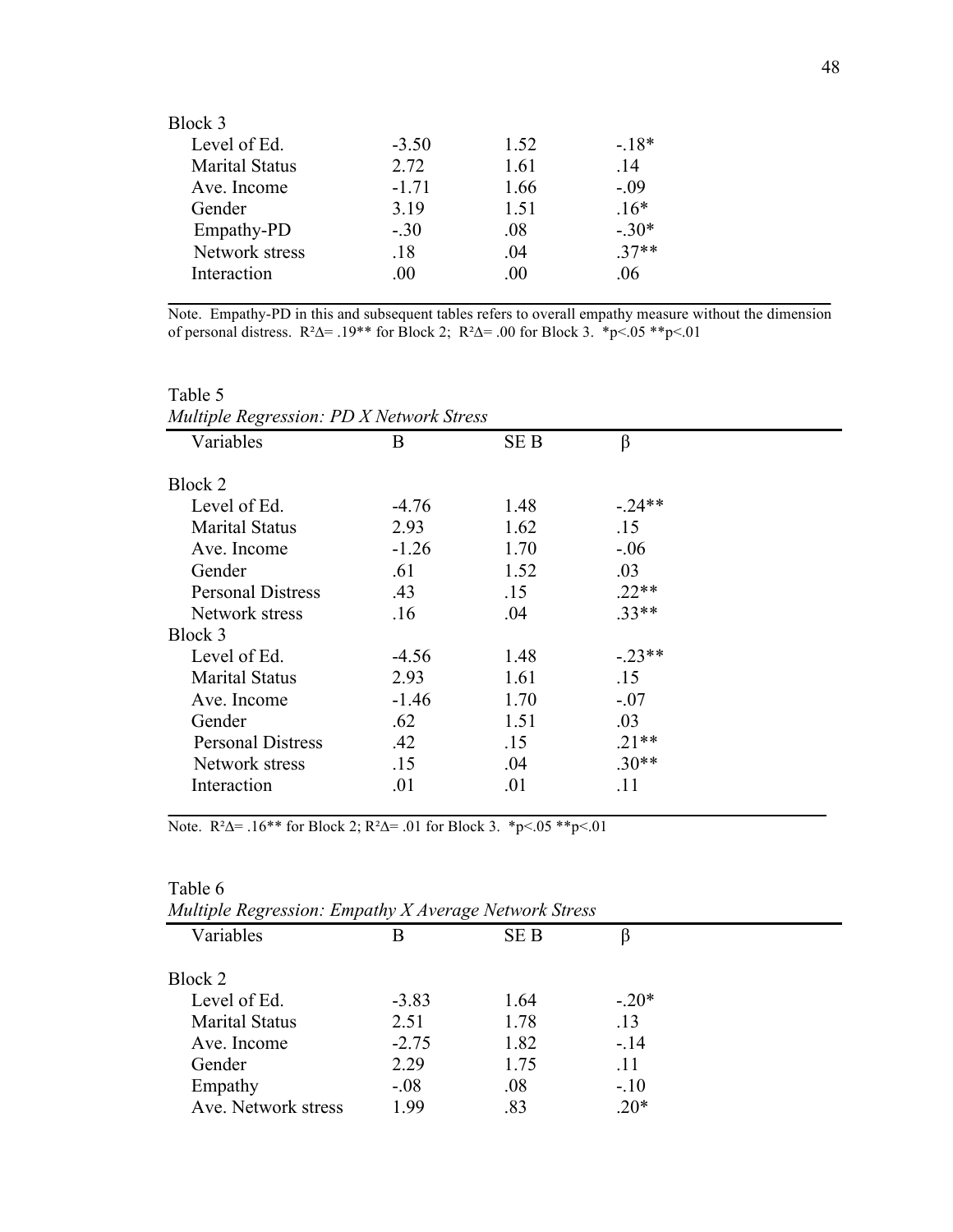| Block 3               |         |          |        |
|-----------------------|---------|----------|--------|
| Level of Ed.          | $-3.50$ | 1.52     | $-18*$ |
| <b>Marital Status</b> | 2.72    | 1.61     | .14    |
| Ave. Income           | $-1.71$ | 1.66     | $-.09$ |
| Gender                | 3.19    | 1.51     | $.16*$ |
| Empathy-PD            | $-.30$  | .08      | $-30*$ |
| Network stress        | .18     | -04      | $37**$ |
| Interaction           | .00     | $\Omega$ | -06    |
|                       |         |          |        |

Note. Empathy-PD in this and subsequent tables refers to overall empathy measure without the dimension of personal distress.  $R^2\Delta = .19**$  for Block 2;  $R^2\Delta = .00$  for Block 3.  $*p<.05 **p<.01$ 

| Variables                | B       | SE B | β        |
|--------------------------|---------|------|----------|
| Block 2                  |         |      |          |
| Level of Ed.             | $-4.76$ | 1.48 | $-.24**$ |
| <b>Marital Status</b>    | 2.93    | 1.62 | .15      |
| Ave. Income              | $-1.26$ | 1.70 | $-.06$   |
| Gender                   | .61     | 1.52 | .03      |
| <b>Personal Distress</b> | .43     | .15  | $.22**$  |
| Network stress           | .16     | .04  | $33**$   |
| Block 3                  |         |      |          |
| Level of Ed.             | $-4.56$ | 1.48 | $-23**$  |
| <b>Marital Status</b>    | 2.93    | 1.61 | .15      |
| Ave. Income              | $-1.46$ | 1.70 | $-.07$   |
| Gender                   | .62     | 1.51 | .03      |
| <b>Personal Distress</b> | .42     | .15  | $.21**$  |
| Network stress           | .15     | .04  | $.30**$  |
| Interaction              | .01     | .01  | .11      |

Note.  $R^2\Delta = .16^{**}$  for Block 2;  $R^2\Delta = .01$  for Block 3.  $*p<.05 **p<.01$ 

Table 6

| Multiple Regression. Empainy A Average Network Stress |         |      |         |  |
|-------------------------------------------------------|---------|------|---------|--|
| Variables                                             | B       | SE B |         |  |
| Block 2                                               |         |      |         |  |
| Level of Ed.                                          | $-3.83$ | 1.64 | $-.20*$ |  |
| <b>Marital Status</b>                                 | 2.51    | 1.78 | .13     |  |
| Ave. Income                                           | $-2.75$ | 1.82 | $-.14$  |  |
| Gender                                                | 2.29    | 1.75 | .11     |  |
| Empathy                                               | $-0.08$ | .08  | $-.10$  |  |
| Ave. Network stress                                   | 1.99    | .83  | $.20*$  |  |
|                                                       |         |      |         |  |

*Multiple Regression: Empathy X Average Network Stress*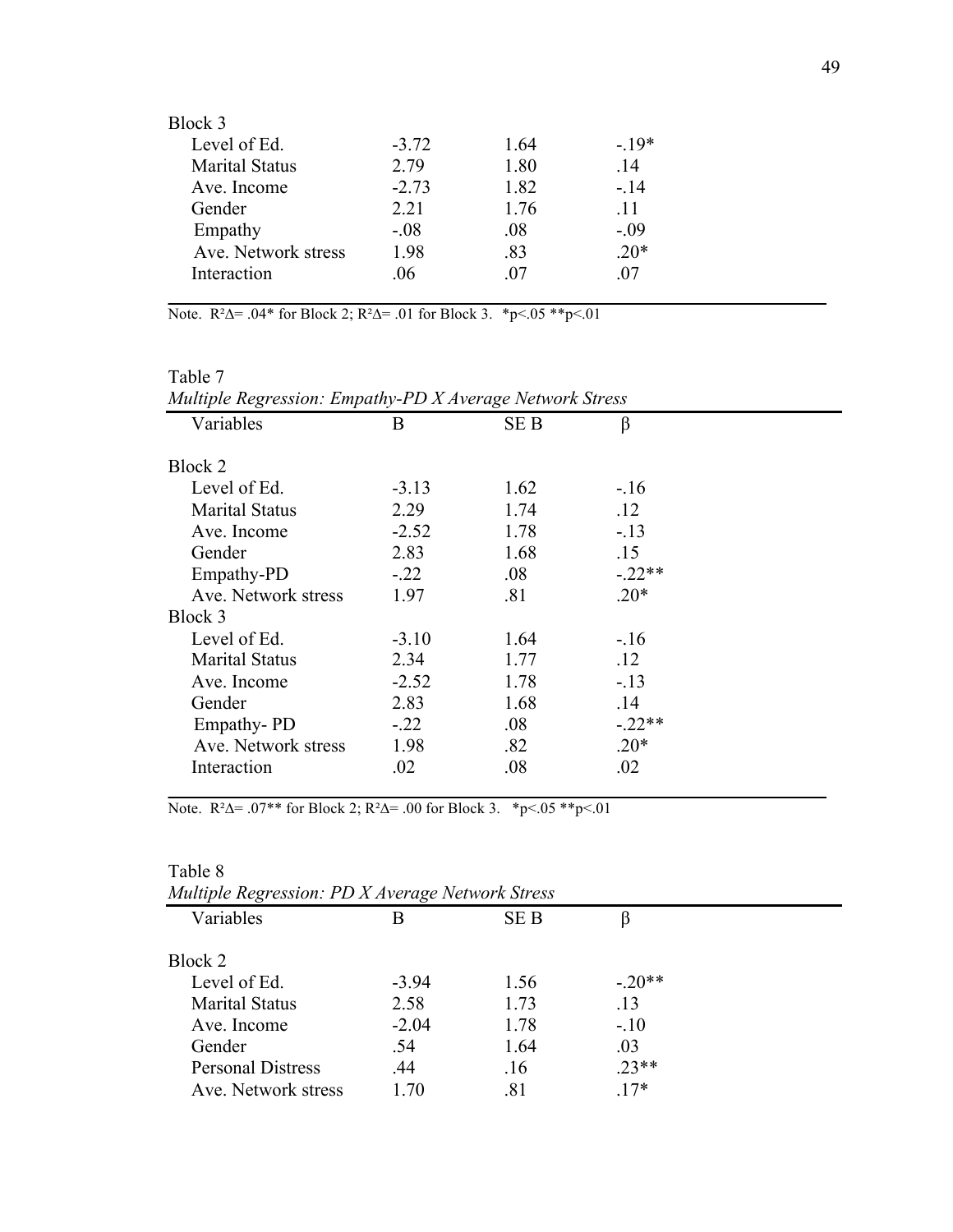| Block 3               |         |      |        |
|-----------------------|---------|------|--------|
| Level of Ed.          | $-3.72$ | 1.64 | $-19*$ |
| <b>Marital Status</b> | 2.79    | 1.80 | .14    |
| Ave. Income           | $-2.73$ | 1.82 | $-.14$ |
| Gender                | 2.21    | 1.76 | -11    |
| Empathy               | $-.08$  | .08  | $-.09$ |
| Ave. Network stress   | 1.98    | .83  | $.20*$ |
| Interaction           | -06     | -07  | -07    |
|                       |         |      |        |

Note.  $R^2\Delta = .04*$  for Block 2;  $R^2\Delta = .01$  for Block 3. \*p<.05 \*\*p<.01

| Multiple Regression: Empathy-PD X Average Network Stress |         |            |          |  |
|----------------------------------------------------------|---------|------------|----------|--|
| Variables                                                | B       | <b>SEB</b> | β        |  |
| Block 2                                                  |         |            |          |  |
| Level of Ed.                                             | $-3.13$ | 1.62       | $-.16$   |  |
| <b>Marital Status</b>                                    | 2.29    | 1.74       | .12      |  |
| Ave. Income                                              | $-2.52$ | 1.78       | $-.13$   |  |
| Gender                                                   | 2.83    | 1.68       | .15      |  |
| Empathy-PD                                               | $-.22$  | .08        | $-.22**$ |  |
| Ave. Network stress                                      | 1.97    | .81        | $.20*$   |  |
| Block 3                                                  |         |            |          |  |
| Level of Ed.                                             | $-3.10$ | 1.64       | $-.16$   |  |
| <b>Marital Status</b>                                    | 2.34    | 1.77       | .12      |  |
| Ave. Income                                              | $-2.52$ | 1.78       | $-.13$   |  |
| Gender                                                   | 2.83    | 1.68       | .14      |  |
| Empathy-PD                                               | $-.22$  | .08        | $-.22**$ |  |
| Ave. Network stress                                      | 1.98    | .82        | $.20*$   |  |
| Interaction                                              | .02     | .08        | .02      |  |

| Multiple Regression: Empathy-PD X Average Network Stress |  |  |
|----------------------------------------------------------|--|--|
| Table 7                                                  |  |  |
|                                                          |  |  |

Note.  $R^2\Delta = .07**$  for Block 2;  $R^2\Delta = .00$  for Block 3. \*p<.05 \*\*p<.01

| Table 8                                          |         |      |         |  |
|--------------------------------------------------|---------|------|---------|--|
| Multiple Regression: PD X Average Network Stress |         |      |         |  |
| Variables                                        | В       | SE B |         |  |
| Block 2                                          |         |      |         |  |
| Level of Ed.                                     | $-3.94$ | 1.56 | $-20**$ |  |
| <b>Marital Status</b>                            | 2.58    | 1.73 | .13     |  |
| Ave. Income                                      | $-2.04$ | 1.78 | $-.10$  |  |
| Gender                                           | .54     | 1.64 | .03     |  |
| <b>Personal Distress</b>                         | .44     | .16  | $23**$  |  |
| Ave. Network stress                              | 1 70    | .81  | $17*$   |  |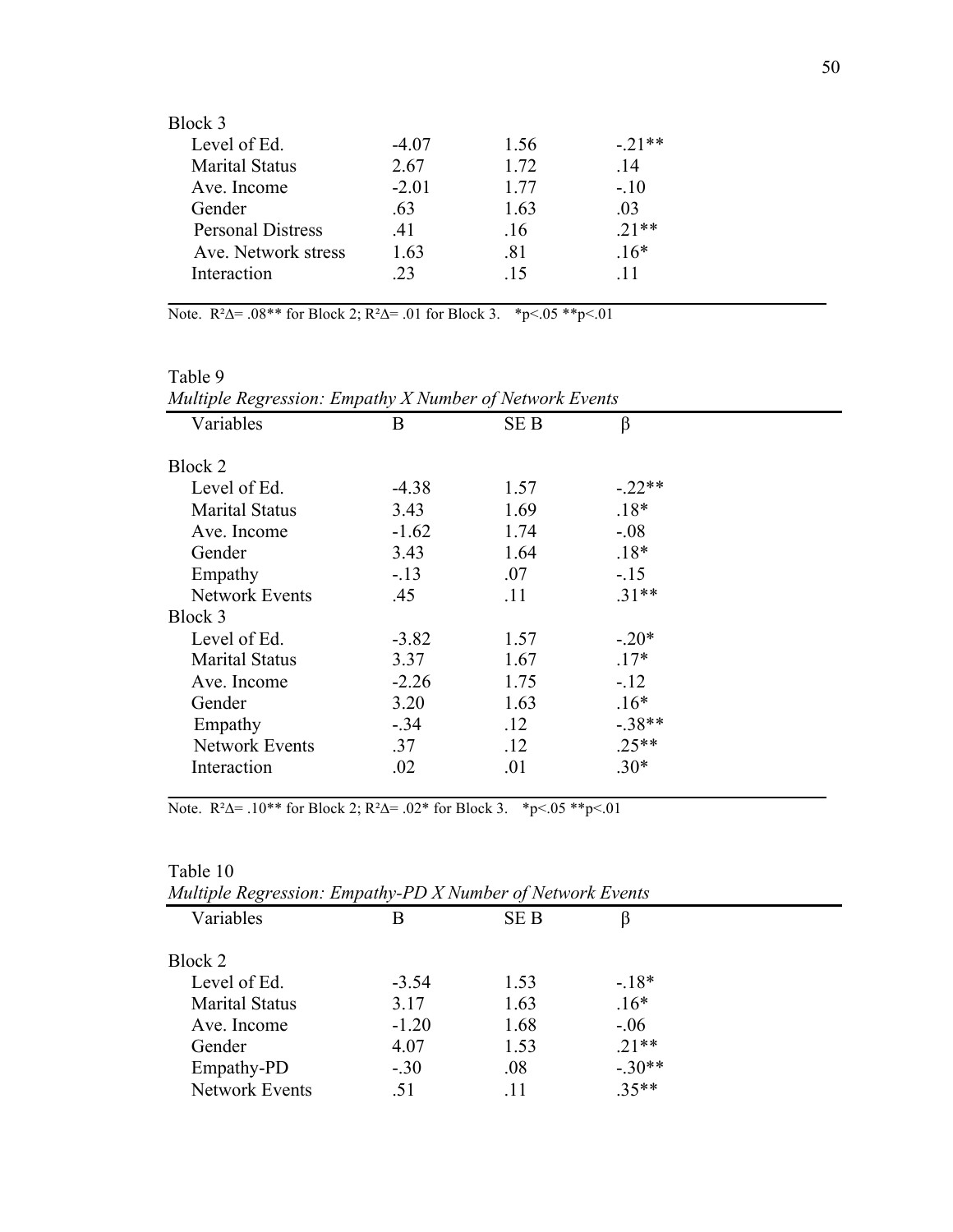| Block 3                  |         |      |         |
|--------------------------|---------|------|---------|
| Level of Ed.             | $-4.07$ | 1.56 | $-21**$ |
| <b>Marital Status</b>    | 2.67    | 1.72 | -14     |
| Ave. Income              | $-2.01$ | 1.77 | $-.10$  |
| Gender                   | -63     | 1.63 | -03     |
| <b>Personal Distress</b> | .41     | .16  | $21**$  |
| Ave. Network stress      | 1.63    | .81  | $.16*$  |
| Interaction              | 23      | -15  | -11     |
|                          |         |      |         |

Note.  $R^2\Delta = .08**$  for Block 2;  $R^2\Delta = .01$  for Block 3. \*p<.05 \*\*p<.01

| Multiple Regression: Empathy X Number of Network Events |         |            |          |  |
|---------------------------------------------------------|---------|------------|----------|--|
| Variables                                               | B       | <b>SEB</b> | β        |  |
| Block 2                                                 |         |            |          |  |
| Level of Ed.                                            | $-4.38$ | 1.57       | $-.22**$ |  |
| <b>Marital Status</b>                                   | 3.43    | 1.69       | $.18*$   |  |
| Ave. Income                                             | $-1.62$ | 1.74       | $-.08$   |  |
| Gender                                                  | 3.43    | 1.64       | $.18*$   |  |
| Empathy                                                 | $-.13$  | .07        | $-.15$   |  |
| <b>Network Events</b>                                   | .45     | .11        | $.31**$  |  |
| Block 3                                                 |         |            |          |  |
| Level of Ed.                                            | $-3.82$ | 1.57       | $-.20*$  |  |
| <b>Marital Status</b>                                   | 3.37    | 1.67       | $.17*$   |  |
| Ave. Income                                             | $-2.26$ | 1.75       | $-12$    |  |
| Gender                                                  | 3.20    | 1.63       | $.16*$   |  |
| Empathy                                                 | $-.34$  | .12        | $-38**$  |  |
| <b>Network Events</b>                                   | .37     | .12        | $.25**$  |  |
| Interaction                                             | .02     | .01        | $.30*$   |  |

Table 9

Note.  $R^2\Delta = .10^{**}$  for Block 2;  $R^2\Delta = .02^*$  for Block 3. \*p<.05 \*\*p<.01

### Table 10

| Muttiple Regression. Empainy-FD A ivamber of ivelwork Events |         |            |          |  |
|--------------------------------------------------------------|---------|------------|----------|--|
| Variables                                                    | В       | <b>SEB</b> |          |  |
| Block 2                                                      |         |            |          |  |
| Level of Ed.                                                 | $-3.54$ | 1.53       | $-18*$   |  |
| <b>Marital Status</b>                                        | 3.17    | 1.63       | $.16*$   |  |
| Ave. Income                                                  | $-1.20$ | 1.68       | $-0.06$  |  |
| Gender                                                       | 4.07    | 1.53       | $.21**$  |  |
| Empathy-PD                                                   | $-.30$  | .08        | $-.30**$ |  |
| <b>Network Events</b>                                        | .51     | .11        | $.35**$  |  |
|                                                              |         |            |          |  |

*Multiple Regression: Empathy-PD X Number of Network Events*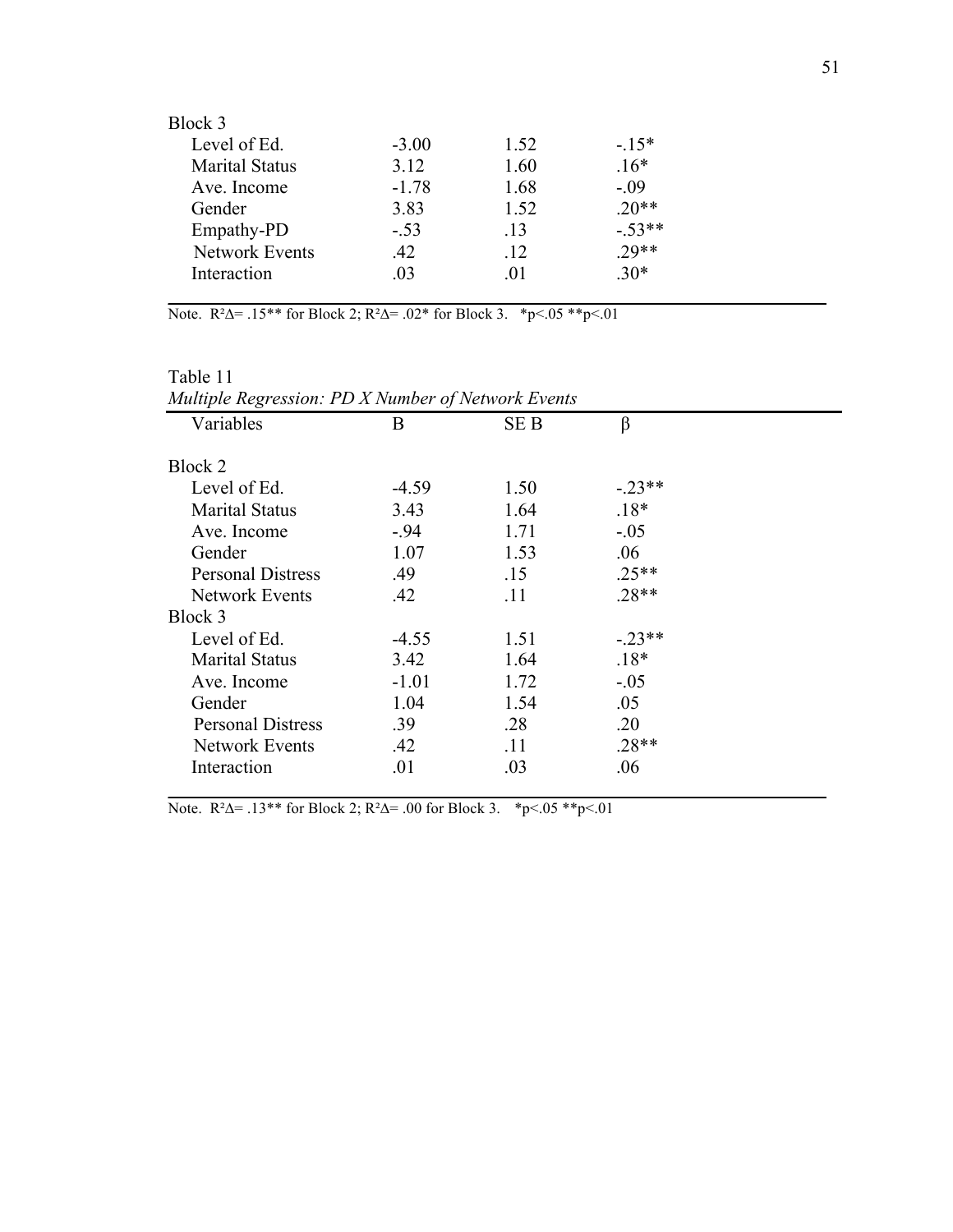| Block 3               |         |      |          |
|-----------------------|---------|------|----------|
| Level of Ed.          | $-3.00$ | 1.52 | $-15*$   |
| <b>Marital Status</b> | 3.12    | 1.60 | $.16*$   |
| Ave. Income           | $-1.78$ | 1.68 | $-.09$   |
| Gender                | 3.83    | 1.52 | $.20**$  |
| Empathy-PD            | $-.53$  | .13  | $-.53**$ |
| <b>Network Events</b> | .42     | .12  | $29**$   |
| Interaction           | .03     | -01  | $30*$    |
|                       |         |      |          |

Note.  $R^2\Delta = .15**$  for Block 2;  $R^2\Delta = .02*$  for Block 3. \*p<.05 \*\*p<.01

| Table 11<br>Multiple Regression: PD X Number of Network Event |
|---------------------------------------------------------------|
|                                                               |
|                                                               |

Note.  $R^2\Delta = .13**$  for Block 2;  $R^2\Delta = .00$  for Block 3. \*p<.05 \*\*p<.01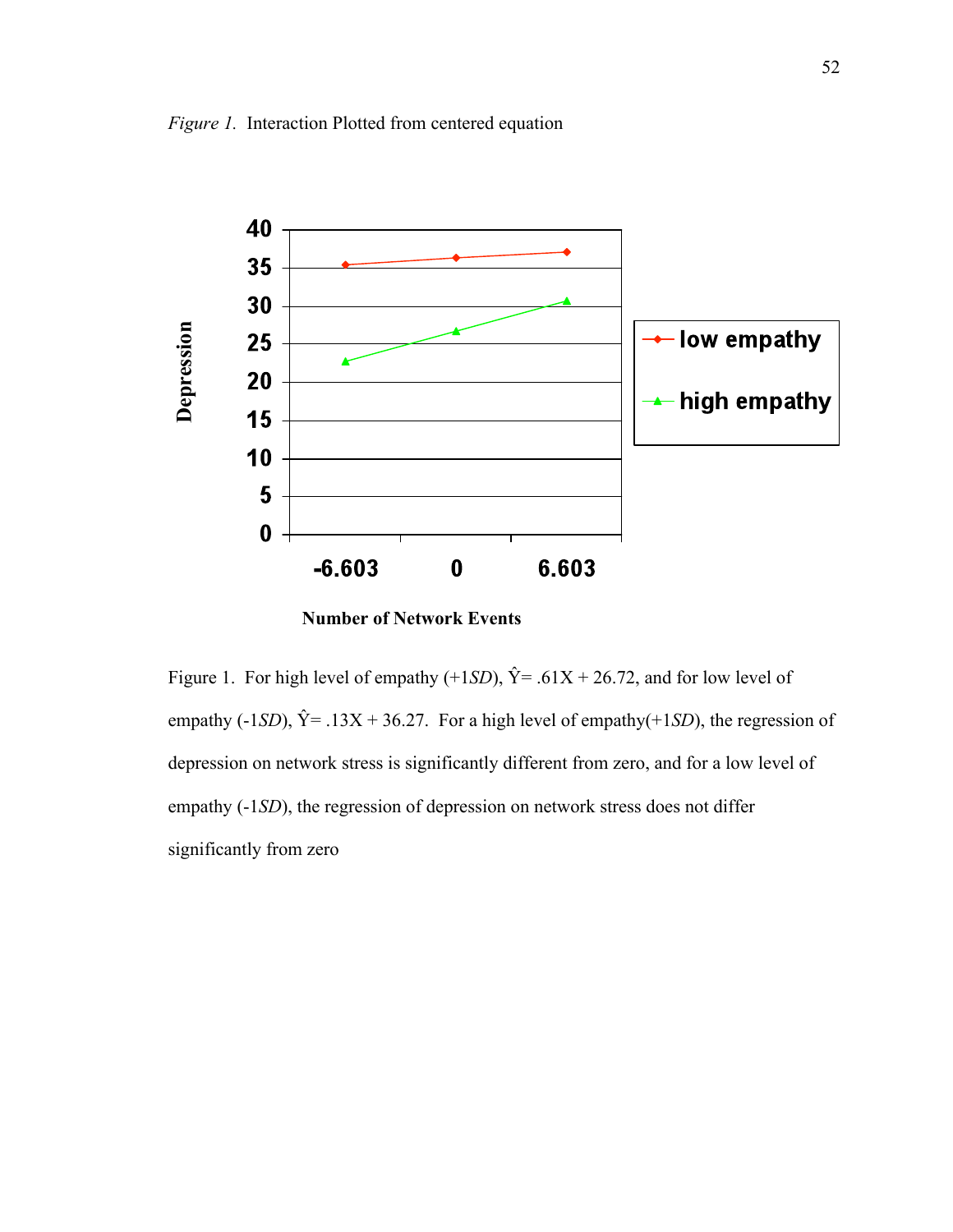

**Number of Network Events**

Figure 1. For high level of empathy  $(+1SD)$ ,  $\hat{Y} = .61X + 26.72$ , and for low level of empathy (-1*SD*),  $\hat{Y} = .13X + 36.27$ . For a high level of empathy(+1*SD*), the regression of depression on network stress is significantly different from zero, and for a low level of empathy  $(-1SD)$ , the regression of depression on network stress does not differ significantly from zero